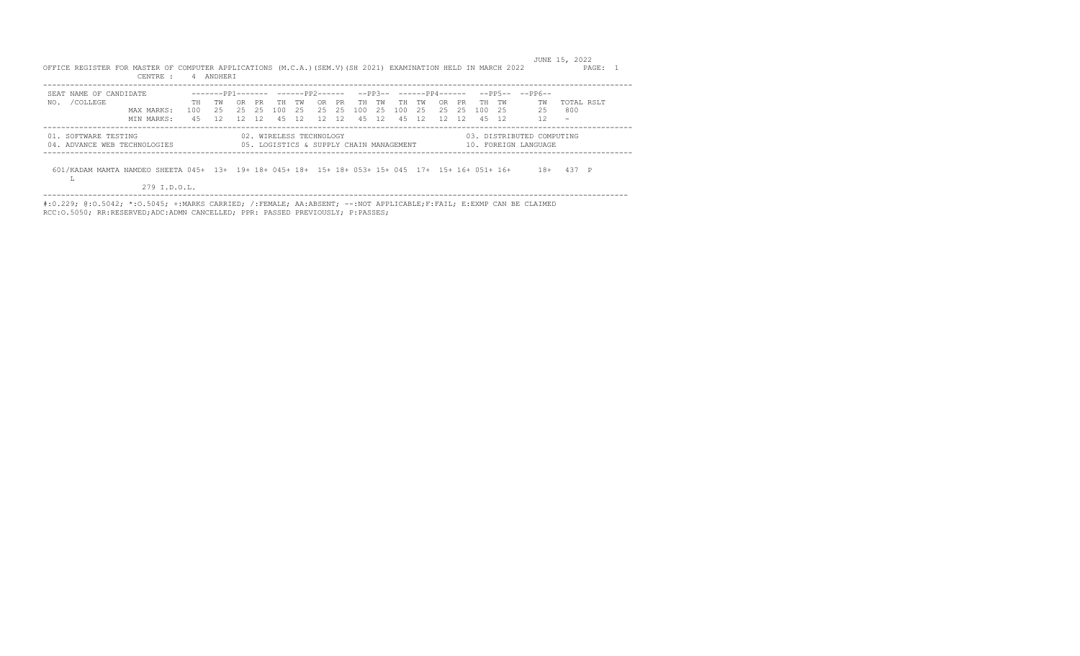JUNE 15, 2022 OFFICE REGISTER FOR MASTER OF COMPUTER APPLICATIONS (M.C.A.)(SEM.V)(SH 2021) EXAMINATION HELD IN MARCH 2022 PAGE: 1 CENTRE : 4 ANDHERI

| SEAT NAME OF CANDIDATE                               |            |                                                                     |       |      |                         |  |                                         |  |  |  | $----PP1----- ----PP2----- --PP3-- ---PP4----- ---PP5-- ---PP6---$ |                          |  |
|------------------------------------------------------|------------|---------------------------------------------------------------------|-------|------|-------------------------|--|-----------------------------------------|--|--|--|--------------------------------------------------------------------|--------------------------|--|
| /COLLEGE<br>NO.                                      |            |                                                                     | TH TW | OR . | PR TH TW                |  | OR PRTH TWITH TWIOR PRTH TW             |  |  |  | TW                                                                 | TOTAL RSLT               |  |
|                                                      | MAX MARKS: | 100  25  25  25  100  25  25  25  100  25  100  25  25  25  100  25 |       |      |                         |  |                                         |  |  |  | 25 800                                                             |                          |  |
|                                                      | MTN MARKS: | 45 12 12 12 45 12 12 12 45 12 45 12 12 12 45 12                     |       |      |                         |  |                                         |  |  |  | 12                                                                 | $\overline{\phantom{a}}$ |  |
| 01. SOFTWARE TESTING<br>04. ADVANCE WEB TECHNOLOGIES |            |                                                                     |       |      | 02. WIRELESS TECHNOLOGY |  | 05. LOGISTICS & SUPPLY CHAIN MANAGEMENT |  |  |  | 03. DISTRIBUTED COMPUTING<br>10. FOREIGN LANGUAGE                  |                          |  |

601/KADAM MAMTA NAMDEO SHEETA 045+ 13+ 19+ 18+ 045+ 18+ 15+ 18+ 053+ 15+ 045 17+ 15+ 16+ 051+ 16+ 18+ 437 P

279 I.D.O.L.

 $L$ 

---------------------------------------------------------------------------------------------------------------------------------- #:0.229; @:O.5042; \*:O.5045; +:MARKS CARRIED; /:FEMALE; AA:ABSENT; --:NOT APPLICABLE;F:FAIL; E:EXMP CAN BE CLAIMED RCC:O.5050; RR:RESERVED;ADC:ADMN CANCELLED; PPR: PASSED PREVIOUSLY; P:PASSES;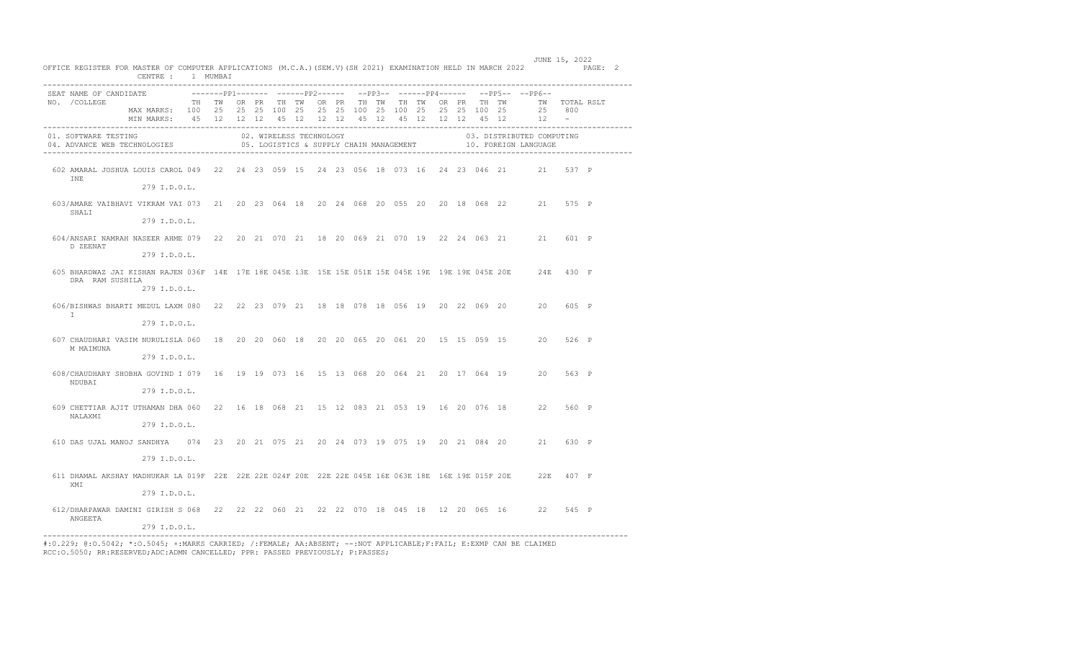|               |                        | OFFICE REGISTER FOR MASTER OF COMPUTER APPLICATIONS (M.C.A.) (SEM.V) (SH 2021) EXAMINATION HELD IN MARCH 2022 PAGE: 2<br>CENTRE : 1 MUMBAI                                                            |  |  |                         |  |  |                                         |  |  |                                                                             |                  |  |
|---------------|------------------------|-------------------------------------------------------------------------------------------------------------------------------------------------------------------------------------------------------|--|--|-------------------------|--|--|-----------------------------------------|--|--|-----------------------------------------------------------------------------|------------------|--|
| NO. / COLLEGE | SEAT NAME OF CANDIDATE | TH TW OR PR TH TW OR PR TH TW TH TW OR PR TH TW      TW   TOTAL RSLT<br>MAX MARKS: 100 25 25 25 100 25 25 25 100 25 100 25 25 25 100 25<br>MIN MARKS: 45 12 12 12 45 12 12 12 45 12 45 12 12 12 45 12 |  |  |                         |  |  |                                         |  |  | --------pp1------- -------pp2------ --pp3-- ------pp4------ --pp5-- --pp6-- | 25 800<br>$12 -$ |  |
|               | 01. SOFTWARE TESTING   | 04. ADVANCE WEB TECHNOLOGIES                                                                                                                                                                          |  |  | 02. WIRELESS TECHNOLOGY |  |  | 05. LOGISTICS & SUPPLY CHAIN MANAGEMENT |  |  | 03. DISTRIBUTED COMPUTING<br>10. FOREIGN LANGUAGE                           |                  |  |
| INE           |                        | 602 AMARAL JOSHUA LOUIS CAROL 049 22 24 23 059 15 24 23 056 18 073 16 24 23 046 21 21 537 P<br>279 I.D.O.L.                                                                                           |  |  |                         |  |  |                                         |  |  |                                                                             |                  |  |
|               | SHALI                  | 603/AMARE VAIBHAVI VIKRAM VAI 073 21 20 23 064 18 20 24 068 20 055 20 20 18 068 22 21 575 P<br>279 I.D.O.L.                                                                                           |  |  |                         |  |  |                                         |  |  |                                                                             |                  |  |
|               | D ZEENAT               | 604/ANSARI NAMRAH NASEER AHME 079 22 20 21 070 21 18 20 069 21 070 19 22 24 063 21 21 601 P<br>279 I.D.O.L.                                                                                           |  |  |                         |  |  |                                         |  |  |                                                                             |                  |  |
|               | DRA RAM SUSHILA        | 605 BHARDWAZ JAI KISHAN RAJEN 036F 14E 17E 18E 045E 13E 15E 15E 051E 15E 045E 19E 19E 19E 045E 20E 24E 430 F<br>279 I.D.O.L.                                                                          |  |  |                         |  |  |                                         |  |  |                                                                             |                  |  |
| $\mathbb{I}$  |                        | 606/BISHWAS BHARTI MEDUL LAXM 080 22 22 23 079 21 18 18 078 18 056 19 20 22 069 20 20 605 P<br>279 I.D.O.L.                                                                                           |  |  |                         |  |  |                                         |  |  |                                                                             |                  |  |
|               | M MAIMUNA              | 607 CHAUDHARI VASIM NURULISLA 060 18 20 20 060 18 20 20 065 20 061 20 15 15 059 15 20 526 P<br>279 I.D.O.L.                                                                                           |  |  |                         |  |  |                                         |  |  |                                                                             |                  |  |
|               | NDUBAT                 | 608/CHAUDHARY SHOBHA GOVIND I 079 16 19 19 073 16 15 13 068 20 064 21 20 17 064 19 20 563 P<br>279 I.D.O.L.                                                                                           |  |  |                         |  |  |                                         |  |  |                                                                             |                  |  |
|               | NALAXMI                | 609 CHETTIAR AJIT UTHAMAN DHA 060 22 16 18 068 21 15 12 083 21 053 19 16 20 076 18 22 560 P<br>279 I.D.O.L.                                                                                           |  |  |                         |  |  |                                         |  |  |                                                                             |                  |  |
|               |                        | 610 DAS UJAL MANOJ SANDHYA 074 23 20 21 075 21 20 24 073 19 075 19 20 21 084 20 21 630 P<br>279 I.D.O.L.                                                                                              |  |  |                         |  |  |                                         |  |  |                                                                             |                  |  |
| XMI           |                        | 611 DHAMAL AKSHAY MADHUKAR LA 019F 22E 22E 22E 024F 20E 22E 22E 045E 16E 063E 18E 16E 19E 015F 20E 22E 407 F<br>279 I.D.O.L.                                                                          |  |  |                         |  |  |                                         |  |  |                                                                             |                  |  |
|               | ANGEETA                | 612/DHARPAWAR DAMINI GIRISH S 068 22 22 23 060 21 22 22 070 18 045 18 12 20 065 16 22 545 P<br>279 I.D.O.L.                                                                                           |  |  |                         |  |  |                                         |  |  |                                                                             |                  |  |

JUNE 15, 2022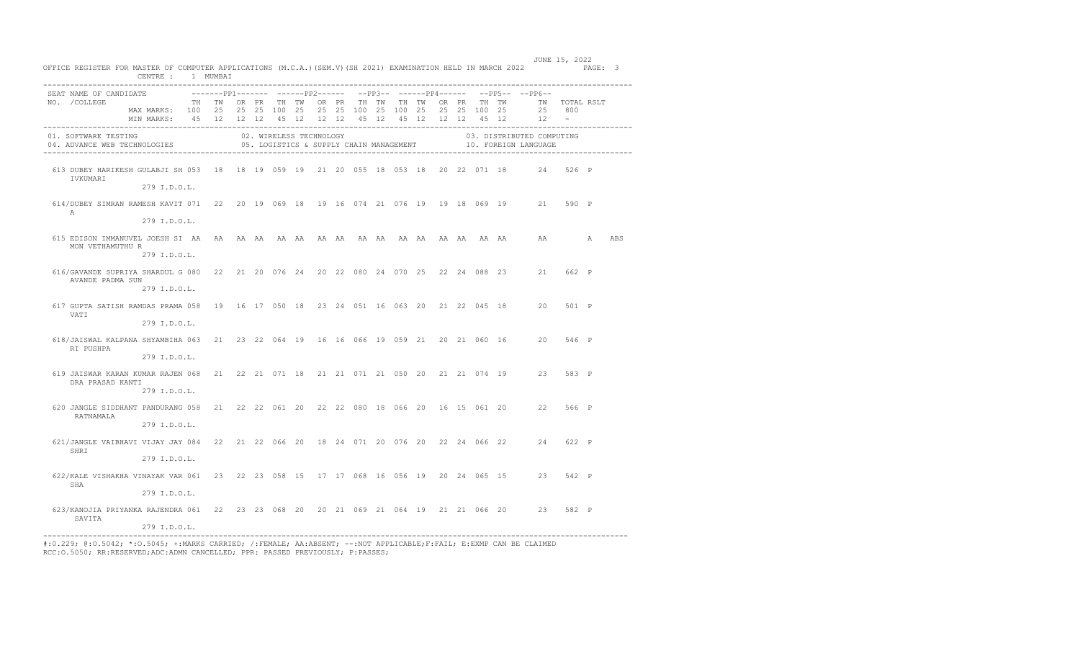| OFFICE REGISTER FOR MASTER OF COMPUTER APPLICATIONS (M.C.A.) (SEM.V) (SH 2021) EXAMINATION HELD IN MARCH 2022 PAGE: 3 | CENTRE : 1 MUMBAI                                                                                                                                                                                     |  |  |                         |  |                                         |  |  |  |                                                                                               |  |     |
|-----------------------------------------------------------------------------------------------------------------------|-------------------------------------------------------------------------------------------------------------------------------------------------------------------------------------------------------|--|--|-------------------------|--|-----------------------------------------|--|--|--|-----------------------------------------------------------------------------------------------|--|-----|
| SEAT NAME OF CANDIDATE<br>NO. / COLLEGE                                                                               | TH TW OR PR TH TW OR PR TH TW TH TW OR PR TH TW      TW   TOTAL RSLT<br>MAX MARKS: 100 25 25 25 100 25 25 25 100 25 100 25 25 25 100 25<br>MIN MARKS: 45 12 12 12 45 12 12 12 45 12 45 12 12 12 45 12 |  |  |                         |  |                                         |  |  |  | -------pp1------- ------pp2------ --pp3-- ------pp4------ --pp5-- --pp6--<br>25 800<br>$12 -$ |  |     |
| 01. SOFTWARE TESTING<br>04. ADVANCE WEB TECHNOLOGIES                                                                  |                                                                                                                                                                                                       |  |  | 02. WIRELESS TECHNOLOGY |  | 05. LOGISTICS & SUPPLY CHAIN MANAGEMENT |  |  |  | 03. DISTRIBUTED COMPUTING<br>10. FOREIGN LANGUAGE                                             |  |     |
| 613 DUBEY HARIKESH GULABJI SH 053 18 18 19 059 19 21 20 055 18 053 18 20 22 071 18 24 526 P<br>IVKUMARI               | 279 I.D.O.L.                                                                                                                                                                                          |  |  |                         |  |                                         |  |  |  |                                                                                               |  |     |
| 614/DUBEY SIMRAN RAMESH KAVIT 071 22 20 19 069 18 19 16 074 21 076 19 19 18 069 19 21 590 P<br>$\mathbb{A}$           | 279 T.D.O.T.                                                                                                                                                                                          |  |  |                         |  |                                         |  |  |  |                                                                                               |  |     |
| MON VETHAMUTHU R                                                                                                      | 279 I.D.O.L.                                                                                                                                                                                          |  |  |                         |  |                                         |  |  |  |                                                                                               |  | ABS |
| 616/GAVANDE SUPRIYA SHARDUL G 080 22 21 20 076 24 20 22 080 24 070 25 22 24 088 23 21 662 P<br>AVANDE PADMA SUN       | 279 I.D.O.L.                                                                                                                                                                                          |  |  |                         |  |                                         |  |  |  |                                                                                               |  |     |
| 617 GUPTA SATISH RAMDAS PRAMA 058 19 16 17 050 18 23 24 051 16 063 20 21 22 045 18 20 501 P<br>VATI                   | 279 I.D.O.L.                                                                                                                                                                                          |  |  |                         |  |                                         |  |  |  |                                                                                               |  |     |
| 618/JAISWAL KALPANA SHYAMBIHA 063 21 23 22 064 19 16 16 066 19 059 21 20 21 060 16 20 546 P<br>RI PUSHPA              | 279 I.D.O.L.                                                                                                                                                                                          |  |  |                         |  |                                         |  |  |  |                                                                                               |  |     |
| 619 JAISWAR KARAN KUMAR RAJEN 068 21 22 21 071 18 21 21 071 21 050 20 21 21 074 19 23 583 P<br>DRA PRASAD KANTI       | 279 I.D.O.L.                                                                                                                                                                                          |  |  |                         |  |                                         |  |  |  |                                                                                               |  |     |
| 620 JANGLE SIDDHANT PANDURANG 058 21 22 22 061 20 22 22 080 18 066 20 16 15 061 20 22 566 P<br>RATNAMALA              | 279 I.D.O.L.                                                                                                                                                                                          |  |  |                         |  |                                         |  |  |  |                                                                                               |  |     |
| 621/JANGLE VAIBHAVI VIJAY JAY 084 22 21 22 066 20 18 24 071 20 076 20 22 24 066 22 24 622 P<br>SHRI                   | 279 I.D.O.L.                                                                                                                                                                                          |  |  |                         |  |                                         |  |  |  |                                                                                               |  |     |
| 622/KALE VISHAKHA VINAYAK VAR 061 23 22 23 058 15 17 17 068 16 056 19 20 24 065 15 23 542 P<br>SHA                    | 279 I.D.O.L.                                                                                                                                                                                          |  |  |                         |  |                                         |  |  |  |                                                                                               |  |     |
| 623/KANOJIA PRIYANKA RAJENDRA 061 22 23 23 068 20 20 21 069 21 064 19 21 21 066 20 23 582 P<br>SAVITA                 | 279 I.D.O.L.                                                                                                                                                                                          |  |  |                         |  |                                         |  |  |  |                                                                                               |  |     |

JUNE 15, 2022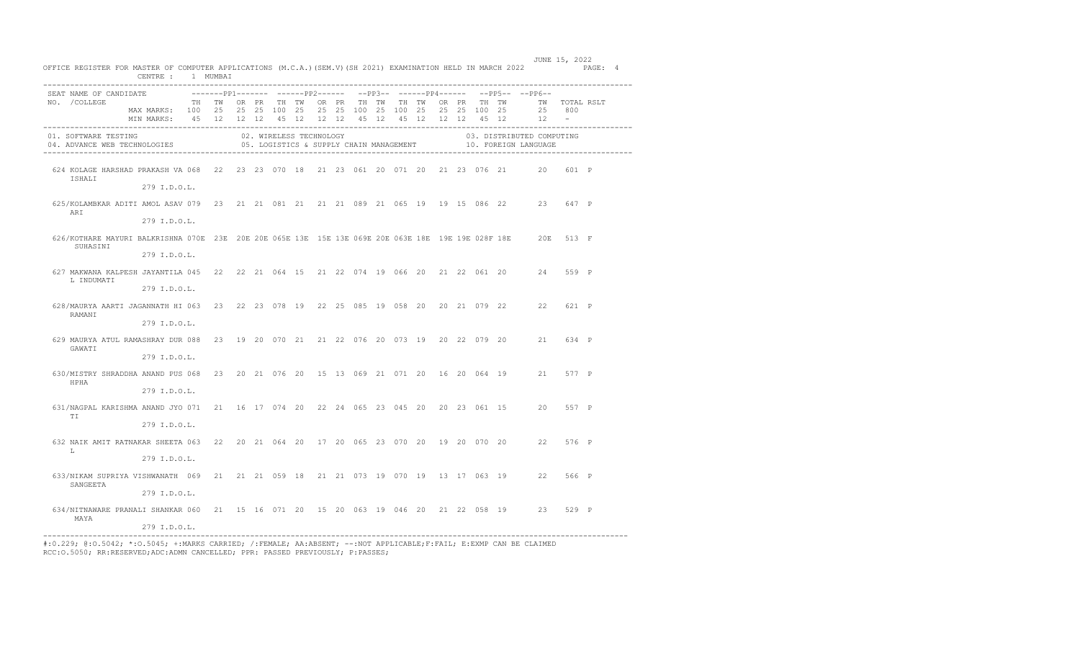|                                                                                                                          | CENTRE : 1 MUMBAI                                                                            |       |  |                         |  |  |  |  |  |                                                                             |                                                                                           |              |  |
|--------------------------------------------------------------------------------------------------------------------------|----------------------------------------------------------------------------------------------|-------|--|-------------------------|--|--|--|--|--|-----------------------------------------------------------------------------|-------------------------------------------------------------------------------------------|--------------|--|
| SEAT NAME OF CANDIDATE                                                                                                   |                                                                                              |       |  |                         |  |  |  |  |  | --------pp1-------- ------pp2------ --pp3-- ------pp4------ --pp5-- --pp6-- |                                                                                           |              |  |
| NO. / COLLEGE                                                                                                            |                                                                                              | TH TW |  | OR PR TH TW             |  |  |  |  |  | OR PR TH TW TH TW OR PR TH TW                                               | TW TOTAL RSLT                                                                             |              |  |
|                                                                                                                          | MAX MARKS: 100 25 25 25 100 25<br>MIN MARKS: 45 12 12 12 45 12 12 12 45 12 45 12 12 12 45 12 |       |  |                         |  |  |  |  |  | 25 25 100 25 100 25 25 25 100 25                                            | 25 800<br>12                                                                              | $\sim$ $  -$ |  |
|                                                                                                                          |                                                                                              |       |  |                         |  |  |  |  |  |                                                                             |                                                                                           |              |  |
| 01. SOFTWARE TESTING<br>04. ADVANCE WEB TECHNOLOGIES                                                                     |                                                                                              |       |  | 02. WIRELESS TECHNOLOGY |  |  |  |  |  |                                                                             | 03. DISTRIBUTED COMPUTING<br>05. LOGISTICS & SUPPLY CHAIN MANAGEMENT 10. FOREIGN LANGUAGE |              |  |
|                                                                                                                          |                                                                                              |       |  |                         |  |  |  |  |  |                                                                             |                                                                                           |              |  |
| 624 KOLAGE HARSHAD PRAKASH VA 068 22 23 23 070 18 21 23 061 20 071 20 21 23 076 21 20 601 P<br>ISHALI                    |                                                                                              |       |  |                         |  |  |  |  |  |                                                                             |                                                                                           |              |  |
|                                                                                                                          | 279 I.D.O.L.                                                                                 |       |  |                         |  |  |  |  |  |                                                                             |                                                                                           |              |  |
| 625/KOLAMBKAR ADITI AMOL ASAV 079 23 21 21 081 21 21 21 089 21 065 19 19 15 086 22 23 647 P<br>ARI                       |                                                                                              |       |  |                         |  |  |  |  |  |                                                                             |                                                                                           |              |  |
|                                                                                                                          | 279 I.D.O.L.                                                                                 |       |  |                         |  |  |  |  |  |                                                                             |                                                                                           |              |  |
| 626/KOTHARE MAYURI BALKRISHNA 070E 23E 20E 20E 065E 13E 13E 13E 069E 20E 063E 18E 19E 19E 028F 18E 20E 513 F<br>SUHASINI |                                                                                              |       |  |                         |  |  |  |  |  |                                                                             |                                                                                           |              |  |
|                                                                                                                          | 279 I.D.O.L.                                                                                 |       |  |                         |  |  |  |  |  |                                                                             |                                                                                           |              |  |
| 627 MAKWANA KALPESH JAYANTILA 045 22 22 21 064 15 21 22 074 19 066 20 21 22 061 20 24<br>L INDUMATI                      |                                                                                              |       |  |                         |  |  |  |  |  |                                                                             |                                                                                           | 559 P        |  |
|                                                                                                                          | 279 I.D.O.L.                                                                                 |       |  |                         |  |  |  |  |  |                                                                             |                                                                                           |              |  |
| 628/MAURYA AARTI JAGANNATH HI 063 23 22 23 078 19 22 25 085 19 058 20 20 21 079 22 22<br>RAMANI                          |                                                                                              |       |  |                         |  |  |  |  |  |                                                                             |                                                                                           | 621 P        |  |
|                                                                                                                          | 279 I.D.O.L.                                                                                 |       |  |                         |  |  |  |  |  |                                                                             |                                                                                           |              |  |
| 629 MAURYA ATUL RAMASHRAY DUR 088 23 19 20 070 21 21 22 076 20 073 19 20 22 079 20 21 634 P<br>GAWATI                    |                                                                                              |       |  |                         |  |  |  |  |  |                                                                             |                                                                                           |              |  |
|                                                                                                                          | 279 I.D.O.L.                                                                                 |       |  |                         |  |  |  |  |  |                                                                             |                                                                                           |              |  |
| 630/MISTRY SHRADDHA ANAND PUS 068 23 20 21 076 20 15 13 069 21 071 20 16 20 064 19 21 577 P<br>HPHA                      |                                                                                              |       |  |                         |  |  |  |  |  |                                                                             |                                                                                           |              |  |
|                                                                                                                          | 279 I.D.O.L.                                                                                 |       |  |                         |  |  |  |  |  |                                                                             |                                                                                           |              |  |
| 631/NAGPAL KARISHMA ANAND JYO 071 21 16 17 074 20 22 24 065 23 045 20 20 23 061 15 20 557 P<br>TI                        |                                                                                              |       |  |                         |  |  |  |  |  |                                                                             |                                                                                           |              |  |
|                                                                                                                          | 279 I.D.O.L.                                                                                 |       |  |                         |  |  |  |  |  |                                                                             |                                                                                           |              |  |
| 632 NAIK AMIT RATNAKAR SHEETA 063 22 20 21 064 20 17 20 065 23 070 20 19 20 070 20 22 576 P<br>т.                        |                                                                                              |       |  |                         |  |  |  |  |  |                                                                             |                                                                                           |              |  |
|                                                                                                                          | 279 I.D.O.L.                                                                                 |       |  |                         |  |  |  |  |  |                                                                             |                                                                                           |              |  |
| 633/NIKAM SUPRIYA VISHWANATH 069 21 21 21 059 18 21 21 073 19 070 19 13 17 063 19 22 566 P<br>SANGEETA                   |                                                                                              |       |  |                         |  |  |  |  |  |                                                                             |                                                                                           |              |  |
|                                                                                                                          | 279 I.D.O.L.                                                                                 |       |  |                         |  |  |  |  |  |                                                                             |                                                                                           |              |  |
| 634/NITNAWARE PRANALI SHANKAR 060 21 15 16 071 20 15 20 063 19 046 20 21 22 058 19 23<br>MAYA                            |                                                                                              |       |  |                         |  |  |  |  |  |                                                                             |                                                                                           | 529 P        |  |
|                                                                                                                          | 279 I.D.O.L.                                                                                 |       |  |                         |  |  |  |  |  |                                                                             |                                                                                           |              |  |

 JUNE 15, 2022 OFFICE REGISTER FOR MASTER OF COMPUTER APPLICATIONS (M.C.A.)(SEM.V)(SH 2021) EXAMINATION HELD IN MARCH 2022 PAGE: 4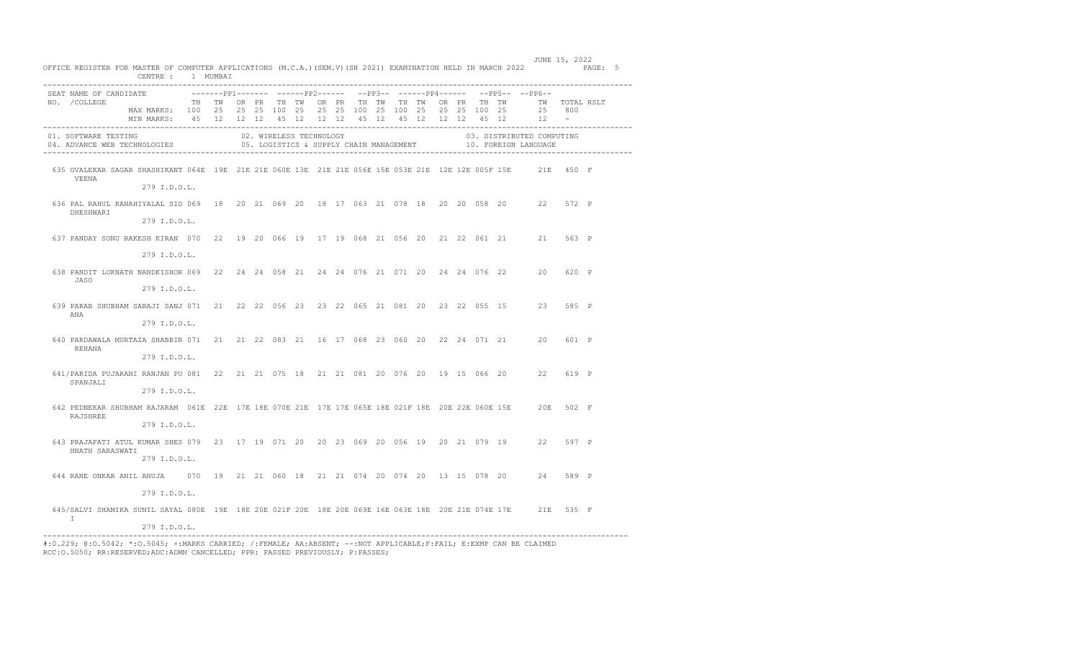| SEAT NAME OF CANDIDATE                                                                                                       |                                                                                                                                                                      |  |  |                         |  |                                         |  |  |  | --------pp1------- ------pp2------ --pp3-- ------pp4------ --pp5-- --pp6-- |                    |       |  |
|------------------------------------------------------------------------------------------------------------------------------|----------------------------------------------------------------------------------------------------------------------------------------------------------------------|--|--|-------------------------|--|-----------------------------------------|--|--|--|----------------------------------------------------------------------------|--------------------|-------|--|
| NO. / COLLEGE                                                                                                                | TH TW OR PR TH TW OR PR TH TW TH TW<br>MAX MARKS: 100 25 25 25 100 25 25 25 100 25 100 25 25 25 100 25<br>MIN MARKS: 45 12 12 12 45 12 12 12 45 12 45 12 12 12 45 12 |  |  |                         |  |                                         |  |  |  | OR PR TH TW TW TOTAL RSLT                                                  | 25 800<br>$12 - -$ |       |  |
| 01. SOFTWARE TESTING<br>04. ADVANCE WEB TECHNOLOGIES                                                                         |                                                                                                                                                                      |  |  | 02. WIRELESS TECHNOLOGY |  | 05. LOGISTICS & SUPPLY CHAIN MANAGEMENT |  |  |  | 03. DISTRIBUTED COMPUTING<br>10. FOREIGN LANGUAGE                          |                    |       |  |
| 635 OVALEKAR SAGAR SHASHIKANT 064E 19E 21E 21E 060E 13E 21E 21E 056E 15E 053E 21E 12E 12E 005F 15E 21E 450 F<br>VEENA        | 279 I.D.O.L.                                                                                                                                                         |  |  |                         |  |                                         |  |  |  |                                                                            |                    |       |  |
| 636 PAL RAHUL KANAHIYALAL SID 069 18 20 21 069 20 18 17 063 21 078 18 20 20 058 20 22<br>DHESHWARI                           | 279 I.D.O.L.                                                                                                                                                         |  |  |                         |  |                                         |  |  |  |                                                                            |                    | 572 P |  |
| 637 PANDAY SONU RAKESH KIRAN 070 22 19 20 066 19 17 19 068 21 056 20 21 22 061 21 21 563 P                                   |                                                                                                                                                                      |  |  |                         |  |                                         |  |  |  |                                                                            |                    |       |  |
| 638 PANDIT LOKNATH NANDKISHOR 069 22 24 24 058 21 24 24 076 21 071 20 24 24 076 22 20<br>JASO                                | 279 I.D.O.L.                                                                                                                                                         |  |  |                         |  |                                         |  |  |  |                                                                            |                    | 620 P |  |
| 639 PARAB SHUBHAM SABAJI SANJ 071 21 22 22 056 23 23 22 065 21 081 20 23 22 055 15 23                                        | 279 I.D.O.L.                                                                                                                                                         |  |  |                         |  |                                         |  |  |  |                                                                            |                    | 585 P |  |
| ANA                                                                                                                          | 279 I.D.O.L.                                                                                                                                                         |  |  |                         |  |                                         |  |  |  |                                                                            |                    |       |  |
| 640 PARDAWALA MURTAZA SHABBIR 071 21 21 22 083 21 16 17 068 23 060 20 22 24 071 21 20<br>REHANA                              | 279 I.D.O.L.                                                                                                                                                         |  |  |                         |  |                                         |  |  |  |                                                                            |                    | 601 P |  |
| 641/PARIDA PUJARANI RANJAN PU 081 22 21 21 075 18 21 21 081 20 076 20 19 15 066 20 22 619 P<br>SPANJALI                      |                                                                                                                                                                      |  |  |                         |  |                                         |  |  |  |                                                                            |                    |       |  |
| 642 PEDNEKAR SHUBHAM RAJARAM 061E 22E 17E 18E 070E 21E 17E 17E 065E 18E 021F 18E 20E 22E 060E 15E 20E 502 F<br>RAJSHREE      | 279 I.D.O.L.                                                                                                                                                         |  |  |                         |  |                                         |  |  |  |                                                                            |                    |       |  |
| 643 PRAJAPATI ATUL KUMAR SHES 079 23 17 19 071 20 20 23 069 20 056 19 20 21 079 19 22                                        | 279 T.D.O.L.                                                                                                                                                         |  |  |                         |  |                                         |  |  |  |                                                                            |                    | 597 P |  |
| HNATH SARASWATI                                                                                                              | 279 I.D.O.L.                                                                                                                                                         |  |  |                         |  |                                         |  |  |  |                                                                            |                    |       |  |
| 644 RANE ONKAR ANIL ANUJA 070 19 21 21 060 18 21 21 074 20 074 20 13 15 078 20 24                                            | 279 I.D.O.L.                                                                                                                                                         |  |  |                         |  |                                         |  |  |  |                                                                            |                    | 589 P |  |
| 645/SALVI SHAMIKA SUNIL SAYAL 080E 19E 18E 20E 021F 20E 18E 20E 069E 16E 063E 18E 20E 21E 074E 17E 21E 535 F<br>$\mathbb{I}$ |                                                                                                                                                                      |  |  |                         |  |                                         |  |  |  |                                                                            |                    |       |  |

---------------------------------------------------------------------------------------------------------------------------------- #:0.229; @:O.5042; \*:O.5045; +:MARKS CARRIED; /:FEMALE; AA:ABSENT; --:NOT APPLICABLE;F:FAIL; E:EXMP CAN BE CLAIMED RCC:O.5050; RR:RESERVED;ADC:ADMN CANCELLED; PPR: PASSED PREVIOUSLY; P:PASSES;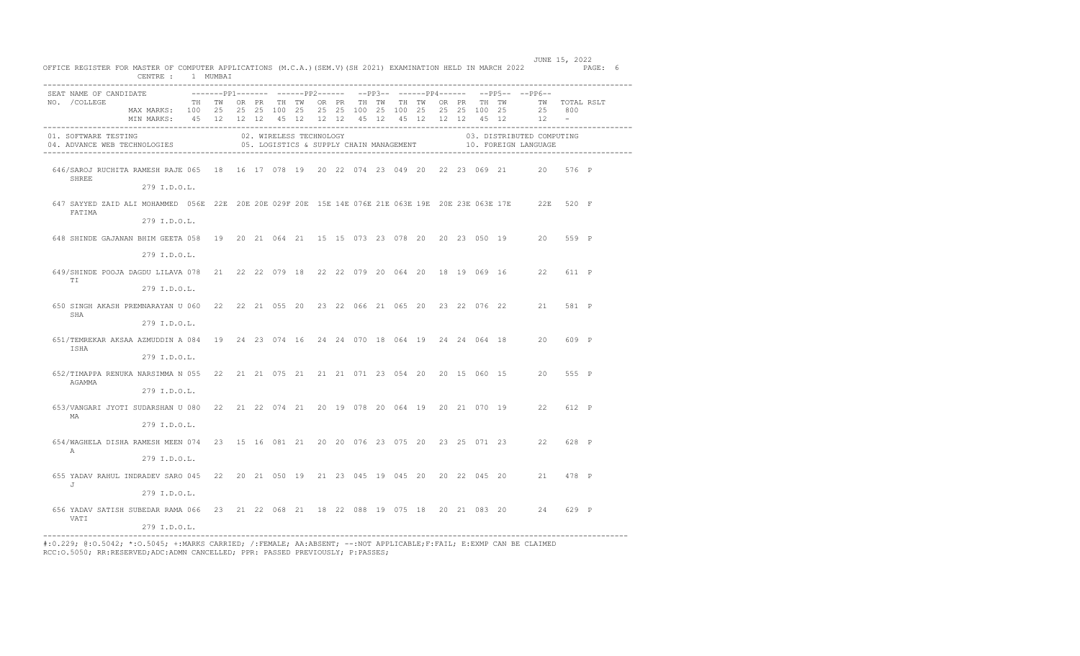| OFFICE REGISTER FOR MASTER OF COMPUTER APPLICATIONS (M.C.A.) (SEM.V) (SH 2021) EXAMINATION HELD IN MARCH 2022 PAGE: 6 | CENTRE : 1 MUMBAI                                                                                                                                                                               |  |  |                         |  |  |                                         |  |                                                                              |                                                   |       |  |
|-----------------------------------------------------------------------------------------------------------------------|-------------------------------------------------------------------------------------------------------------------------------------------------------------------------------------------------|--|--|-------------------------|--|--|-----------------------------------------|--|------------------------------------------------------------------------------|---------------------------------------------------|-------|--|
| SEAT NAME OF CANDIDATE<br>NO. / COLLEGE                                                                               | TH TWORPR THIWORPR THITWITH TWORPR THITWORPR THITWIT OTAL RSLT<br>MAX MARKS: 100 25 25 25 100 25 25 25 100 25 100 25 25 25 100 25<br>MIN MARKS: 45 12 12 12 45 12 12 12 45 12 45 12 12 12 45 12 |  |  |                         |  |  |                                         |  | --------pp1------- -------pp2------ --pp3-- -------pp4------ --pp5-- --pp6-- | 25 800<br>$12 -$                                  |       |  |
| 01. SOFTWARE TESTING<br>04. ADVANCE WEB TECHNOLOGIES                                                                  |                                                                                                                                                                                                 |  |  | 02. WIRELESS TECHNOLOGY |  |  | 05. LOGISTICS & SUPPLY CHAIN MANAGEMENT |  |                                                                              | 03. DISTRIBUTED COMPUTING<br>10. FOREIGN LANGUAGE |       |  |
| 646/SAROJ RUCHITA RAMESH RAJE 065 18 16 17 078 19 20 22 074 23 049 20 22 23 069 21 20 576 P<br>SHREE                  | 279 I.D.O.L.                                                                                                                                                                                    |  |  |                         |  |  |                                         |  |                                                                              |                                                   |       |  |
| 647 SAYYED ZAID ALI MOHAMMED 056E 22E 20E 20E 029F 20E 15E 14E 076E 21E 063E 19E 20E 23E 063E 17E 22E 520 F<br>FATIMA | 279 I.D.O.L.                                                                                                                                                                                    |  |  |                         |  |  |                                         |  |                                                                              |                                                   |       |  |
| 648 SHINDE GAJANAN BHIM GEETA 058 19 20 21 064 21 15 15 073 23 078 20 20 23 050 19 20                                 | 279 I.D.O.L.                                                                                                                                                                                    |  |  |                         |  |  |                                         |  |                                                                              |                                                   | 559 P |  |
| 649/SHINDE POOJA DAGDU LILAVA 078 21 22 22 079 18 22 22 079 20 064 20 18 19 069 16 22 611 P<br>TI                     |                                                                                                                                                                                                 |  |  |                         |  |  |                                         |  |                                                                              |                                                   |       |  |
| 650 SINGH AKASH PREMNARAYAN U 060 22 22 21 055 20 23 22 066 21 065 20 23 22 076 22 21 581 P<br>SHA                    | 279 I.D.O.L.                                                                                                                                                                                    |  |  |                         |  |  |                                         |  |                                                                              |                                                   |       |  |
| 651/TEMREKAR AKSAA AZMUDDIN A 084 19 24 23 074 16 24 24 070 18 064 19 24 24 064 18 20<br>ISHA                         | 279 I.D.O.L.                                                                                                                                                                                    |  |  |                         |  |  |                                         |  |                                                                              |                                                   | 609 P |  |
| 652/TIMAPPA RENUKA NARSIMMA N 055 22 21 21 075 21 21 21 071 23 054 20 20 15 060 15 20 555 P<br>AGAMMA                 | 279 I.D.O.L.                                                                                                                                                                                    |  |  |                         |  |  |                                         |  |                                                                              |                                                   |       |  |
| 653/VANGARI JYOTI SUDARSHAN U 080 22 21 22 074 21 20 19 078 20 064 19 20 21 070 19 22 612 P<br>MA                     | 279 I.D.O.L.                                                                                                                                                                                    |  |  |                         |  |  |                                         |  |                                                                              |                                                   |       |  |
| 654/WAGHELA DISHA RAMESH MEEN 074 23 15 16 081 21 20 20 076 23 075 20 23 25 071 23 22 628 P                           | 279 I.D.O.L.                                                                                                                                                                                    |  |  |                         |  |  |                                         |  |                                                                              |                                                   |       |  |
| A<br>655 YADAV RAHUL INDRADEV SARO 045 22 20 21 050 19 21 23 045 19 045 20 20 22 045 20 21 478 P                      | 279 I.D.O.L.                                                                                                                                                                                    |  |  |                         |  |  |                                         |  |                                                                              |                                                   |       |  |
| J<br>656 YADAV SATISH SUBEDAR RAMA 066 23 21 22 068 21 18 22 088 19 075 18 20 21 083 20 24                            | 279 I.D.O.L.                                                                                                                                                                                    |  |  |                         |  |  |                                         |  |                                                                              |                                                   | 629 P |  |
| <b>VATT</b>                                                                                                           | 279 I.D.O.L.                                                                                                                                                                                    |  |  |                         |  |  |                                         |  |                                                                              |                                                   |       |  |

JUNE 15, 2022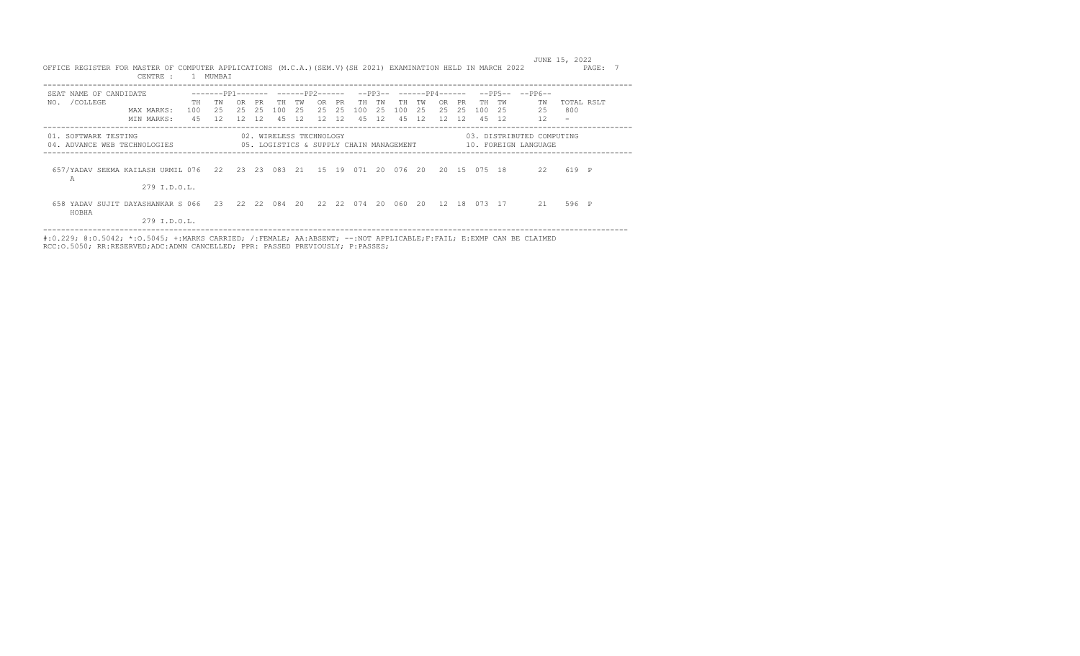|                                                                                | CENTRE :                                     | 1 MIJMBAT                                           |                            |                  |                         |                 |                  |                       |                    |             |                 |                 |                                          |                  |                    |           |                                                   |                             |  |
|--------------------------------------------------------------------------------|----------------------------------------------|-----------------------------------------------------|----------------------------|------------------|-------------------------|-----------------|------------------|-----------------------|--------------------|-------------|-----------------|-----------------|------------------------------------------|------------------|--------------------|-----------|---------------------------------------------------|-----------------------------|--|
| SEAT NAME OF CANDIDATE<br>/COLLEGE<br>NO.                                      | TH<br>100<br>MAX MARKS:<br>4.5<br>MIN MARKS: | -------PP1------- ------PP2------<br>тw<br>25<br>12 | 0 <sub>R</sub><br>25<br>12 | PR.<br>2.5<br>12 | TН<br>100<br>4.5        | TW<br>2.5<br>12 | OR.<br>2.5<br>12 | <b>PR</b><br>25<br>12 | TН<br>100<br>45 12 | тw<br>- 2.5 | TH<br>100<br>45 | тw<br>-25<br>12 | $--PP3-----PP4-----$<br>OR.<br>2.5<br>12 | PR.<br>2.5<br>12 | TН<br>100<br>45 12 | TW<br>2.5 | $--PP5----PP6--$<br>TW<br>2.5<br>12               | TOTAL RSLT<br>800<br>$\sim$ |  |
| 01. SOFTWARE TESTING<br>04. ADVANCE WEB TECHNOLOGIES                           |                                              | 05. LOGISTICS & SUPPLY CHAIN MANAGEMENT             |                            |                  | 02. WIRELESS TECHNOLOGY |                 |                  |                       |                    |             |                 |                 |                                          |                  |                    |           | 03. DISTRIBUTED COMPUTING<br>10. FOREIGN LANGUAGE |                             |  |
| 657/YADAV SEEMA KAILASH URMIL 076 22 23 23 083 21 15 19 071 20 076 20<br>А     | 279 I.D.O.L.                                 |                                                     |                            |                  |                         |                 |                  |                       |                    |             |                 |                 |                                          |                  | 20 15 075 18       |           | 22                                                | 619 P                       |  |
| 658 YADAV SUJIT DAYASHANKAR S 066 23 22 22 084 20 22 22 074 20 060 20<br>HOBHA | 279 I.D.O.L.                                 |                                                     |                            |                  |                         |                 |                  |                       |                    |             |                 |                 | 12 18                                    |                  | 073 17             |           | 21                                                | 596 P                       |  |

 JUNE 15, 2022 OFFICE REGISTER FOR MASTER OF COMPUTER APPLICATIONS (M.C.A.)(SEM.V)(SH 2021) EXAMINATION HELD IN MARCH 2022 PAGE: 7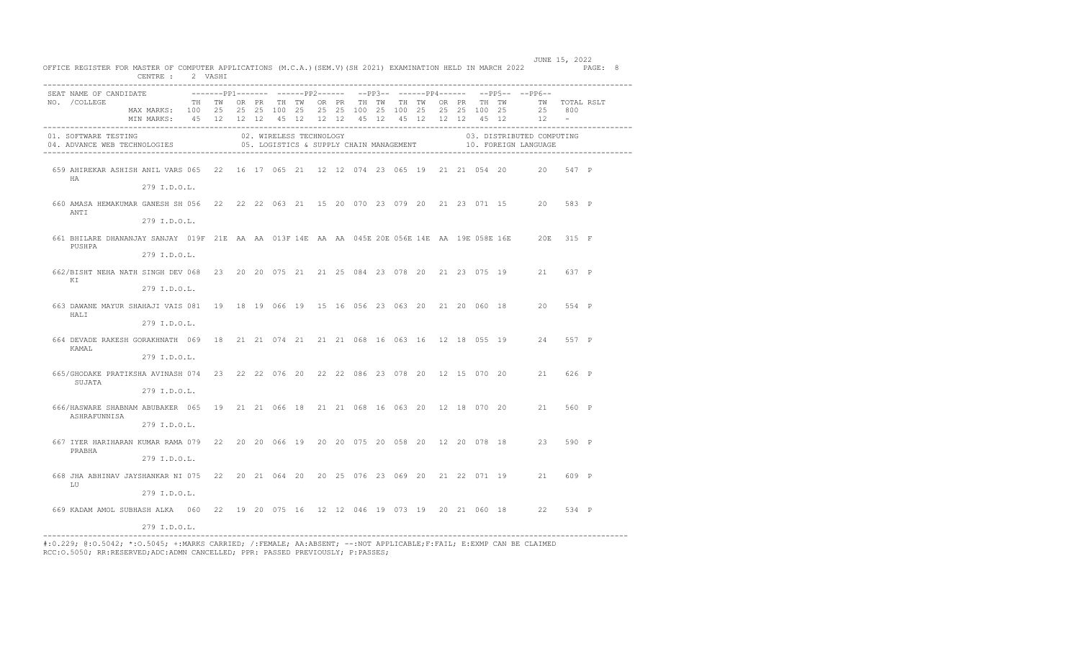|                                                                                                        | CENTRE : 2 VASHI                                           |       |  |                         |  |                   |  |  |  |                                                          |                                                                           |                      |  |
|--------------------------------------------------------------------------------------------------------|------------------------------------------------------------|-------|--|-------------------------|--|-------------------|--|--|--|----------------------------------------------------------|---------------------------------------------------------------------------|----------------------|--|
| SEAT NAME OF CANDIDATE                                                                                 |                                                            |       |  |                         |  |                   |  |  |  |                                                          | -------pp1------- ------pp2------ --pp3-- ------pp4------ --pp5-- --pp6-- |                      |  |
| NO. / COLLEGE                                                                                          | MAX MARKS: 100 25 25 25 100 25                             | TH TW |  | OR PR TH TW             |  | OR PR TH TW TH TW |  |  |  | OR PR TH TW<br>25  25  100  25  100  25  25  25  100  25 | TW TOTAL RSLT                                                             |                      |  |
|                                                                                                        | MIN MARKS: 45 12 12 12 45 12 12 12 45 12 45 12 12 12 45 12 |       |  |                         |  |                   |  |  |  |                                                          | 25 800<br>12                                                              | $\sim 100$ m $^{-1}$ |  |
| 01. SOFTWARE TESTING                                                                                   |                                                            |       |  | 02. WIRELESS TECHNOLOGY |  |                   |  |  |  |                                                          | 03. DISTRIBUTED COMPUTING                                                 |                      |  |
| 04. ADVANCE WEB TECHNOLOGIES                                                                           |                                                            |       |  |                         |  |                   |  |  |  |                                                          | 05. LOGISTICS & SUPPLY CHAIN MANAGEMENT 10. FOREIGN LANGUAGE              |                      |  |
|                                                                                                        |                                                            |       |  |                         |  |                   |  |  |  |                                                          |                                                                           |                      |  |
| 659 AHIREKAR ASHISH ANIL VARS 065 22 16 17 065 21 12 12 074 23 065 19 21 21 054 20 20 547 P            |                                                            |       |  |                         |  |                   |  |  |  |                                                          |                                                                           |                      |  |
| HA                                                                                                     | 279 I.D.O.L.                                               |       |  |                         |  |                   |  |  |  |                                                          |                                                                           |                      |  |
|                                                                                                        |                                                            |       |  |                         |  |                   |  |  |  |                                                          |                                                                           |                      |  |
| 660 AMASA HEMAKUMAR GANESH SH 056 22 22 22 063 21 15 20 070 23 079 20 21 23 071 15 20 583 P<br>ANTI    |                                                            |       |  |                         |  |                   |  |  |  |                                                          |                                                                           |                      |  |
|                                                                                                        | 279 I.D.O.L.                                               |       |  |                         |  |                   |  |  |  |                                                          |                                                                           |                      |  |
| 661 BHILARE DHANANJAY SANJAY 019F 21E AA AA 013F 14E AA AA 045E 20E 056E 14E AA 19E 058E 16E 20E 315 F |                                                            |       |  |                         |  |                   |  |  |  |                                                          |                                                                           |                      |  |
| PUSHPA                                                                                                 |                                                            |       |  |                         |  |                   |  |  |  |                                                          |                                                                           |                      |  |
|                                                                                                        | 279 I.D.O.L.                                               |       |  |                         |  |                   |  |  |  |                                                          |                                                                           |                      |  |
| 662/BISHT_NEHA_NATH_SINGH_DEV_068 23 20 20 075 21 21 25 084 23 078 20 21 23 075 19 21 637 P            |                                                            |       |  |                         |  |                   |  |  |  |                                                          |                                                                           |                      |  |
| ΚI                                                                                                     | 279 I.D.O.L.                                               |       |  |                         |  |                   |  |  |  |                                                          |                                                                           |                      |  |
|                                                                                                        |                                                            |       |  |                         |  |                   |  |  |  |                                                          |                                                                           |                      |  |
| 663 DAWANE MAYUR SHAHAJI VAIS 081 19 18 19 066 19 15 16 056 23 063 20 21 20 060 18 20<br>HALI          |                                                            |       |  |                         |  |                   |  |  |  |                                                          |                                                                           | 554 P                |  |
|                                                                                                        | 279 I.D.O.L.                                               |       |  |                         |  |                   |  |  |  |                                                          |                                                                           |                      |  |
| 664 DEVADE RAKESH GORAKHNATH 069 18 21 21 074 21 21 21 068 16 063 16 12 18 055 19 24 557 P             |                                                            |       |  |                         |  |                   |  |  |  |                                                          |                                                                           |                      |  |
| KAMAL                                                                                                  |                                                            |       |  |                         |  |                   |  |  |  |                                                          |                                                                           |                      |  |
|                                                                                                        | 279 I.D.O.L.                                               |       |  |                         |  |                   |  |  |  |                                                          |                                                                           |                      |  |
| 665/GHODAKE PRATIKSHA AVINASH 074 23 22 22 076 20 22 22 086 23 078 20 12 15 070 20 21 626 P            |                                                            |       |  |                         |  |                   |  |  |  |                                                          |                                                                           |                      |  |
| SUJATA                                                                                                 | 279 I.D.O.L.                                               |       |  |                         |  |                   |  |  |  |                                                          |                                                                           |                      |  |
| 666/HASWARE SHABNAM ABUBAKER 065 19 21 21 066 18 21 21 068 16 063 20 12 18 070 20 21 560 P             |                                                            |       |  |                         |  |                   |  |  |  |                                                          |                                                                           |                      |  |
| ASHRAFUNNISA                                                                                           |                                                            |       |  |                         |  |                   |  |  |  |                                                          |                                                                           |                      |  |
|                                                                                                        | 279 I.D.O.L.                                               |       |  |                         |  |                   |  |  |  |                                                          |                                                                           |                      |  |
| 667 IYER HARIHARAN KUMAR RAMA 079 22 20 20 066 19 20 20 075 20 058 20 12 20 078 18 23 590 P            |                                                            |       |  |                         |  |                   |  |  |  |                                                          |                                                                           |                      |  |
| PRABHA                                                                                                 | 279 I.D.O.L.                                               |       |  |                         |  |                   |  |  |  |                                                          |                                                                           |                      |  |
|                                                                                                        |                                                            |       |  |                         |  |                   |  |  |  |                                                          |                                                                           |                      |  |
| 668 JHA ABHINAV JAYSHANKAR NI 075 22 20 21 064 20 20 25 076 23 069 20 21 22 071 19 21 609 P<br>LU      |                                                            |       |  |                         |  |                   |  |  |  |                                                          |                                                                           |                      |  |
|                                                                                                        | 279 I.D.O.L.                                               |       |  |                         |  |                   |  |  |  |                                                          |                                                                           |                      |  |
| 669 KADAM AMOL SUBHASH ALKA 060 22 19 20 075 16 12 12 046 19 073 19 20 21 060 18 22                    |                                                            |       |  |                         |  |                   |  |  |  |                                                          |                                                                           | 534 P                |  |
|                                                                                                        |                                                            |       |  |                         |  |                   |  |  |  |                                                          |                                                                           |                      |  |
| --------------                                                                                         | 279 I.D.O.L.                                               |       |  |                         |  |                   |  |  |  |                                                          |                                                                           |                      |  |

 JUNE 15, 2022 OFFICE REGISTER FOR MASTER OF COMPUTER APPLICATIONS (M.C.A.)(SEM.V)(SH 2021) EXAMINATION HELD IN MARCH 2022 PAGE: 8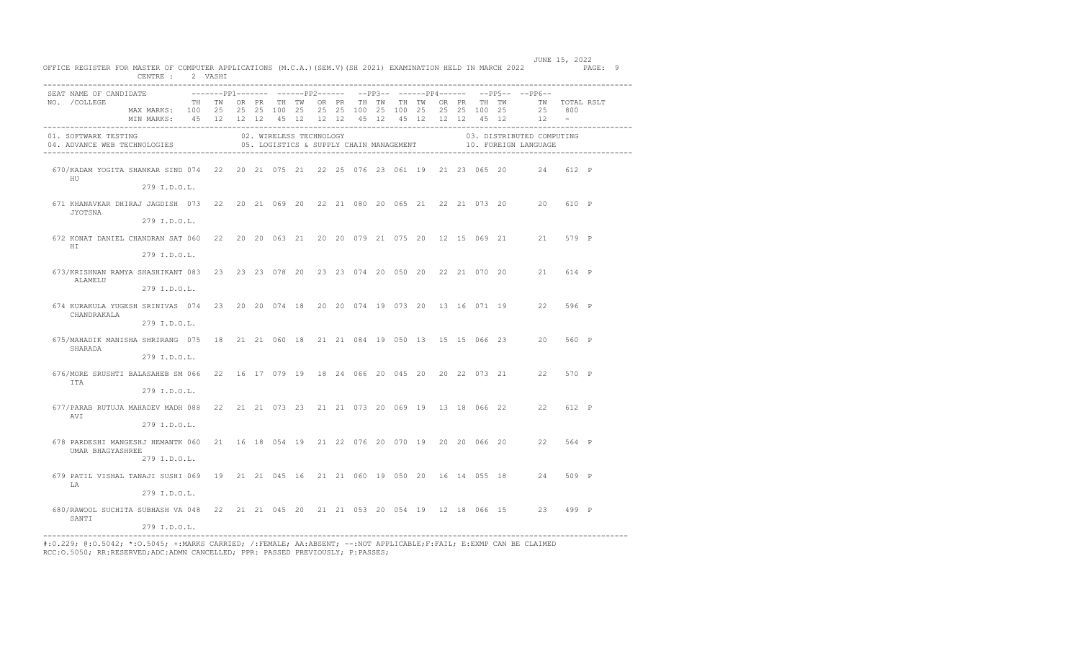|                                         | OFFICE REGISTER FOR MASTER OF COMPUTER APPLICATIONS (M.C.A.) (SEM.V) (SH 2021) EXAMINATION HELD IN MARCH 2022 PAGE: 9<br>CENTRE : 2 VASHI                                        |  |  |                         |  |                                         |  |  |  |                                                                                                                    |  |
|-----------------------------------------|----------------------------------------------------------------------------------------------------------------------------------------------------------------------------------|--|--|-------------------------|--|-----------------------------------------|--|--|--|--------------------------------------------------------------------------------------------------------------------|--|
| SEAT NAME OF CANDIDATE<br>NO. / COLLEGE | TH TW OR PR TH TW OR PR TH TW TH TW OR PR TH TW<br>MAX MARKS: 100 25 25 25 100 25 25 25 100 25 100 25 25 25 100 25<br>MIN MARKS: 45 12 12 12 45 12 12 12 45 12 45 12 12 12 45 12 |  |  |                         |  |                                         |  |  |  | --------pp1------- -------pp2------ --pp3-- ------pp4------ --pp5-- --pp6--<br>TW TOTAL RSLT<br>25 800<br>$12 - -$ |  |
| 01. SOFTWARE TESTING                    | 04. ADVANCE WEB TECHNOLOGIES                                                                                                                                                     |  |  | 02. WIRELESS TECHNOLOGY |  | 05. LOGISTICS & SUPPLY CHAIN MANAGEMENT |  |  |  | 03. DISTRIBUTED COMPUTING<br>10. FOREIGN LANGUAGE                                                                  |  |
| HU                                      | 670/KADAM YOGITA SHANKAR SIND 074 22 20 21 075 21 22 25 076 23 061 19 21 23 065 20 24 612 P<br>279 I.D.O.L.                                                                      |  |  |                         |  |                                         |  |  |  |                                                                                                                    |  |
| JYOTSNA                                 | 671 KHANAVKAR DHIRAJ JAGDISH 073 22 20 21 069 20 22 21 080 20 065 21 22 21 073 20 20 610 P<br>279 I.D.O.L.                                                                       |  |  |                         |  |                                         |  |  |  |                                                                                                                    |  |
| HT.                                     | 672 KONAT DANIEL CHANDRAN SAT 060 22 20 20 063 21 20 20 079 21 075 20 12 15 069 21 21 579 P<br>279 I.D.O.L.                                                                      |  |  |                         |  |                                         |  |  |  |                                                                                                                    |  |
| ALAMELU                                 | 673/KRISHNAN RAMYA SHASHIKANT 083 23 23 23 078 20 23 23 074 20 050 20 22 21 070 20 21 614 P<br>279 I.D.O.L.                                                                      |  |  |                         |  |                                         |  |  |  |                                                                                                                    |  |
| CHANDRAKALA                             | 674 KURAKULA YUGESH SRINIVAS 074 23 20 20 074 18 20 20 074 19 073 20 13 16 071 19 22 596 P<br>279 I.D.O.L.                                                                       |  |  |                         |  |                                         |  |  |  |                                                                                                                    |  |
| SHARADA                                 | 675/MAHADIK MANISHA SHRIRANG 075 18 21 21 060 18 21 21 084 19 050 13 15 15 066 23 20 560 P<br>279 I.D.O.L.                                                                       |  |  |                         |  |                                         |  |  |  |                                                                                                                    |  |
| <b>TTA</b>                              | 676/MORE SRUSHTI BALASAHEB SM 066 22 16 17 079 19 18 24 066 20 045 20 20 22 073 21 22 570 P<br>279 I.D.O.L.                                                                      |  |  |                         |  |                                         |  |  |  |                                                                                                                    |  |
| AVI                                     | 677/PARAB RUTUJA MAHADEV MADH 088 22 21 21 073 23 21 21 073 20 069 19 13 18 066 22 22 612 P<br>279 I.D.O.L.                                                                      |  |  |                         |  |                                         |  |  |  |                                                                                                                    |  |
| UMAR BHAGYASHREE                        | 678 PARDESHI MANGESHJ HEMANTK 060 21 16 18 054 19 21 22 076 20 070 19 20 20 066 20 22 564 P<br>279 I.D.O.L.                                                                      |  |  |                         |  |                                         |  |  |  |                                                                                                                    |  |
| LA                                      | 679 PATIL VISHAL TANAJI SUSHI 069 19 21 21 045 16 21 21 060 19 050 20 16 14 055 18 24 509 P<br>279 I.D.O.L.                                                                      |  |  |                         |  |                                         |  |  |  |                                                                                                                    |  |
| SANTI                                   | 680/RAWOOL SUCHITA SUBHASH VA 048 22 21 21 045 20 21 21 053 20 054 19 12 18 066 15 23 499 P<br>279 I.D.O.L.                                                                      |  |  |                         |  |                                         |  |  |  |                                                                                                                    |  |

JUNE 15, 2022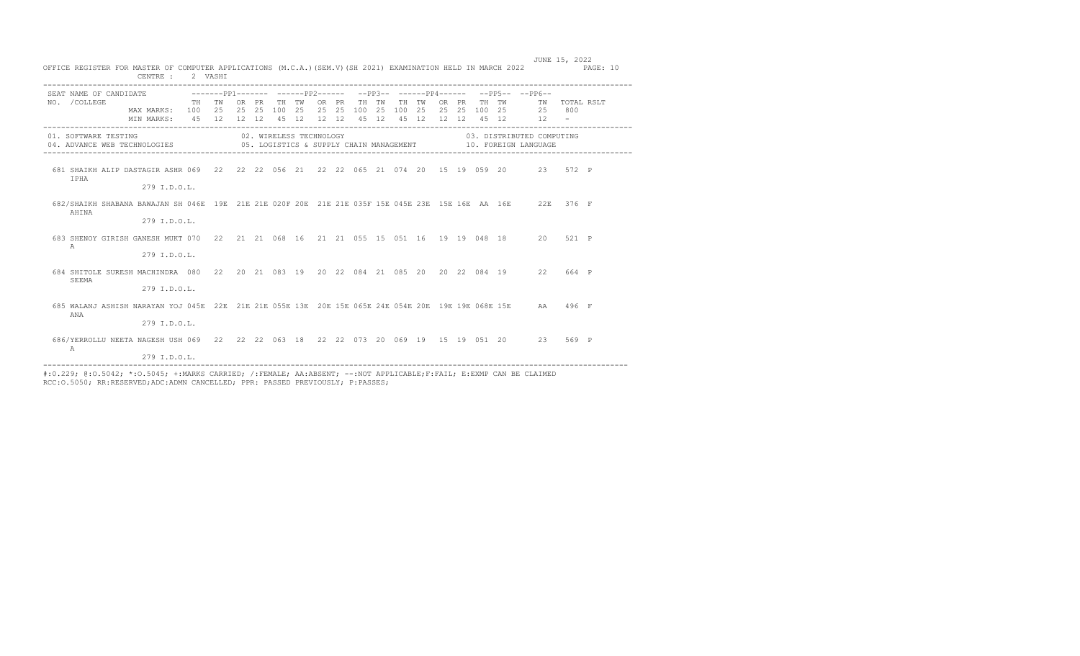|                                                                                                                     | CENTRE :                    | 2 VASHI                             |    |    |       |       |       |               |    |     |       |       |             |                           |               |  |
|---------------------------------------------------------------------------------------------------------------------|-----------------------------|-------------------------------------|----|----|-------|-------|-------|---------------|----|-----|-------|-------|-------------|---------------------------|---------------|--|
| SEAT NAME OF CANDIDATE $---PP1------PP1------PP2----- ---PP3------PP4------$                                        |                             |                                     |    |    |       |       |       |               |    |     |       |       |             | $--PP5----PP6--$          |               |  |
| NO. / COLLEGE                                                                                                       |                             | TH TW                               | OR | PR | TH TW |       | OR PR | TH TW         | TH | TW  |       | OR PR | TH TW       |                           | TW TOTAL RSLT |  |
|                                                                                                                     | MAX MARKS: 100 25 25 25 100 |                                     |    |    |       | 25 25 |       | 25 100 25 100 |    | 2.5 | 25 25 |       |             | 100 25 25 800<br>12       |               |  |
|                                                                                                                     | MIN MARKS:                  | 45 12 12 12 45 12 12 12 45 12 45 12 |    |    |       |       |       |               |    |     |       |       | 12 12 45 12 |                           |               |  |
| 01. SOFTWARE TESTING                                                                                                |                             | 02. WIRELESS TECHNOLOGY             |    |    |       |       |       |               |    |     |       |       |             | 03. DISTRIBUTED COMPUTING |               |  |
| 04. ADVANCE WEB TECHNOLOGIES 6. LOGISTICS & SUPPLY CHAIN MANAGEMENT 10. FOREIGN LANGUAGE                            |                             |                                     |    |    |       |       |       |               |    |     |       |       |             |                           |               |  |
|                                                                                                                     |                             |                                     |    |    |       |       |       |               |    |     |       |       |             |                           |               |  |
| 681 SHAIKH ALIP DASTAGIR ASHR 069 22 22 22 056 21 22 22 065 21 074 20 15 19 059 20 23 572 P<br><b>TPHA</b>          |                             |                                     |    |    |       |       |       |               |    |     |       |       |             |                           |               |  |
|                                                                                                                     | 279 I.D.O.L.                |                                     |    |    |       |       |       |               |    |     |       |       |             |                           |               |  |
|                                                                                                                     |                             |                                     |    |    |       |       |       |               |    |     |       |       |             |                           |               |  |
| 682/SHAIKH SHABANA BAWAJAN SH 046E 19E 21E 21E 020F 20E 21E 21E 035F 15E 045E 23E 15E 16E AA 16E 22E 376 F<br>AHINA |                             |                                     |    |    |       |       |       |               |    |     |       |       |             |                           |               |  |
|                                                                                                                     | 279 I.D.O.L.                |                                     |    |    |       |       |       |               |    |     |       |       |             |                           |               |  |
|                                                                                                                     |                             |                                     |    |    |       |       |       |               |    |     |       |       |             |                           |               |  |
| 683 SHENOY GIRISH GANESH MUKT 070 22 21 21 068 16 21 21 055 15 051 16 19 19 048 18 20 521 P<br>$\triangleright$     |                             |                                     |    |    |       |       |       |               |    |     |       |       |             |                           |               |  |
|                                                                                                                     | $279$ T.D.O.L.              |                                     |    |    |       |       |       |               |    |     |       |       |             |                           |               |  |
| 684 SHITOLE SURESH MACHINDRA 080 22 20 21 083 19 20 22 084 21 085 20 20 22 084 19 22 664 P                          |                             |                                     |    |    |       |       |       |               |    |     |       |       |             |                           |               |  |
| SEEMA                                                                                                               |                             |                                     |    |    |       |       |       |               |    |     |       |       |             |                           |               |  |
|                                                                                                                     | 279 I.D.O.L.                |                                     |    |    |       |       |       |               |    |     |       |       |             |                           |               |  |
| 685 WALANJ ASHISH NARAYAN YOJ 045E 22E 21E 21E 055E 13E 20E 15E 065E 24E 054E 20E 19E 19E 068E 15E AA 496 F         |                             |                                     |    |    |       |       |       |               |    |     |       |       |             |                           |               |  |
| ANA                                                                                                                 |                             |                                     |    |    |       |       |       |               |    |     |       |       |             |                           |               |  |
|                                                                                                                     | 279 I.D.O.L.                |                                     |    |    |       |       |       |               |    |     |       |       |             |                           |               |  |
| 686/YERROLLU NEETA NAGESH USH 069 22 22 22 063 18 22 22 073 20 069 19 15 19 051 20 23 569 P                         |                             |                                     |    |    |       |       |       |               |    |     |       |       |             |                           |               |  |
| $\triangleright$                                                                                                    |                             |                                     |    |    |       |       |       |               |    |     |       |       |             |                           |               |  |
|                                                                                                                     | 279 I.D.O.L.                |                                     |    |    |       |       |       |               |    |     |       |       |             |                           |               |  |

RCC:O.5050; RR:RESERVED;ADC:ADMN CANCELLED; PPR: PASSED PREVIOUSLY; P:PASSES;

OFFICE REGISTER FOR MASTER OF COMPUTER APPLICATIONS (M.C.A.)(SEM.V)(SH 2021) EXAMINATION HELD IN MARCH 2022 PAGE: 10 CENTRE : 2 VASHI SEAT NAME OF CANDIDATE -------PP1------- -----PP2------ --PP3-- ------PP4------ --PP5-- --PP6-- NO. /COLLEGE TH TW OR PR TH TW OR PR TH TW TH TW OR PR TH TW TW TOTAL RSLT MAX MARKS: 100 25 25 25 100 25 25 25 100 25 100 25 25 25 100 25 25 800

JUNE 15, 2022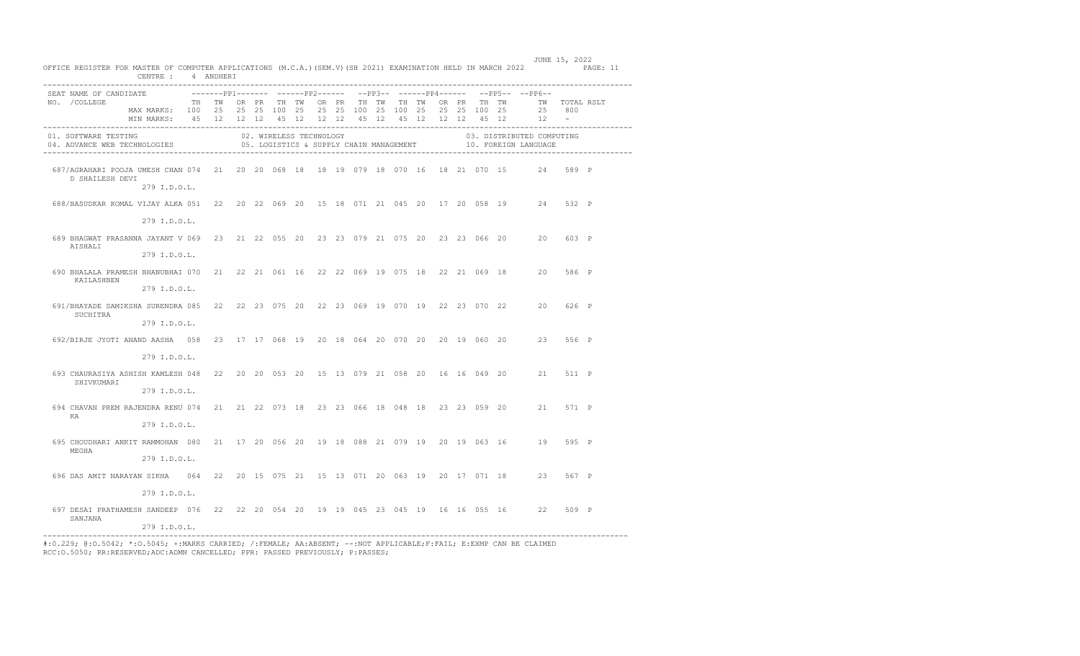| OFFICE REGISTER FOR MASTER OF COMPUTER APPLICATIONS (M.C.A.) (SEM.V) (SH 2021) EXAMINATION HELD IN MARCH 2022 PAGE: 11 | CENTRE: 4 ANDHERI                                               |  |  |  |  |                         |  |  |  | JUNE 15, 2022                                                                             |       |  |
|------------------------------------------------------------------------------------------------------------------------|-----------------------------------------------------------------|--|--|--|--|-------------------------|--|--|--|-------------------------------------------------------------------------------------------|-------|--|
| SEAT NAME OF CANDIDATE                                                                                                 |                                                                 |  |  |  |  |                         |  |  |  | ---------pp1------- -------pp2------ --pp3-- ------pp4------ --pp5-- --pp6--              |       |  |
| NO. / COLLEGE                                                                                                          | TH TWORPR THITWORPR THITWITHITWORPR THITWORTHITWORTHING         |  |  |  |  |                         |  |  |  |                                                                                           |       |  |
|                                                                                                                        | MAX MARKS: 100 25 25 25 100 25 25 25 100 25 100 25 25 25 100 25 |  |  |  |  |                         |  |  |  | 25 800                                                                                    |       |  |
|                                                                                                                        | MIN MARKS: 45 12 12 12 45 12 12 12 45 12 45 12 12 12 45 12 12 - |  |  |  |  |                         |  |  |  |                                                                                           |       |  |
| 01. SOFTWARE TESTING<br>04. ADVANCE WEB TECHNOLOGIES                                                                   |                                                                 |  |  |  |  | 02. WIRELESS TECHNOLOGY |  |  |  | 03. DISTRIBUTED COMPUTING<br>05. LOGISTICS & SUPPLY CHAIN MANAGEMENT 40. FOREIGN LANGUAGE |       |  |
| 687/AGRAHARI POOJA UMESH CHAN 074 21 20 20 068 18 18 19 079 18 070 16 18 21 070 15 24 589 P<br>D SHAILESH DEVI         | 279 I.D.O.L.                                                    |  |  |  |  |                         |  |  |  |                                                                                           |       |  |
|                                                                                                                        |                                                                 |  |  |  |  |                         |  |  |  |                                                                                           |       |  |
| 688/BASUDKAR KOMAL VIJAY ALKA 051 22 20 22 069 20 15 18 071 21 045 20 17 20 058 19 24 532 P                            |                                                                 |  |  |  |  |                         |  |  |  |                                                                                           |       |  |
|                                                                                                                        | 279 I.D.O.L.                                                    |  |  |  |  |                         |  |  |  |                                                                                           |       |  |
| 689 BHAGWAT PRASANNA JAYANT V 069 23 21 22 055 20 23 23 079 21 075 20 23 23 066 20 20 603 P<br>AISHALI                 |                                                                 |  |  |  |  |                         |  |  |  |                                                                                           |       |  |
|                                                                                                                        | 279 I.D.O.L.                                                    |  |  |  |  |                         |  |  |  |                                                                                           |       |  |
| 690 BHALALA PRAMESH BHANUBHAI 070 21 22 21 061 16 22 22 069 19 075 18 22 21 069 18 20 586 P<br>KAILASHBEN              |                                                                 |  |  |  |  |                         |  |  |  |                                                                                           |       |  |
|                                                                                                                        | 279 I.D.O.L.                                                    |  |  |  |  |                         |  |  |  |                                                                                           |       |  |
| 691/BHAYADE SAMIKSHA SURENDRA 085 22 22 23 075 20 22 23 069 19 070 19 22 23 070 22 20 626 P<br>SUCHITRA                |                                                                 |  |  |  |  |                         |  |  |  |                                                                                           |       |  |
|                                                                                                                        | 279 I.D.O.L.                                                    |  |  |  |  |                         |  |  |  |                                                                                           |       |  |
| 692/BIRJE JYOTI ANAND AASHA 058 23 17 17 068 19 20 18 064 20 070 20 20 19 060 20 - 23 556 P                            | 279 I.D.O.L.                                                    |  |  |  |  |                         |  |  |  |                                                                                           |       |  |
| 693 CHAURASIYA ASHISH KAMLESH 048 22 20 20 053 20 15 13 079 21 058 20 16 16 049 20 21 511 P                            |                                                                 |  |  |  |  |                         |  |  |  |                                                                                           |       |  |
| SHIVKUMARI                                                                                                             |                                                                 |  |  |  |  |                         |  |  |  |                                                                                           |       |  |
|                                                                                                                        | 279 I.D.O.L.                                                    |  |  |  |  |                         |  |  |  |                                                                                           |       |  |
| 694 CHAVAN PREM RAJENDRA RENU 074 21 21 22 073 18 23 23 066 18 048 18 23 23 059 20 21 571 P<br>KA                      |                                                                 |  |  |  |  |                         |  |  |  |                                                                                           |       |  |
|                                                                                                                        | 279 I.D.O.L.                                                    |  |  |  |  |                         |  |  |  |                                                                                           |       |  |
| 695 CHOUDHARI ANKIT RAMMOHAN 080 21 17 20 056 20 19 18 088 21 079 19 20 19 063 16 19 595 P<br>MEGHA                    |                                                                 |  |  |  |  |                         |  |  |  |                                                                                           |       |  |
|                                                                                                                        | 279 I.D.O.L.                                                    |  |  |  |  |                         |  |  |  |                                                                                           |       |  |
| 696 DAS AMIT NARAYAN SIKHA 064 22 20 15 075 21 15 13 071 20 063 19 20 17 071 18 23 567 P                               |                                                                 |  |  |  |  |                         |  |  |  |                                                                                           |       |  |
|                                                                                                                        | 279 I.D.O.L.                                                    |  |  |  |  |                         |  |  |  |                                                                                           |       |  |
| 697 DESAI PRATHAMESH SANDEEP 076 22 22 20 054 20 19 19 045 23 045 19 16 16 055 16 22<br>SANJANA                        |                                                                 |  |  |  |  |                         |  |  |  |                                                                                           | 509 P |  |
| -----------------                                                                                                      | 279 I.D.O.L.                                                    |  |  |  |  |                         |  |  |  |                                                                                           |       |  |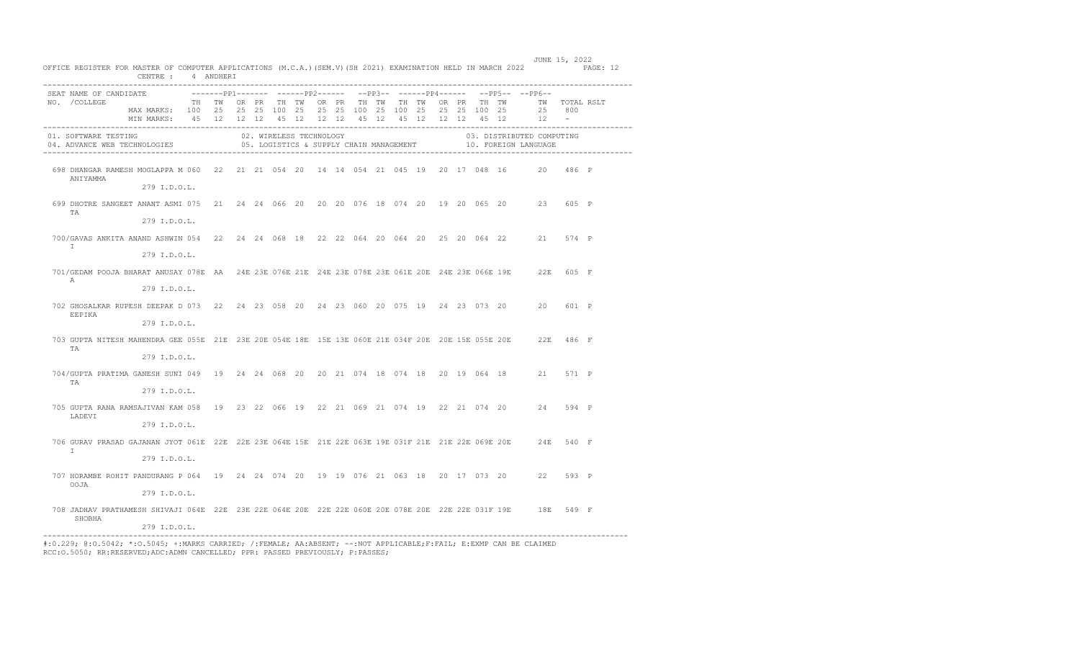| SEAT NAME OF CANDIDATE |                                                                                                                               |  |  |                         |  |  |  |  |  | --------PP1------- ------PP2------ --PP3-- ------PP4------ --PP5-- --PP6--                |     |  |
|------------------------|-------------------------------------------------------------------------------------------------------------------------------|--|--|-------------------------|--|--|--|--|--|-------------------------------------------------------------------------------------------|-----|--|
| NO. / COLLEGE          | TH TWORPR THIWORPR THITWITH TWORPR THITWORPR THITWIT OTAL RSLT                                                                |  |  |                         |  |  |  |  |  |                                                                                           |     |  |
|                        | MAX MARKS: 100 25 25 25 100 25 25 25 100 25 100 25 25 25 100 25<br>MIN MARKS: 45 12 12 12 45 12 12 12 45 12 45 12 12 12 45 12 |  |  |                         |  |  |  |  |  | 25<br>$12 -$                                                                              | 800 |  |
|                        |                                                                                                                               |  |  |                         |  |  |  |  |  |                                                                                           |     |  |
|                        | 01. SOFTWARE TESTING<br>04. ADVANCE WEB TECHNOLOGIES                                                                          |  |  | 02. WIRELESS TECHNOLOGY |  |  |  |  |  | 03. DISTRIBUTED COMPUTING<br>05. LOGISTICS & SUPPLY CHAIN MANAGEMENT 40. FOREIGN LANGUAGE |     |  |
|                        |                                                                                                                               |  |  |                         |  |  |  |  |  |                                                                                           |     |  |
|                        | 698 DHANGAR RAMESH MOGLAPPA M 060 22 21 21 054 20 14 14 054 21 045 19 20 17 048 16 20 486 P                                   |  |  |                         |  |  |  |  |  |                                                                                           |     |  |
| ANIYAMMA               | 279 I.D.O.L.                                                                                                                  |  |  |                         |  |  |  |  |  |                                                                                           |     |  |
|                        |                                                                                                                               |  |  |                         |  |  |  |  |  |                                                                                           |     |  |
| TA                     | 699 DHOTRE SANGEET ANANT ASMI 075 21 24 24 066 20 20 20 076 18 074 20 19 20 065 20 23 605 P                                   |  |  |                         |  |  |  |  |  |                                                                                           |     |  |
|                        | 279 I.D.O.L.                                                                                                                  |  |  |                         |  |  |  |  |  |                                                                                           |     |  |
|                        | 700/GAVAS ANKITA ANAND ASHWIN 054 22 24 24 068 18 22 22 064 20 064 20 25 20 064 22 21 574 P                                   |  |  |                         |  |  |  |  |  |                                                                                           |     |  |
| $\mathbb{I}$           | 279 I.D.O.L.                                                                                                                  |  |  |                         |  |  |  |  |  |                                                                                           |     |  |
|                        | 701/GEDAM POOJA BHARAT ANUSAY 078E AA 24E 23E 076E 21E 24E 23E 078E 23E 061E 20E 24E 23E 066E 19E 22E 605 F                   |  |  |                         |  |  |  |  |  |                                                                                           |     |  |
| $\overline{A}$         | 279 I.D.O.L.                                                                                                                  |  |  |                         |  |  |  |  |  |                                                                                           |     |  |
|                        | 702 GHOSALKAR RUPESH DEEPAK D 073 22 24 23 058 20 24 23 060 20 075 19 24 23 073 20 20 601 P                                   |  |  |                         |  |  |  |  |  |                                                                                           |     |  |
| EEPIKA                 | 279 I.D.O.L.                                                                                                                  |  |  |                         |  |  |  |  |  |                                                                                           |     |  |
|                        | 703 GUPTA NITESH MAHENDRA GEE 055E 21E 23E 20E 054E 18E 15E 13E 060E 21E 034F 20E 20E 15E 055E 20E 22E 486 F                  |  |  |                         |  |  |  |  |  |                                                                                           |     |  |
| TA                     | 279 I.D.O.L.                                                                                                                  |  |  |                         |  |  |  |  |  |                                                                                           |     |  |
|                        | 704/GUPTA PRATIMA GANESH SUNI 049 19 24 24 068 20 20 21 074 18 074 18 20 19 064 18 21 571 P                                   |  |  |                         |  |  |  |  |  |                                                                                           |     |  |
| TA                     | 279 I.D.O.L.                                                                                                                  |  |  |                         |  |  |  |  |  |                                                                                           |     |  |
|                        | 705 GUPTA RANA RAMSAJIVAN KAM 058 19 23 22 066 19 22 21 069 21 074 19 22 21 074 20 24 594 P                                   |  |  |                         |  |  |  |  |  |                                                                                           |     |  |
| LADEVI                 | 279 I.D.O.L.                                                                                                                  |  |  |                         |  |  |  |  |  |                                                                                           |     |  |
|                        | 706 GURAV PRASAD GAJANAN JYOT 061E 22E 22E 23E 064E 15E 21E 22E 063E 19E 031F 21E 21E 22E 069E 20E 24E 540 F                  |  |  |                         |  |  |  |  |  |                                                                                           |     |  |
| $\mathbb{I}$           | 279 I.D.O.L.                                                                                                                  |  |  |                         |  |  |  |  |  |                                                                                           |     |  |
|                        | 707 HORAMBE ROHIT PANDURANG P 064 19 24 24 074 20 19 19 076 21 063 18 20 17 073 20 22 593 P                                   |  |  |                         |  |  |  |  |  |                                                                                           |     |  |
| OOJA                   | 279 I.D.O.L.                                                                                                                  |  |  |                         |  |  |  |  |  |                                                                                           |     |  |
|                        | 708 JADHAV PRATHAMESH SHIVAJI 064E 22E 23E 22E 064E 20E 22E 22E 060E 20E 078E 20E 22E 22E 031F 19E 18E 549 F                  |  |  |                         |  |  |  |  |  |                                                                                           |     |  |
| SHOBHA                 | 279 I.D.O.L.                                                                                                                  |  |  |                         |  |  |  |  |  |                                                                                           |     |  |
|                        |                                                                                                                               |  |  |                         |  |  |  |  |  |                                                                                           |     |  |

---------------------------------------------------------------------------------------------------------------------------------- #:0.229; @:O.5042; \*:O.5045; +:MARKS CARRIED; /:FEMALE; AA:ABSENT; --:NOT APPLICABLE;F:FAIL; E:EXMP CAN BE CLAIMED RCC:O.5050; RR:RESERVED;ADC:ADMN CANCELLED; PPR: PASSED PREVIOUSLY; P:PASSES;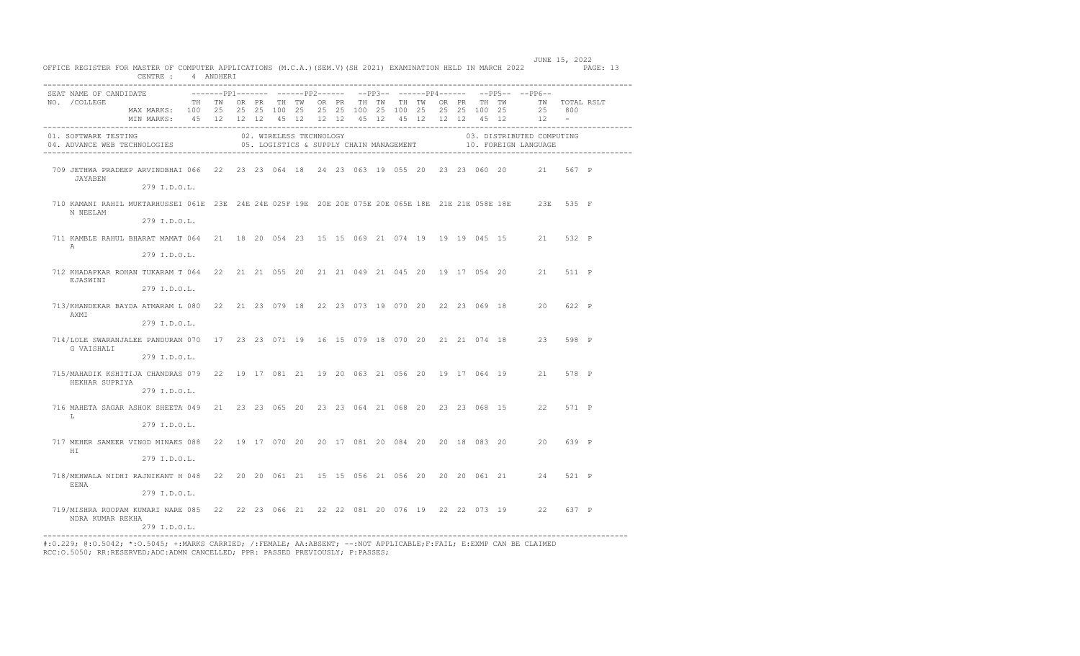|             |                                                                                                                          |                                                                                                                                        |  | CENTRE : 4 ANDHERI |  |  |  |  |  |  |                                                                            |        | OFFICE REGISTER FOR MASTER OF COMPUTER APPLICATIONS (M.C.A.) (SEM.V) (SH 2021) EXAMINATION HELD IN MARCH 2022 PAGE: 13 |
|-------------|--------------------------------------------------------------------------------------------------------------------------|----------------------------------------------------------------------------------------------------------------------------------------|--|--------------------|--|--|--|--|--|--|----------------------------------------------------------------------------|--------|------------------------------------------------------------------------------------------------------------------------|
|             | SEAT NAME OF CANDIDATE                                                                                                   |                                                                                                                                        |  |                    |  |  |  |  |  |  | --------PP1------- ------PP2------ --PP3-- ------PP4------ --PP5-- --PP6-- |        |                                                                                                                        |
|             | NO. / COLLEGE                                                                                                            | TH TWORPR THTWORPR THTWTHTWORPR THTWORPR THTWTWTOTALRSLT                                                                               |  |                    |  |  |  |  |  |  |                                                                            |        |                                                                                                                        |
|             |                                                                                                                          | MAX MARKS: 100 25 25 25 100 25 25 25 100 25 100 25 25 25 100 25 25 800<br>MIN MARKS: 45 12 12 12 45 12 12 12 45 12 45 12 12 12 45 12 1 |  |                    |  |  |  |  |  |  |                                                                            |        |                                                                                                                        |
|             |                                                                                                                          |                                                                                                                                        |  |                    |  |  |  |  |  |  |                                                                            |        |                                                                                                                        |
|             |                                                                                                                          |                                                                                                                                        |  |                    |  |  |  |  |  |  |                                                                            |        |                                                                                                                        |
|             | 709 JETHWA PRADEEP ARVINDBHAI 066 22 23 23 064 18 24 23 063 19 055 20 23 23 060 20 21 567 P<br>JAYABEN                   |                                                                                                                                        |  |                    |  |  |  |  |  |  |                                                                            |        |                                                                                                                        |
|             |                                                                                                                          | 279 I.D.O.L.                                                                                                                           |  |                    |  |  |  |  |  |  |                                                                            |        |                                                                                                                        |
|             | 710 KAMANI RAHIL MUKTARHUSSEI 061E 23E 24E 24E 025F 19E 20E 20E 075E 20E 065E 18E 21E 21E 058E 18E 23E 535 F<br>N NEELAM |                                                                                                                                        |  |                    |  |  |  |  |  |  |                                                                            |        |                                                                                                                        |
|             |                                                                                                                          | 279 I.D.O.L.                                                                                                                           |  |                    |  |  |  |  |  |  |                                                                            |        |                                                                                                                        |
| A           | 711 KAMBLE RAHUL BHARAT MAMAT 064 21 18 20 054 23 15 15 069 21 074 19 19 19 045 15 21 532 P                              |                                                                                                                                        |  |                    |  |  |  |  |  |  |                                                                            |        |                                                                                                                        |
|             |                                                                                                                          | 279 I.D.O.L.                                                                                                                           |  |                    |  |  |  |  |  |  |                                                                            |        |                                                                                                                        |
|             | 712 KHADAPKAR ROHAN TUKARAM T 064 22 21 21 055 20 21 21 049 21 045 20 19 17 054 20 21 511 P<br>EJASWINI                  |                                                                                                                                        |  |                    |  |  |  |  |  |  |                                                                            |        |                                                                                                                        |
|             |                                                                                                                          | 279 I.D.O.L.                                                                                                                           |  |                    |  |  |  |  |  |  |                                                                            |        |                                                                                                                        |
|             | 713/KHANDEKAR BAYDA ATMARAM L 080 22 21 23 079 18 22 23 073 19 070 20 22 23 069 18 20 622 P<br>AXMI                      |                                                                                                                                        |  |                    |  |  |  |  |  |  |                                                                            |        |                                                                                                                        |
|             |                                                                                                                          | 279 I.D.O.L.                                                                                                                           |  |                    |  |  |  |  |  |  |                                                                            |        |                                                                                                                        |
|             | 714/LOLE SWARANJALEE PANDURAN 070 17 23 23 071 19 16 15 079 18 070 20 21 21 074 18 23 598 P<br>G VAISHALI                |                                                                                                                                        |  |                    |  |  |  |  |  |  |                                                                            |        |                                                                                                                        |
|             |                                                                                                                          | 279 I.D.O.L.                                                                                                                           |  |                    |  |  |  |  |  |  |                                                                            |        |                                                                                                                        |
|             | 715/MAHADIK KSHITIJA CHANDRAS 079 22 19 17 081 21 19 20 063 21 056 20 19 17 064 19 21 578 P<br>HEKHAR SUPRIYA            |                                                                                                                                        |  |                    |  |  |  |  |  |  |                                                                            |        |                                                                                                                        |
|             |                                                                                                                          | 279 I.D.O.L.                                                                                                                           |  |                    |  |  |  |  |  |  |                                                                            |        |                                                                                                                        |
| $T_{\rm t}$ | 716 MAHETA SAGAR ASHOK SHEETA 049 21 23 23 065 20 23 23 064 21 068 20 23 23 068 15 22 571 P                              |                                                                                                                                        |  |                    |  |  |  |  |  |  |                                                                            |        |                                                                                                                        |
|             |                                                                                                                          | 279 I.D.O.L.                                                                                                                           |  |                    |  |  |  |  |  |  |                                                                            |        |                                                                                                                        |
|             | 717 MEHER SAMEER VINOD MINAKS 088 22 19 17 070 20 20 17 081 20 084 20 20 18 083 20 20<br>HT.                             |                                                                                                                                        |  |                    |  |  |  |  |  |  |                                                                            | 639 P  |                                                                                                                        |
|             |                                                                                                                          | 279 I.D.O.L.                                                                                                                           |  |                    |  |  |  |  |  |  |                                                                            |        |                                                                                                                        |
|             | 718/MEHWALA NIDHI RAJNIKANT H 048 22 20 20 061 21 15 15 056 21 056 20 20 20 061 21 24 521 P<br>EENA                      |                                                                                                                                        |  |                    |  |  |  |  |  |  |                                                                            |        |                                                                                                                        |
|             |                                                                                                                          | 279 I.D.O.L.                                                                                                                           |  |                    |  |  |  |  |  |  |                                                                            |        |                                                                                                                        |
|             | 719/MISHRA ROOPAM KUMARI NARE 085 22 22 23 066 21 22 22 081 20 076 19 22 22 073 19 22<br>NDRA KUMAR REKHA                | 279 I.D.O.L.                                                                                                                           |  |                    |  |  |  |  |  |  |                                                                            | 6.37 P |                                                                                                                        |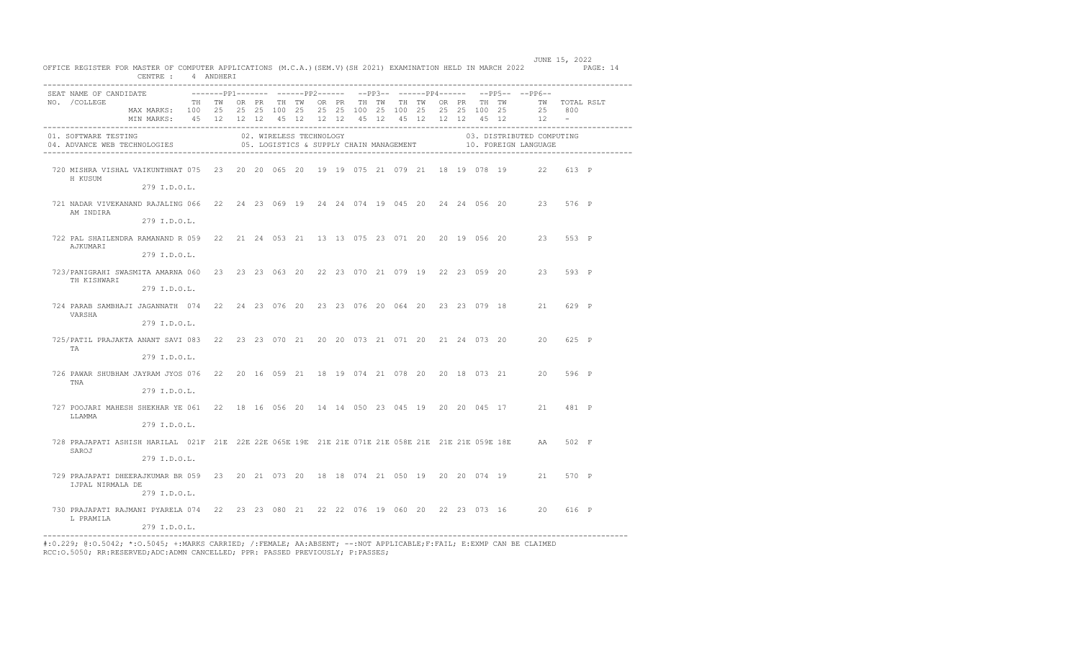| OFFICE REGISTER FOR MASTER OF COMPUTER APPLICATIONS (M.C.A.) (SEM.V) (SH 2021) EXAMINATION HELD IN MARCH 2022 PAGE: 14                     | CENTRE : 4 ANDHERI                                              |  |  |                         |  |  |  |  |  | JUNE 15, 2022                                                              |  |
|--------------------------------------------------------------------------------------------------------------------------------------------|-----------------------------------------------------------------|--|--|-------------------------|--|--|--|--|--|----------------------------------------------------------------------------|--|
| SEAT NAME OF CANDIDATE                                                                                                                     |                                                                 |  |  |                         |  |  |  |  |  | --------PP1------- ------PP2------ --PP3-- ------PP4------ --PP5-- --PP6-- |  |
|                                                                                                                                            |                                                                 |  |  |                         |  |  |  |  |  |                                                                            |  |
|                                                                                                                                            | MAX MARKS: 100 25 25 25 100 25 25 25 100 25 100 25 25 25 100 25 |  |  |                         |  |  |  |  |  | 25 800                                                                     |  |
|                                                                                                                                            | MIN MARKS: 45 12 12 12 45 12 12 12 45 12 45 12 12 12 45 12 12 - |  |  |                         |  |  |  |  |  |                                                                            |  |
| 01. SOFTWARE TESTING<br>05. SOFTMAND IDSITING<br>04. ADVANCE WEB TECHNOLOGIES 05. LOGISTICS & SUPPLY CHAIN MANAGEMENT 10. FOREIGN LANGUAGE |                                                                 |  |  | 02. WIRELESS TECHNOLOGY |  |  |  |  |  | 03. DISTRIBUTED COMPUTING                                                  |  |
| 720 MISHRA VISHAL VAIKUNTHNAT 075 23 20 20 065 20 19 19 075 21 079 21 18 19 078 19 22 613 P<br>H KUSUM                                     |                                                                 |  |  |                         |  |  |  |  |  |                                                                            |  |
|                                                                                                                                            | 279 I.D.O.L.                                                    |  |  |                         |  |  |  |  |  |                                                                            |  |
| 721 NADAR VIVEKANAND RAJALING 066 22 24 23 069 19 24 24 074 19 045 20 24 24 056 20 23 576 P<br>AM INDIRA                                   |                                                                 |  |  |                         |  |  |  |  |  |                                                                            |  |
|                                                                                                                                            | 279 I.D.O.L.                                                    |  |  |                         |  |  |  |  |  |                                                                            |  |
| 722 PAL SHAILENDRA RAMANAND R 059 22 21 24 053 21 13 13 075 23 071 20 20 19 056 20 23 553 P<br>AJKUMARI                                    |                                                                 |  |  |                         |  |  |  |  |  |                                                                            |  |
|                                                                                                                                            | 279 I.D.O.L.                                                    |  |  |                         |  |  |  |  |  |                                                                            |  |
| 723/PANIGRAHI SWASMITA AMARNA 060 23 23 23 063 20 22 23 070 21 079 19 22 23 059 20 23 593 P<br>TH KISHWARI                                 |                                                                 |  |  |                         |  |  |  |  |  |                                                                            |  |
|                                                                                                                                            | 279 I.D.O.L.                                                    |  |  |                         |  |  |  |  |  |                                                                            |  |
| 724 PARAB SAMBHAJI JAGANNATH 074 22 24 23 076 20 23 23 076 20 064 20 23 23 079 18 21 629 P<br>VARSHA                                       |                                                                 |  |  |                         |  |  |  |  |  |                                                                            |  |
|                                                                                                                                            | 279 I.D.O.L.                                                    |  |  |                         |  |  |  |  |  |                                                                            |  |
| 725/PATIL PRAJAKTA ANANT SAVI 083 22 23 23 070 21 20 20 073 21 071 20 21 24 073 20 20 625 P<br>TA                                          |                                                                 |  |  |                         |  |  |  |  |  |                                                                            |  |
|                                                                                                                                            | 279 I.D.O.L.                                                    |  |  |                         |  |  |  |  |  |                                                                            |  |
| 726 PAWAR SHUBHAM JAYRAM JYOS 076 22 20 16 059 21 18 19 074 21 078 20 20 18 073 21 20 596 P<br>TNA                                         |                                                                 |  |  |                         |  |  |  |  |  |                                                                            |  |
|                                                                                                                                            | 279 I.D.O.L.                                                    |  |  |                         |  |  |  |  |  |                                                                            |  |
| 727 POOJARI MAHESH SHEKHAR YE 061 22 18 16 056 20 14 14 050 23 045 19 20 20 045 17 21 481 P<br>LLAMMA                                      |                                                                 |  |  |                         |  |  |  |  |  |                                                                            |  |
|                                                                                                                                            | 279 I.D.O.L.                                                    |  |  |                         |  |  |  |  |  |                                                                            |  |
| 728 PRAJAPATI ASHISH HARILAL 021F 21E 22E 22E 065E 19E 21E 21E 071E 21E 058E 21E 21E 21E 059E 18E AA 502 F<br>SAROJ                        |                                                                 |  |  |                         |  |  |  |  |  |                                                                            |  |
|                                                                                                                                            | 279 I.D.O.L.                                                    |  |  |                         |  |  |  |  |  |                                                                            |  |
| 729 PRAJAPATI DHEERAJKUMAR BR 059 23 20 21 073 20 18 18 074 21 050 19 20 20 074 19 21 570 P<br>IJPAL NIRMALA DE                            | 279 I.D.O.L.                                                    |  |  |                         |  |  |  |  |  |                                                                            |  |
| 730 PRAJAPATI RAJMANI PYARELA 074 22 23 23 080 21 22 22 076 19 060 20 22 23 073 16 20 616 P                                                |                                                                 |  |  |                         |  |  |  |  |  |                                                                            |  |
| L PRAMILA                                                                                                                                  | 279 I.D.O.L.                                                    |  |  |                         |  |  |  |  |  |                                                                            |  |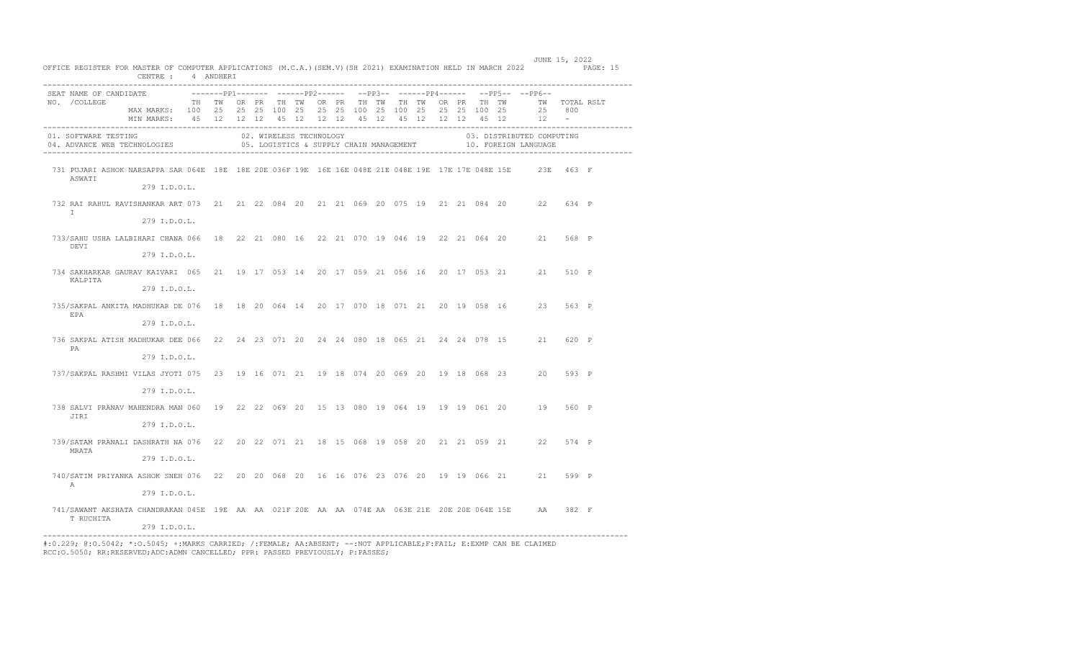| OFFICE REGISTER FOR MASTER OF COMPUTER APPLICATIONS (M.C.A.) (SEM.V) (SH 2021) EXAMINATION HELD IN MARCH 2022 PAGE: 15 | CENTRE : 4 ANDHERI                                                                                                                                                                              |  |  |                         |  |  |  |  |  |                                                                           | JUNE 15, 2022 |       |  |
|------------------------------------------------------------------------------------------------------------------------|-------------------------------------------------------------------------------------------------------------------------------------------------------------------------------------------------|--|--|-------------------------|--|--|--|--|--|---------------------------------------------------------------------------|---------------|-------|--|
| SEAT NAME OF CANDIDATE<br>NO. / COLLEGE                                                                                | TH TWORPR THTWORPR THTWTH TWORPR THTWORTH TWO TWOTAL RSLT<br>MAX MARKS: 100 25 25 25 100 25 25 25 100 25 100 25 25 25 100 25<br>MIN MARKS: 45 12 12 12 45 12 12 12 45 12 45 12 12 12 45 12 12 - |  |  |                         |  |  |  |  |  | -------PP1------- ------PP2------ --PP3-- ------PP4------ --PP5-- --PP6-- | 25 800        |       |  |
| 01. SOFTWARE TESTING                                                                                                   |                                                                                                                                                                                                 |  |  | 02. WIRELESS TECHNOLOGY |  |  |  |  |  | 03. DISTRIBUTED COMPUTING                                                 |               |       |  |
| 731 PUJARI ASHOK NARSAPPA SAR 064E 18E 18E 20E 036F 19E 16E 16E 048E 21E 048E 19E 17E 17E 048E 15E 23E 463 F<br>ASWATI | 279 I.D.O.L.                                                                                                                                                                                    |  |  |                         |  |  |  |  |  |                                                                           |               |       |  |
| 732 RAI RAHUL RAVISHANKAR ART 073 21 21 22 084 20 21 21 069 20 075 19 21 21 084 20 22 634 P<br>T                       | 279 I.D.O.L.                                                                                                                                                                                    |  |  |                         |  |  |  |  |  |                                                                           |               |       |  |
| 733/SAHU USHA LALBIHARI CHANA 066 18 22 21 080 16 22 21 070 19 046 19 22 21 064 20 21 568 P<br>DEVI                    | 279 I.D.O.L.                                                                                                                                                                                    |  |  |                         |  |  |  |  |  |                                                                           |               |       |  |
| 734 SAKHARKAR GAURAV KAIVARI 065 21 19 17 053 14 20 17 059 21 056 16 20 17 053 21 21 510 P<br>KALPITA                  | 279 I.D.O.L.                                                                                                                                                                                    |  |  |                         |  |  |  |  |  |                                                                           |               |       |  |
| 735/SAKPAL ANKITA MADHUKAR DE 076 18 18 20 064 14 20 17 070 18 071 21 20 19 058 16 23 563 P<br>EPA                     | 279 I.D.O.L.                                                                                                                                                                                    |  |  |                         |  |  |  |  |  |                                                                           |               |       |  |
| 736 SAKPAL ATISH MADHUKAR DEE 066 22 24 23 071 20 24 24 080 18 065 21 24 24 078 15 21<br>PA                            | 279 I.D.O.L.                                                                                                                                                                                    |  |  |                         |  |  |  |  |  |                                                                           |               | 620 P |  |
| 737/SAKPAL RASHMI VILAS JYOTI 075 23 19 16 071 21 19 18 074 20 069 20 19 18 068 23 20                                  | 279 I.D.O.L.                                                                                                                                                                                    |  |  |                         |  |  |  |  |  |                                                                           |               | 593 P |  |
| 738 SALVI PRANAV MAHENDRA MAN 060 19 22 22 069 20 15 13 080 19 064 19 19 19 061 20 19 560 P<br>JIRI                    | 279 I.D.O.L.                                                                                                                                                                                    |  |  |                         |  |  |  |  |  |                                                                           |               |       |  |
| 739/SATAM PRANALI DASHRATH NA 076 22 20 22 071 21 18 15 068 19 058 20 21 21 059 21 22 574 P<br>MRATA                   | 279 I.D.O.L.                                                                                                                                                                                    |  |  |                         |  |  |  |  |  |                                                                           |               |       |  |
| 740/SATIM PRIYANKA ASHOK SNEH 076 22 20 20 068 20 16 16 076 23 076 20 19 19 066 21 21 599 P<br>A                       | 279 I.D.O.L.                                                                                                                                                                                    |  |  |                         |  |  |  |  |  |                                                                           |               |       |  |
| 741/SAWANT AKSHATA CHANDRAKAN 045E 19E AA AA 021F 20E AA AA 074E AA 063E 21E 20E 20E 064E 15E AA 382 F<br>T RUCHITA    | 279 I.D.O.L.                                                                                                                                                                                    |  |  |                         |  |  |  |  |  |                                                                           |               |       |  |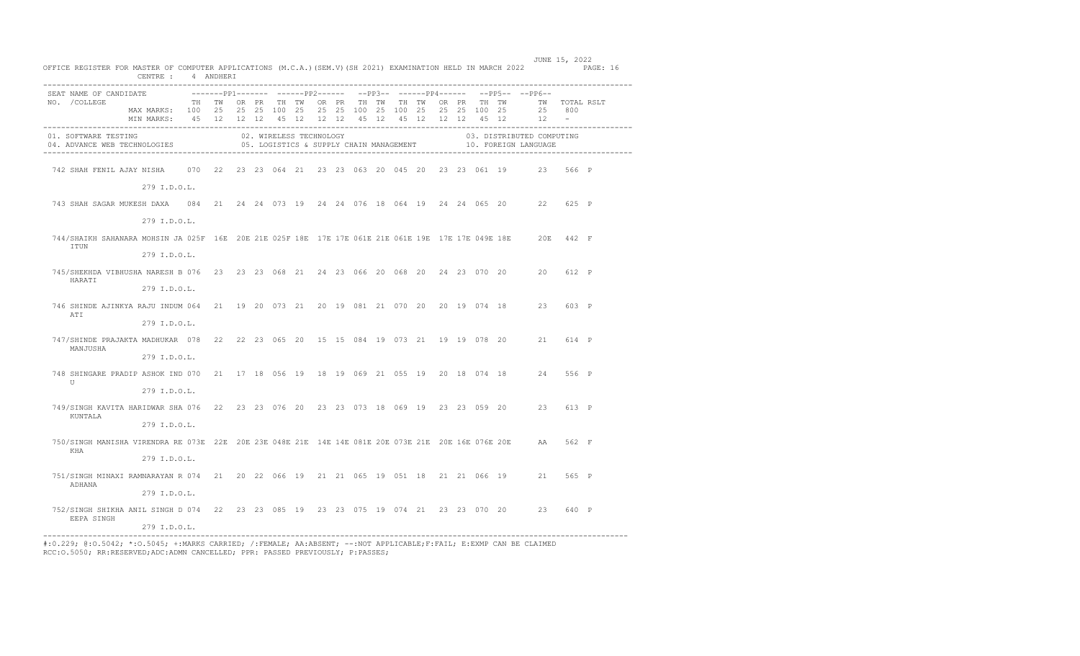| OFFICE REGISTER FOR MASTER OF COMPUTER APPLICATIONS (M.C.A.) (SEM.V) (SH 2021) EXAMINATION HELD IN MARCH 2022 PAGE: 16                                                                                                         | CENTRE : 4 ANDHERI                                                                                                                                                                                        |  |  |  |  |  |  |  |  | JUNE 15, 2022                                                                       |       |  |
|--------------------------------------------------------------------------------------------------------------------------------------------------------------------------------------------------------------------------------|-----------------------------------------------------------------------------------------------------------------------------------------------------------------------------------------------------------|--|--|--|--|--|--|--|--|-------------------------------------------------------------------------------------|-------|--|
| SEAT NAME OF CANDIDATE<br>NO. / COLLEGE                                                                                                                                                                                        | TH TWORPR THITWORPR THITWITH TWORPR THITWORPR THITWAT TWITCTAL RSLT<br>MAX MARKS: 100 25 25 25 100 25 25 25 100 25 100 25 25 25 100 25<br>MIN MARKS: 45 12 12 12 45 12 12 12 45 12 45 12 12 12 45 12 12 - |  |  |  |  |  |  |  |  | -------PP1------- ------PP2------ --PP3-- ------PP4------ --PP5-- --PP6--<br>25 800 |       |  |
| 01. SOFTWARE TESTING COMPUTER SOLUTIONS ON THE SAME RECHNOLOGY SOLUTIONS ON THE SERVICE OF COMPUTER ON SUPPLY CHAIN ANNAGEMENT THE SERVING SOLUTION OF SUPPLY CHAIN ANNAGEMENT THE SOLUTION OF SUPPLY CHAIN ANNAGEMENT THE SOL |                                                                                                                                                                                                           |  |  |  |  |  |  |  |  | 03. DISTRIBUTED COMPUTING                                                           |       |  |
| 742 SHAH FENIL AJAY NISHA 070 22 23 23 064 21 23 23 063 20 045 20 23 23 061 19 23 566 P                                                                                                                                        |                                                                                                                                                                                                           |  |  |  |  |  |  |  |  |                                                                                     |       |  |
|                                                                                                                                                                                                                                | 279 I.D.O.L.                                                                                                                                                                                              |  |  |  |  |  |  |  |  |                                                                                     |       |  |
| 743 SHAH SAGAR MUKESH DAXA 084 21 24 24 073 19 24 24 076 18 064 19 24 24 065 20 22 625 P                                                                                                                                       |                                                                                                                                                                                                           |  |  |  |  |  |  |  |  |                                                                                     |       |  |
|                                                                                                                                                                                                                                | 279 I.D.O.L.                                                                                                                                                                                              |  |  |  |  |  |  |  |  |                                                                                     |       |  |
| 744/SHAIKH SAHANARA MOHSIN JA 025F 16E 20E 21E 025F 18E 17E 17E 061E 21E 061E 19E 17E 17E 049E 18E 20E 442 F<br>ITUN                                                                                                           |                                                                                                                                                                                                           |  |  |  |  |  |  |  |  |                                                                                     |       |  |
|                                                                                                                                                                                                                                | 279 I.D.O.L.                                                                                                                                                                                              |  |  |  |  |  |  |  |  |                                                                                     |       |  |
| 745/SHEKHDA VIBHUSHA NARESH B 076 23 23 23 068 21 24 23 066 20 068 20 24 23 070 20 20 612 P<br>HARATI                                                                                                                          |                                                                                                                                                                                                           |  |  |  |  |  |  |  |  |                                                                                     |       |  |
|                                                                                                                                                                                                                                | 279 I.D.O.L.                                                                                                                                                                                              |  |  |  |  |  |  |  |  |                                                                                     |       |  |
| 746 SHINDE AJINKYA RAJU INDUM 064 21 19 20 073 21 20 19 081 21 070 20 20 19 074 18 23 603 P<br>ATI                                                                                                                             |                                                                                                                                                                                                           |  |  |  |  |  |  |  |  |                                                                                     |       |  |
|                                                                                                                                                                                                                                | 279 I.D.O.L.                                                                                                                                                                                              |  |  |  |  |  |  |  |  |                                                                                     |       |  |
| 747/SHINDE PRAJAKTA MADHUKAR 078 22 22 23 065 20 15 15 084 19 073 21 19 19 078 20 21 614 P<br>MANJUSHA                                                                                                                         |                                                                                                                                                                                                           |  |  |  |  |  |  |  |  |                                                                                     |       |  |
|                                                                                                                                                                                                                                | 279 I.D.O.L.                                                                                                                                                                                              |  |  |  |  |  |  |  |  |                                                                                     |       |  |
| 748 SHINGARE PRADIP ASHOK IND 070 21 17 18 056 19 18 19 069 21 055 19 20 18 074 18 24 556 P<br>$\mathbf{U}$                                                                                                                    |                                                                                                                                                                                                           |  |  |  |  |  |  |  |  |                                                                                     |       |  |
|                                                                                                                                                                                                                                | 279 I.D.O.L.                                                                                                                                                                                              |  |  |  |  |  |  |  |  |                                                                                     |       |  |
| 749/SINGH KAVITA HARIDWAR SHA 076 22 23 23 076 20 23 23 073 18 069 19 23 23 059 20 23 613 P<br>KUNTALA                                                                                                                         |                                                                                                                                                                                                           |  |  |  |  |  |  |  |  |                                                                                     |       |  |
|                                                                                                                                                                                                                                | 279 I.D.O.L.                                                                                                                                                                                              |  |  |  |  |  |  |  |  |                                                                                     |       |  |
| 750/SINGH MANISHA VIRENDRA RE 073E 22E 20E 23E 048E 21E 14E 14E 081E 20E 073E 21E 20E 16E 076E 20E AA 562 F<br>KHA                                                                                                             |                                                                                                                                                                                                           |  |  |  |  |  |  |  |  |                                                                                     |       |  |
|                                                                                                                                                                                                                                | 279 I.D.O.L.                                                                                                                                                                                              |  |  |  |  |  |  |  |  |                                                                                     |       |  |
| 751/SINGH MINAXI RAMNARAYAN R 074 21 20 22 066 19 21 21 065 19 051 18 21 21 066 19 21 565 P<br>ADHANA                                                                                                                          |                                                                                                                                                                                                           |  |  |  |  |  |  |  |  |                                                                                     |       |  |
|                                                                                                                                                                                                                                | 279 I.D.O.L.                                                                                                                                                                                              |  |  |  |  |  |  |  |  |                                                                                     |       |  |
| 752/SINGH SHIKHA ANIL SINGH D 074 22 23 23 085 19 23 23 075 19 074 21 23 23 070 20 23<br>EEPA SINGH                                                                                                                            |                                                                                                                                                                                                           |  |  |  |  |  |  |  |  |                                                                                     | 640 P |  |
|                                                                                                                                                                                                                                | 279 I.D.O.L.                                                                                                                                                                                              |  |  |  |  |  |  |  |  |                                                                                     |       |  |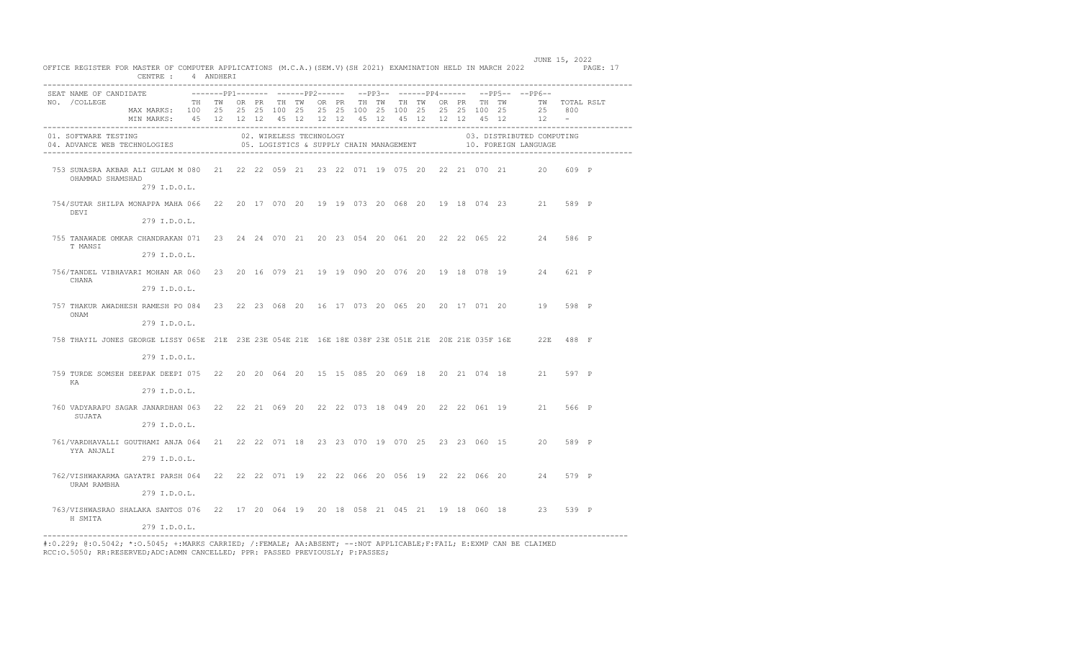| OFFICE REGISTER FOR MASTER OF COMPUTER APPLICATIONS (M.C.A.) (SEM.V) (SH 2021) EXAMINATION HELD IN MARCH 2022 PAGE: 17 | CENTRE : 4 ANDHERI                                                                                                                                                                                    |  |  |                         |  |  |  |  |  | JUNE 15, 2022                                                                             |       |  |
|------------------------------------------------------------------------------------------------------------------------|-------------------------------------------------------------------------------------------------------------------------------------------------------------------------------------------------------|--|--|-------------------------|--|--|--|--|--|-------------------------------------------------------------------------------------------|-------|--|
| SEAT NAME OF CANDIDATE<br>NO. / COLLEGE                                                                                | TH TWORPR THIWORPR THITWITH TWORPR THITWORPR THITWATWITWITHING.<br>MAX MARKS: 100 25 25 25 100 25 25 25 100 25 100 25 25 25 100 25<br>MIN MARKS: 45 12 12 12 45 12 12 12 45 12 45 12 12 12 45 12 12 - |  |  |                         |  |  |  |  |  | ---------pp1------- -------pp2------ --pp3-- ------pp4------ --pp5-- --pp6--<br>25 800    |       |  |
| 01. SOFTWARE TESTING<br>04. ADVANCE WEB TECHNOLOGIES                                                                   |                                                                                                                                                                                                       |  |  | 02. WIRELESS TECHNOLOGY |  |  |  |  |  | 03. DISTRIBUTED COMPUTING<br>05. LOGISTICS & SUPPLY CHAIN MANAGEMENT 40. FOREIGN LANGUAGE |       |  |
| 753 SUNASRA AKBAR ALI GULAM M 080 21 22 22 059 21 23 22 071 19 075 20 22 21 070 21 20 609 P<br>OHAMMAD SHAMSHAD        | 279 I.D.O.L.                                                                                                                                                                                          |  |  |                         |  |  |  |  |  |                                                                                           |       |  |
| 754/SUTAR SHILPA MONAPPA MAHA 066 22 20 17 070 20 19 19 073 20 068 20 19 18 074 23 21 589 P<br>DEVI                    | 279 I.D.O.L.                                                                                                                                                                                          |  |  |                         |  |  |  |  |  |                                                                                           |       |  |
| 755 TANAWADE OMKAR CHANDRAKAN 071 23 24 24 070 21 20 23 054 20 061 20 22 22 065 22 24<br>T MANSI                       | 279 I.D.O.L.                                                                                                                                                                                          |  |  |                         |  |  |  |  |  |                                                                                           | 586 P |  |
| 756/TANDEL VIBHAVARI MOHAN AR 060 23 20 16 079 21 19 19 090 20 076 20 19 18 078 19 24<br>CHANA                         | 279 I.D.O.L.                                                                                                                                                                                          |  |  |                         |  |  |  |  |  |                                                                                           | 621 P |  |
| 757 THAKUR AWADHESH RAMESH PO 084 23 22 23 068 20 16 17 073 20 065 20 20 17 071 20 19 598 P<br>ONAM                    | 279 I.D.O.L.                                                                                                                                                                                          |  |  |                         |  |  |  |  |  |                                                                                           |       |  |
| 758 THAYIL JONES GEORGE LISSY 065E 21E 23E 23E 054E 21E 16E 18E 038F 23E 051E 21E 20E 21E 035F 16E 22E 488 F           | 279 I.D.O.L.                                                                                                                                                                                          |  |  |                         |  |  |  |  |  |                                                                                           |       |  |
| 759 TURDE SOMSEH DEEPAK DEEPI 075 22 20 20 064 20 15 15 085 20 069 18 20 21 074 18 21<br>KA                            | 279 I.D.O.L.                                                                                                                                                                                          |  |  |                         |  |  |  |  |  |                                                                                           | 597 P |  |
| 760 VADYARAPU SAGAR JANARDHAN 063 22 22 21 069 20 22 22 073 18 049 20 22 22 061 19 21 566 P<br>SUJATA                  | 279 I.D.O.L.                                                                                                                                                                                          |  |  |                         |  |  |  |  |  |                                                                                           |       |  |
| 761/VARDHAVALLI GOUTHAMI ANJA 064 21 22 22 071 18 23 23 070 19 070 25 23 23 060 15 20 589 P<br>YYA ANJALI              | 279 I.D.O.L.                                                                                                                                                                                          |  |  |                         |  |  |  |  |  |                                                                                           |       |  |
| 762/VISHWAKARMA GAYATRI PARSH 064 22 22 22 071 19 22 22 066 20 056 19 22 22 066 20 24 579 P<br>URAM RAMBHA             | 279 I.D.O.L.                                                                                                                                                                                          |  |  |                         |  |  |  |  |  |                                                                                           |       |  |
| 763/VISHWASRAO SHALAKA SANTOS 076 22 17 20 064 19 20 18 058 21 045 21 19 18 060 18 23 539 P<br>H SMITA                 | 279 I.D.O.L.                                                                                                                                                                                          |  |  |                         |  |  |  |  |  |                                                                                           |       |  |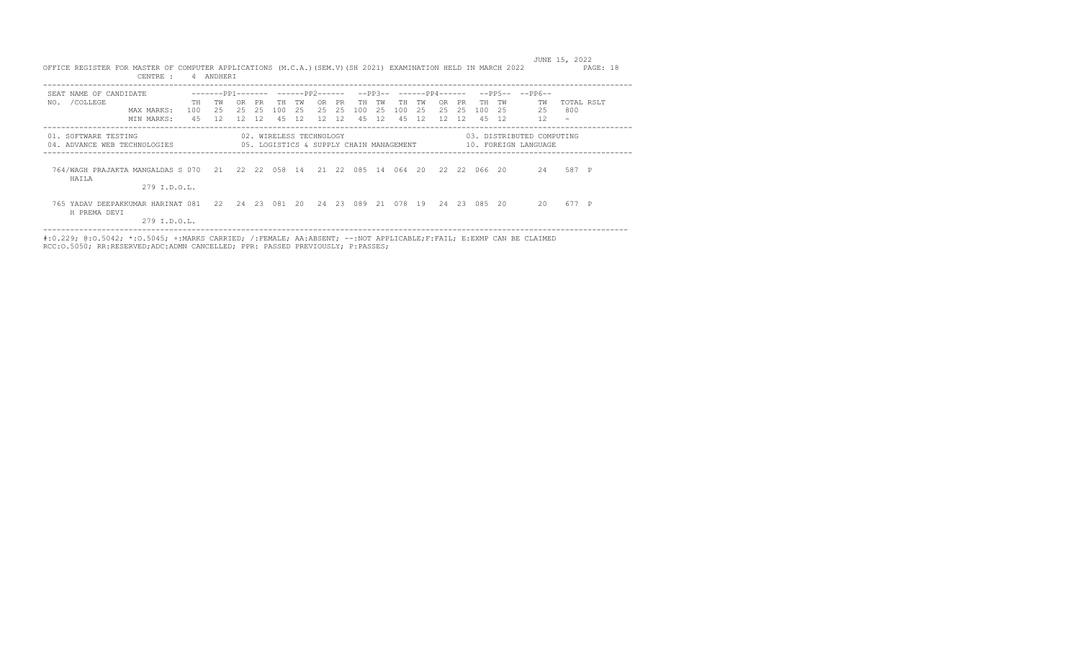| OFFICE REGISTER FOR MASTER OF COMPUTER APPLICATIONS (M.C.A.)(SEM.V)(SH 2021) EXAMINATION HELD IN MARCH 2022<br>CENTRE : |                                         | 4 ANDHERI                           |                                      |                 |                                     |                                             |                 |                              |                 |                                    |                  |                  |                  |                 |                                                   | JUNE 15, 2022                   | PAGE: 18   |
|-------------------------------------------------------------------------------------------------------------------------|-----------------------------------------|-------------------------------------|--------------------------------------|-----------------|-------------------------------------|---------------------------------------------|-----------------|------------------------------|-----------------|------------------------------------|------------------|------------------|------------------|-----------------|---------------------------------------------------|---------------------------------|------------|
| SEAT NAME OF CANDIDATE<br>/COLLEGE<br>NO.<br>MAX MARKS:<br>MIN MARKS:                                                   | <b>TH</b><br>100<br>45                  | $-----PP1------$<br>TW<br>2.5<br>12 | OR.<br>PR.<br>2.5<br>2.5<br>12<br>12 | TH<br>100<br>45 | -------PP2------<br>TW<br>2.5<br>12 | <b>PR</b><br>OR.<br>2.5<br>2.5<br>12<br>-12 | TН<br>100<br>45 | $--PP3--$<br>тw<br>2.5<br>12 | TH<br>100<br>45 | ------PP4------<br>TW<br>2.5<br>12 | OR.<br>2.5<br>12 | PR.<br>2.5<br>12 | TH.<br>100<br>45 | TW<br>2.5<br>12 | $--PP5----PP6--$<br>TW<br>25<br>12                | 800<br>$\overline{\phantom{a}}$ | TOTAL RSLT |
| 01. SOFTWARE TESTING<br>04. ADVANCE WEB TECHNOLOGIES                                                                    | 05. LOGISTICS & SUPPLY CHAIN MANAGEMENT |                                     |                                      |                 | 02. WIRELESS TECHNOLOGY             |                                             |                 |                              |                 |                                    |                  |                  |                  |                 | 03. DISTRIBUTED COMPUTING<br>10. FOREIGN LANGUAGE |                                 |            |
| 764/WAGH PRAJAKTA MANGALDAS S 070 21 22 22 058 14<br>HAILA<br>279 I.D.O.L.                                              |                                         |                                     |                                      |                 |                                     | 21 22 085 14                                |                 |                              | 064 20          |                                    | 22               |                  | 22 066 20        |                 | 2.4                                               | 587 P                           |            |
| 765 YADAV DEEPAKKUMAR HARINAT 081<br>H PREMA DEVI<br>279 I.D.O.L.                                                       |                                         |                                     | 22 24 23 081 20                      |                 |                                     | 24 23 089 21                                |                 |                              | 078 19          |                                    |                  |                  | 24 23 085 20     |                 | 20                                                | 677 P                           |            |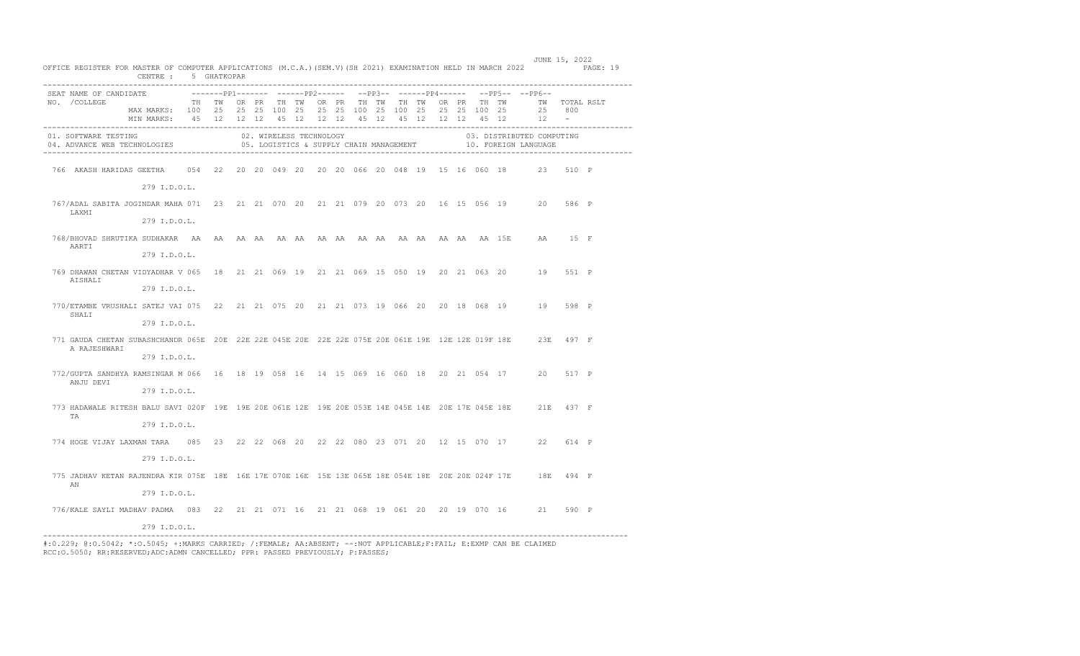| OFFICE REGISTER FOR MASTER OF COMPUTER APPLICATIONS (M.C.A.) (SEM.V) (SH 2021) EXAMINATION HELD IN MARCH 2022 PAGE: 19             | CENTRE : 5 GHATKOPAR                                                                                                                   |  |  |                         |  |  |  |  |  |                                                                           | JUNE 15, 2022 |  |
|------------------------------------------------------------------------------------------------------------------------------------|----------------------------------------------------------------------------------------------------------------------------------------|--|--|-------------------------|--|--|--|--|--|---------------------------------------------------------------------------|---------------|--|
| SEAT NAME OF CANDIDATE                                                                                                             |                                                                                                                                        |  |  |                         |  |  |  |  |  | -------PP1------- ------PP2------ --PP3-- ------PP4------ --PP5-- --PP6-- |               |  |
| NO. / COLLEGE                                                                                                                      | TH TWORPR THTWORPR THTWTH TWORPR THTWORPR THTWT TWTOTAL RSLT                                                                           |  |  |                         |  |  |  |  |  |                                                                           |               |  |
|                                                                                                                                    | MAX MARKS: 100 25 25 25 100 25 25 25 100 25 100 25 25 25 100 25 25 800<br>MIN MARKS: 45 12 12 12 45 12 12 12 45 12 45 12 12 12 45 12 1 |  |  |                         |  |  |  |  |  |                                                                           |               |  |
|                                                                                                                                    |                                                                                                                                        |  |  |                         |  |  |  |  |  |                                                                           |               |  |
| 01. SOFTWARE TESTING<br>04. ADVANCE WEB TECHNOLOGIES <b>1999 CONTAINERTY CONTRACT SUPPLY CHAIN MANAGEMENT</b> 10. FOREIGN LANGUAGE |                                                                                                                                        |  |  | 02. WIRELESS TECHNOLOGY |  |  |  |  |  | 03. DISTRIBUTED COMPUTING                                                 |               |  |
|                                                                                                                                    |                                                                                                                                        |  |  |                         |  |  |  |  |  |                                                                           |               |  |
|                                                                                                                                    | 279 I.D.O.L.                                                                                                                           |  |  |                         |  |  |  |  |  |                                                                           |               |  |
| 767/ADAL SABITA JOGINDAR MAHA 071 23 21 21 070 20 21 21 079 20 073 20 16 15 056 19 20 586 P<br>LAXMI                               |                                                                                                                                        |  |  |                         |  |  |  |  |  |                                                                           |               |  |
|                                                                                                                                    | 279 I.D.O.L.                                                                                                                           |  |  |                         |  |  |  |  |  |                                                                           |               |  |
| AARTI                                                                                                                              |                                                                                                                                        |  |  |                         |  |  |  |  |  |                                                                           |               |  |
|                                                                                                                                    | 279 I.D.O.L.                                                                                                                           |  |  |                         |  |  |  |  |  |                                                                           |               |  |
| 769 DHAWAN CHETAN VIDYADHAR V 065 18 21 21 069 19 21 21 069 15 050 19 20 21 063 20 19 551 P<br>AISHALI                             |                                                                                                                                        |  |  |                         |  |  |  |  |  |                                                                           |               |  |
|                                                                                                                                    | 279 I.D.O.L.                                                                                                                           |  |  |                         |  |  |  |  |  |                                                                           |               |  |
| 770/ETAMBE VRUSHALI SATEJ VAI 075 22 21 21 075 20 21 21 073 19 066 20 20 18 068 19 19 598 P<br>SHALI                               |                                                                                                                                        |  |  |                         |  |  |  |  |  |                                                                           |               |  |
|                                                                                                                                    | 279 I.D.O.L.                                                                                                                           |  |  |                         |  |  |  |  |  |                                                                           |               |  |
| 771 GAUDA CHETAN SUBASHCHANDR 065E 20E 22E 22E 045E 20E 22E 22E 075E 20E 061E 19E 12E 12E 019F 18E 23E 497 F<br>A RAJESHWARI       |                                                                                                                                        |  |  |                         |  |  |  |  |  |                                                                           |               |  |
|                                                                                                                                    | 279 I.D.O.L.                                                                                                                           |  |  |                         |  |  |  |  |  |                                                                           |               |  |
| 772/GUPTA SANDHYA RAMSINGAR M 066 16 18 19 058 16 14 15 069 16 060 18 20 21 054 17 20 517 P<br>ANJU DEVI                           |                                                                                                                                        |  |  |                         |  |  |  |  |  |                                                                           |               |  |
|                                                                                                                                    | 279 I.D.O.L.                                                                                                                           |  |  |                         |  |  |  |  |  |                                                                           |               |  |
| 773 HADAWALE RITESH BALU SAVI 020F 19E 19E 20E 061E 12E 19E 20E 053E 14E 045E 14E 20E 17E 045E 18E 21E 437 F<br>TA                 |                                                                                                                                        |  |  |                         |  |  |  |  |  |                                                                           |               |  |
|                                                                                                                                    | 279 I.D.O.L.                                                                                                                           |  |  |                         |  |  |  |  |  |                                                                           |               |  |
| 774 HOGE VIJAY LAXMAN TARA 085 23 22 22 068 20 22 22 080 23 071 20 12 15 070 17 22 614 P                                           |                                                                                                                                        |  |  |                         |  |  |  |  |  |                                                                           |               |  |
|                                                                                                                                    | 279 I.D.O.L.                                                                                                                           |  |  |                         |  |  |  |  |  |                                                                           |               |  |
| 775 JADHAV KETAN RAJENDRA KIR 075E 18E 16E 17E 070E 16E 15E 13E 065E 18E 054E 18E 20E 20E 024F 17E 18E 494 F<br>AN                 |                                                                                                                                        |  |  |                         |  |  |  |  |  |                                                                           |               |  |
|                                                                                                                                    | 279 I.D.O.L.                                                                                                                           |  |  |                         |  |  |  |  |  |                                                                           |               |  |
| 776/KALE SAYLI MADHAV PADMA 083 22 21 21 071 16 21 21 068 19 061 20 20 19 070 16 21 590 P                                          |                                                                                                                                        |  |  |                         |  |  |  |  |  |                                                                           |               |  |
|                                                                                                                                    | 279 I.D.O.L.                                                                                                                           |  |  |                         |  |  |  |  |  |                                                                           |               |  |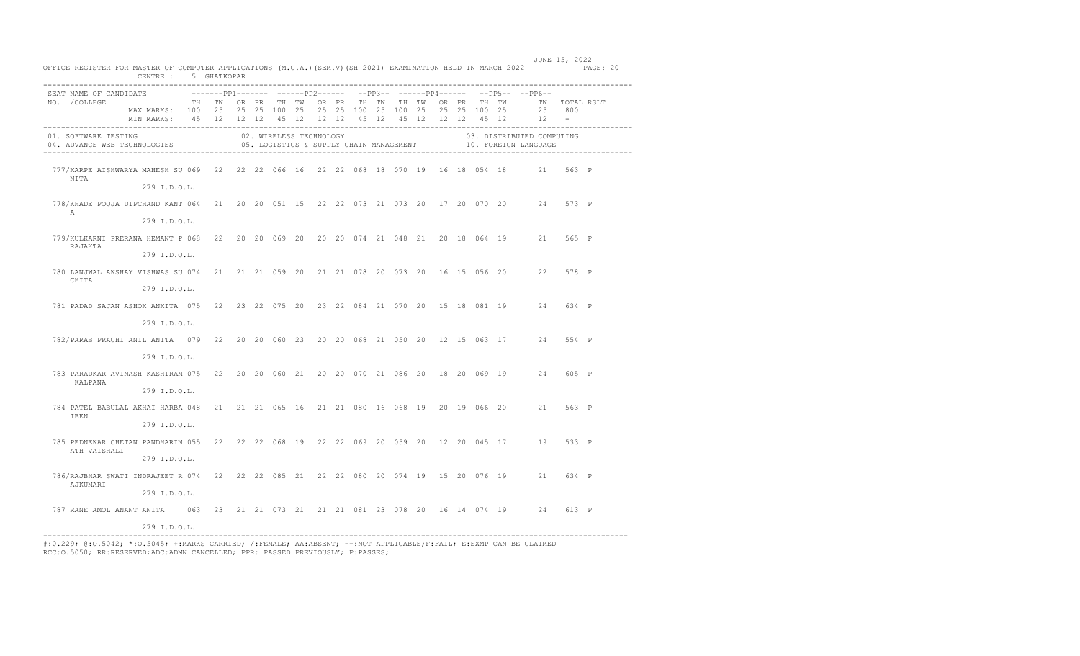| SEAT NAME OF CANDIDATE<br>NO. / COLLEGE | TH TWORPR THTWORPR THTWTH TWORPR THTWORPR THTWT TWTOTAL RSLT<br>MAX MARKS: 100 25 25 25 100 25 25 25 100 25 100 25 25 25 100 25<br>MIN MARKS: 45 12 12 12 45 12 12 12 45 12 45 12 12 12 45 12 12 -<br>$02. \hspace{0.1cm} \texttt{WIRE} \hspace{0.1cm} \texttt{TESTING} \hspace{1.5cm} 03. \hspace{0.1cm} \texttt{DISTI}} \hspace{0.3cm} 03. \hspace{0.1cm} \texttt{DISTI}} \hspace{0.3cm} \texttt{DISTI}} \hspace{0.3cm} \texttt{CMPU} \hspace{0.3cm} 04. \hspace{0.1cm} \texttt{ADVANCE} \hspace{0.3cm} \texttt{WBC} \hspace{0.3cm} \texttt{NEDS} \hspace{0.3cm} 05. \hspace{0.1cm} \texttt{LOGIST$ |  |  |  |  |  |  |  |  |                                                                            |  |
|-----------------------------------------|-------------------------------------------------------------------------------------------------------------------------------------------------------------------------------------------------------------------------------------------------------------------------------------------------------------------------------------------------------------------------------------------------------------------------------------------------------------------------------------------------------------------------------------------------------------------------------------------------------|--|--|--|--|--|--|--|--|----------------------------------------------------------------------------|--|
|                                         |                                                                                                                                                                                                                                                                                                                                                                                                                                                                                                                                                                                                       |  |  |  |  |  |  |  |  | --------PP1------- ------PP2------ --PP3-- ------PP4------ --PP5-- --PP6-- |  |
|                                         |                                                                                                                                                                                                                                                                                                                                                                                                                                                                                                                                                                                                       |  |  |  |  |  |  |  |  |                                                                            |  |
|                                         |                                                                                                                                                                                                                                                                                                                                                                                                                                                                                                                                                                                                       |  |  |  |  |  |  |  |  | 25 800                                                                     |  |
|                                         |                                                                                                                                                                                                                                                                                                                                                                                                                                                                                                                                                                                                       |  |  |  |  |  |  |  |  |                                                                            |  |
|                                         |                                                                                                                                                                                                                                                                                                                                                                                                                                                                                                                                                                                                       |  |  |  |  |  |  |  |  |                                                                            |  |
|                                         |                                                                                                                                                                                                                                                                                                                                                                                                                                                                                                                                                                                                       |  |  |  |  |  |  |  |  | 03. DISTRIBUTED COMPUTING                                                  |  |
| NITA                                    | 777/KARPE AISHWARYA MAHESH SU 069 22 22 22 066 16 22 22 068 18 070 19 16 18 054 18 21 563 P                                                                                                                                                                                                                                                                                                                                                                                                                                                                                                           |  |  |  |  |  |  |  |  |                                                                            |  |
|                                         | 279 I.D.O.L.                                                                                                                                                                                                                                                                                                                                                                                                                                                                                                                                                                                          |  |  |  |  |  |  |  |  |                                                                            |  |
| $\mathbb{A}$                            | 778/KHADE POOJA DIPCHAND KANT 064 21 20 20 051 15 22 22 073 21 073 20 17 20 070 20 24 573 P                                                                                                                                                                                                                                                                                                                                                                                                                                                                                                           |  |  |  |  |  |  |  |  |                                                                            |  |
|                                         | 279 I.D.O.L.                                                                                                                                                                                                                                                                                                                                                                                                                                                                                                                                                                                          |  |  |  |  |  |  |  |  |                                                                            |  |
| RAJAKTA                                 | 779/KULKARNI PRERANA HEMANT P 068 22 20 20 069 20 20 20 074 21 048 21 20 18 064 19 21 565 P                                                                                                                                                                                                                                                                                                                                                                                                                                                                                                           |  |  |  |  |  |  |  |  |                                                                            |  |
|                                         | 279 I.D.O.L.                                                                                                                                                                                                                                                                                                                                                                                                                                                                                                                                                                                          |  |  |  |  |  |  |  |  |                                                                            |  |
| CHITA                                   | 780 LANJWAL AKSHAY VISHWAS SU 074 21 21 21 059 20 21 21 078 20 073 20 16 15 056 20 22 578 P                                                                                                                                                                                                                                                                                                                                                                                                                                                                                                           |  |  |  |  |  |  |  |  |                                                                            |  |
|                                         | 279 I.D.O.L.                                                                                                                                                                                                                                                                                                                                                                                                                                                                                                                                                                                          |  |  |  |  |  |  |  |  |                                                                            |  |
|                                         | 781 PADAD SAJAN ASHOK ANKITA 075 22 23 22 075 20 23 22 084 21 070 20 15 18 081 19 24 634 P                                                                                                                                                                                                                                                                                                                                                                                                                                                                                                            |  |  |  |  |  |  |  |  |                                                                            |  |
|                                         | 279 I.D.O.L.                                                                                                                                                                                                                                                                                                                                                                                                                                                                                                                                                                                          |  |  |  |  |  |  |  |  |                                                                            |  |
|                                         | 782/PARAB PRACHI ANIL ANITA 079 22 20 20 060 23 20 20 068 21 050 20 12 15 063 17 24 554 P                                                                                                                                                                                                                                                                                                                                                                                                                                                                                                             |  |  |  |  |  |  |  |  |                                                                            |  |
|                                         | 279 I.D.O.L.                                                                                                                                                                                                                                                                                                                                                                                                                                                                                                                                                                                          |  |  |  |  |  |  |  |  |                                                                            |  |
| KALPANA                                 | 783 PARADKAR AVINASH KASHIRAM 075 22 20 20 060 21 20 20 070 21 086 20 18 20 069 19 24 605 P                                                                                                                                                                                                                                                                                                                                                                                                                                                                                                           |  |  |  |  |  |  |  |  |                                                                            |  |
|                                         | 279 I.D.O.L.                                                                                                                                                                                                                                                                                                                                                                                                                                                                                                                                                                                          |  |  |  |  |  |  |  |  |                                                                            |  |
| IBEN                                    | 784 PATEL BABULAL AKHAI HARBA 048 21 21 21 065 16 21 21 080 16 068 19 20 19 066 20 21 563 P                                                                                                                                                                                                                                                                                                                                                                                                                                                                                                           |  |  |  |  |  |  |  |  |                                                                            |  |
|                                         | 279 I.D.O.L.                                                                                                                                                                                                                                                                                                                                                                                                                                                                                                                                                                                          |  |  |  |  |  |  |  |  |                                                                            |  |
| ATH VAISHALI                            | 785 PEDNEKAR CHETAN PANDHARIN 055 22 22 22 068 19 22 22 069 20 059 20 12 20 045 17 19 533 P                                                                                                                                                                                                                                                                                                                                                                                                                                                                                                           |  |  |  |  |  |  |  |  |                                                                            |  |
|                                         | 279 I.D.O.L.                                                                                                                                                                                                                                                                                                                                                                                                                                                                                                                                                                                          |  |  |  |  |  |  |  |  |                                                                            |  |
| AJKUMARI                                | 786/RAJBHAR SWATI INDRAJEET R 074 22 22 22 085 21 22 22 080 20 074 19 15 20 076 19 21 634 P                                                                                                                                                                                                                                                                                                                                                                                                                                                                                                           |  |  |  |  |  |  |  |  |                                                                            |  |
|                                         | 279 I.D.O.L.                                                                                                                                                                                                                                                                                                                                                                                                                                                                                                                                                                                          |  |  |  |  |  |  |  |  |                                                                            |  |
|                                         | 787 RANE AMOL ANANT ANITA 063 23 21 21 073 21 21 21 081 23 078 20 16 14 074 19 24 613 P                                                                                                                                                                                                                                                                                                                                                                                                                                                                                                               |  |  |  |  |  |  |  |  |                                                                            |  |
|                                         | 279 I.D.O.L.                                                                                                                                                                                                                                                                                                                                                                                                                                                                                                                                                                                          |  |  |  |  |  |  |  |  |                                                                            |  |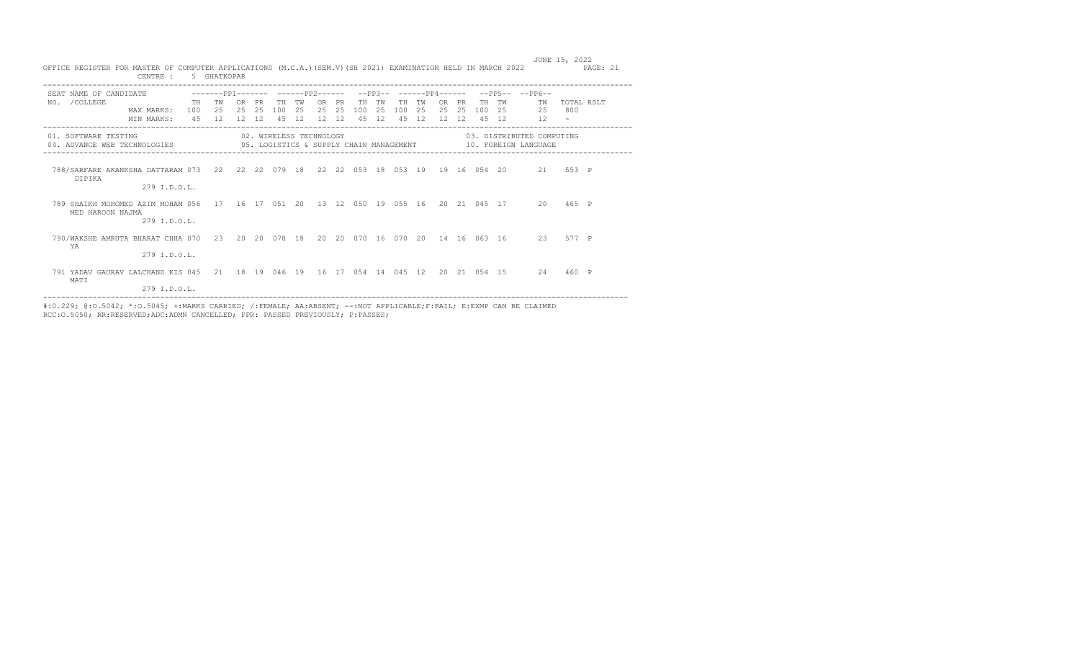| OFFICE REGISTER FOR MASTER OF COMPUTER APPLICATIONS (M.C.A.)(SEM.V)(SH 2021) EXAMINATION HELD IN MARCH 2022     | CENTRE :                 |           | 5 GHATKOPAR              |            |            |                         |           |                     |           |                 |                 |                 |                 |                  |                        |                  |                 |                                                                                               | JUNE 15, 2022     | PAGE: 21 |
|-----------------------------------------------------------------------------------------------------------------|--------------------------|-----------|--------------------------|------------|------------|-------------------------|-----------|---------------------|-----------|-----------------|-----------------|-----------------|-----------------|------------------|------------------------|------------------|-----------------|-----------------------------------------------------------------------------------------------|-------------------|----------|
| SEAT NAME OF CANDIDATE<br>NO. / COLLEGE                                                                         | MAX MARKS:<br>MIN MARKS: | TH<br>100 | TW<br>2.5<br>45 12 12 12 | OR.<br>2.5 | PR.<br>2.5 | TН<br>100<br>45 12      | TW<br>2.5 | OR.<br>2.5<br>12 12 | PR<br>2.5 | TН<br>100<br>45 | тw<br>2.5<br>12 | TН<br>100<br>45 | TW<br>2.5<br>12 | OR.<br>2.5<br>12 | <b>PR</b><br>2.5<br>12 | TH.<br>100<br>45 | TW<br>-25<br>12 | $-PP3- ---PP4---- ---PP5- ---PP5--$<br>TW<br>25                                               | TOTAL RSLT<br>800 |          |
| 01. SOFTWARE TESTING<br>04. ADVANCE WEB TECHNOLOGIES                                                            |                          |           |                          |            |            | 02. WIRELESS TECHNOLOGY |           |                     |           |                 |                 |                 |                 |                  |                        |                  |                 | 03. DISTRIBUTED COMPUTING<br>05. LOGISTICS & SUPPLY CHAIN MANAGEMENT 600 10. FOREIGN LANGUAGE |                   |          |
| 788/SARFARE AKANKSHA DATTARAM 073 22 22 22 079 18 22 22 053 18 053 19 19 16 054 20 21 553 P<br>DIPIKA           | 279 I.D.O.L.             |           |                          |            |            |                         |           |                     |           |                 |                 |                 |                 |                  |                        |                  |                 |                                                                                               |                   |          |
| 789 SHAIKH MOHOMED AZIM MOHAM 056 17 16 17 051 20 13 12 050 19 055 16 20 21 045 17 20 465 P<br>MED HAROON NAJMA | 279 I.D.O.L.             |           |                          |            |            |                         |           |                     |           |                 |                 |                 |                 |                  |                        |                  |                 |                                                                                               |                   |          |
| 790/WAKSHE AMRUTA BHARAT CHHA 070 23 20 20 078 18 20 20 070 16 070 20 14 16 063 16 23 577 P<br>YA               | 279 I.D.O.L.             |           |                          |            |            |                         |           |                     |           |                 |                 |                 |                 |                  |                        |                  |                 |                                                                                               |                   |          |
| 791 YADAV GAURAV LALCHAND KIS 045 21 18 19 046 19 16 17 054 14 045 12 20 21 054 15 24 460 P<br>MATI             | 279 I.D.O.L.             |           |                          |            |            |                         |           |                     |           |                 |                 |                 |                 |                  |                        |                  |                 |                                                                                               |                   |          |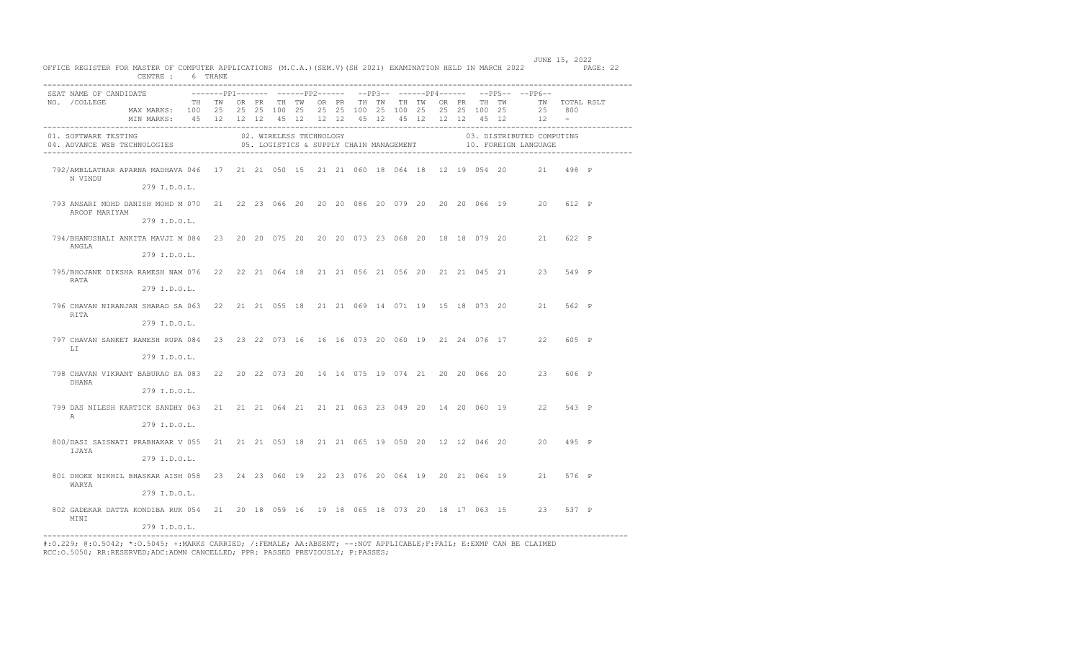| OFFICE REGISTER FOR MASTER OF COMPUTER APPLICATIONS (M.C.A.) (SEM.V) (SH 2021) EXAMINATION HELD IN MARCH 2022 PAGE: 22 | CENTRE : 6 THANE                                                |  |  |  |  |                         |  |  |  | JUNE 15, 2022                                                                             |  |
|------------------------------------------------------------------------------------------------------------------------|-----------------------------------------------------------------|--|--|--|--|-------------------------|--|--|--|-------------------------------------------------------------------------------------------|--|
| SEAT NAME OF CANDIDATE                                                                                                 |                                                                 |  |  |  |  |                         |  |  |  | ---------pp1------- -------pp2------ --pp3-- ------pp4------ --pp5-- --pp6--              |  |
| NO. / COLLEGE                                                                                                          | TH TWOOR PROTH TWOOR PROTH TWOTH TWOOR PROTH TWO TWO TOTAL RSLT |  |  |  |  |                         |  |  |  |                                                                                           |  |
|                                                                                                                        | MAX MARKS: 100 25 25 25 100 25 25 25 100 25 100 25 25 25 100 25 |  |  |  |  |                         |  |  |  | 25 800                                                                                    |  |
|                                                                                                                        | MIN MARKS: 45 12 12 12 45 12 12 12 45 12 45 12 12 12 45 12      |  |  |  |  |                         |  |  |  | $12 -$                                                                                    |  |
| 01. SOFTWARE TESTING<br>04. ADVANCE WEB TECHNOLOGIES                                                                   |                                                                 |  |  |  |  | 02. WIRELESS TECHNOLOGY |  |  |  | 03. DISTRIBUTED COMPUTING<br>05. LOGISTICS & SUPPLY CHAIN MANAGEMENT 40. FOREIGN LANGUAGE |  |
| 792/AMBLLATHAR APARNA MADHAVA 046 17 21 21 050 15 21 21 060 18 064 18 12 19 054 20 21 498 P<br>N VINDU                 |                                                                 |  |  |  |  |                         |  |  |  |                                                                                           |  |
|                                                                                                                        | 279 I.D.O.L.                                                    |  |  |  |  |                         |  |  |  |                                                                                           |  |
| 793 ANSARI MOHD DANISH MOHD M 070 21 22 23 066 20 20 20 086 20 079 20 20 20 066 19 20 612 P<br>AROOF MARIYAM           |                                                                 |  |  |  |  |                         |  |  |  |                                                                                           |  |
|                                                                                                                        | 279 I.D.O.L.                                                    |  |  |  |  |                         |  |  |  |                                                                                           |  |
| 794/BHANUSHALI ANKITA MAVJI M 084 23 20 20 075 20 20 20 073 23 068 20 18 18 079 20 21 622 P<br>ANGLA                   |                                                                 |  |  |  |  |                         |  |  |  |                                                                                           |  |
|                                                                                                                        | 279 I.D.O.L.                                                    |  |  |  |  |                         |  |  |  |                                                                                           |  |
| 795/BHOJANE DIKSHA RAMESH NAM 076 22 22 21 064 18 21 21 056 21 056 20 21 21 045 21 23 549 P<br>RATA                    |                                                                 |  |  |  |  |                         |  |  |  |                                                                                           |  |
|                                                                                                                        | 279 I.D.O.L.                                                    |  |  |  |  |                         |  |  |  |                                                                                           |  |
| 796 CHAVAN NIRANJAN SHARAD SA 063 22 21 21 055 18 21 21 069 14 071 19 15 18 073 20 21 562 P<br>RTTA                    |                                                                 |  |  |  |  |                         |  |  |  |                                                                                           |  |
|                                                                                                                        | 279 I.D.O.L.                                                    |  |  |  |  |                         |  |  |  |                                                                                           |  |
| 797 CHAVAN SANKET RAMESH RUPA 084 23 23 22 073 16 16 16 073 20 060 19 21 24 076 17 22 605 P<br>T.T                     |                                                                 |  |  |  |  |                         |  |  |  |                                                                                           |  |
|                                                                                                                        | 279 I.D.O.L.                                                    |  |  |  |  |                         |  |  |  |                                                                                           |  |
| 798 CHAVAN VIKRANT BABURAO SA 083 22 20 22 073 20 14 14 075 19 074 21 20 20 066 20 23 606 P<br>DHANA                   |                                                                 |  |  |  |  |                         |  |  |  |                                                                                           |  |
|                                                                                                                        | 279 I.D.O.L.                                                    |  |  |  |  |                         |  |  |  |                                                                                           |  |
| 799 DAS NILESH KARTICK SANDHY 063 21 21 21 064 21 21 21 063 23 049 20 14 20 060 19 22 543 P<br>$\mathbb{A}$            |                                                                 |  |  |  |  |                         |  |  |  |                                                                                           |  |
|                                                                                                                        | 279 I.D.O.L.                                                    |  |  |  |  |                         |  |  |  |                                                                                           |  |
| 800/DASI SAISWATI PRABHAKAR V 055 21 21 21 053 18 21 21 065 19 050 20 12 12 046 20 20 495 P<br>IJAYA                   |                                                                 |  |  |  |  |                         |  |  |  |                                                                                           |  |
|                                                                                                                        | 279 I.D.O.L.                                                    |  |  |  |  |                         |  |  |  |                                                                                           |  |
| 801 DHOKE NIKHIL BHASKAR AISH 058 23 24 23 060 19 22 23 076 20 064 19 20 21 064 19 21 576 P<br>WARYA                   |                                                                 |  |  |  |  |                         |  |  |  |                                                                                           |  |
|                                                                                                                        | 279 I.D.O.L.                                                    |  |  |  |  |                         |  |  |  |                                                                                           |  |
| 802 GADEKAR DATTA KONDIBA RUK 054 21 20 18 059 16 19 18 065 18 073 20 18 17 063 15 23 537 P<br>MINI                    |                                                                 |  |  |  |  |                         |  |  |  |                                                                                           |  |
| --------------                                                                                                         | 279 I.D.O.L.                                                    |  |  |  |  |                         |  |  |  |                                                                                           |  |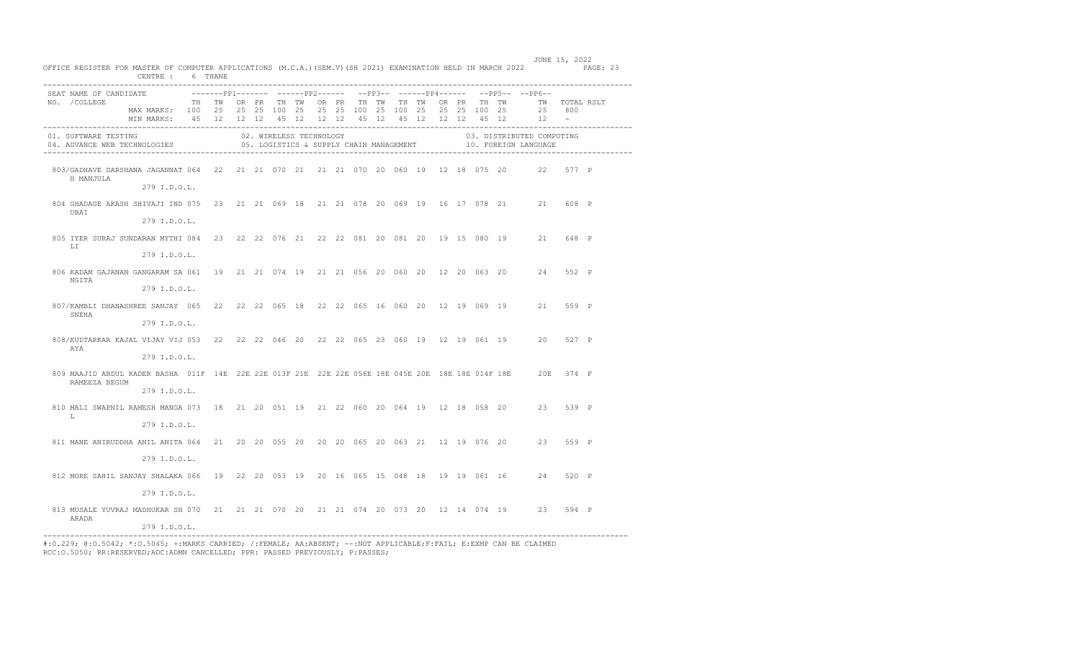| CENTRE : 6 THANE                                                                                                                                    |  |                         |  |  |  |  |  |                                                                                           |       |  |
|-----------------------------------------------------------------------------------------------------------------------------------------------------|--|-------------------------|--|--|--|--|--|-------------------------------------------------------------------------------------------|-------|--|
| SEAT NAME OF CANDIDATE                                                                                                                              |  |                         |  |  |  |  |  | -------pp1------- ------pp2------ --pp3-- ------pp4------ --pp5-- --pp6--                 |       |  |
| TH TW OR PR TH TW OR PR TH TW TH TW OR PR TH TW   TW TOTAL RSLT<br>NO. / COLLEGE<br>MAX MARKS: 100 25 25 25 100 25 25 25 100 25 100 25 25 25 100 25 |  |                         |  |  |  |  |  | 25 800                                                                                    |       |  |
| MIN MARKS: 45 12 12 12 45 12 12 12 45 12 45 12 12 12 45 12                                                                                          |  |                         |  |  |  |  |  | $12 -$                                                                                    |       |  |
| 01. SOFTWARE TESTING<br>04. ADVANCE WEB TECHNOLOGIES                                                                                                |  | 02. WIRELESS TECHNOLOGY |  |  |  |  |  | 03. DISTRIBUTED COMPUTING<br>05. LOGISTICS & SUPPLY CHAIN MANAGEMENT 40. FOREIGN LANGUAGE |       |  |
| 803/GADHAVE DARSHANA JAGANNAT 064 22 21 21 070 21 21 21 070 20 060 19 12 18 075 20 22 577 P<br>H MANJULA<br>279 I.D.O.L.                            |  |                         |  |  |  |  |  |                                                                                           |       |  |
|                                                                                                                                                     |  |                         |  |  |  |  |  |                                                                                           |       |  |
| 804 GHADAGE AKASH SHIVAJI IND 075 23 21 21 069 18 21 21 078 20 069 19 16 17 078 21 21 608 P<br>UBAI                                                 |  |                         |  |  |  |  |  |                                                                                           |       |  |
| 279 I.D.O.L.                                                                                                                                        |  |                         |  |  |  |  |  |                                                                                           |       |  |
| 805 IYER SURAJ SUNDARAN MYTHI 084 23 22 22 076 21 22 22 081 20 081 20 19 15 080 19 21 648 P<br>T.T                                                  |  |                         |  |  |  |  |  |                                                                                           |       |  |
| 279 I.D.O.L.                                                                                                                                        |  |                         |  |  |  |  |  |                                                                                           |       |  |
| 806 KADAM GAJANAN GANGARAM SA 061 19 21 21 074 19 21 21 056 20 060 20 12 20 063 20 24 552 P                                                         |  |                         |  |  |  |  |  |                                                                                           |       |  |
| NGITA<br>279 I.D.O.L.                                                                                                                               |  |                         |  |  |  |  |  |                                                                                           |       |  |
| 807/KAMBLI DHANASHREE SANJAY 065 22 22 22 065 18 22 22 065 16 060 20 12 19 069 19 21<br>SNEHA                                                       |  |                         |  |  |  |  |  |                                                                                           | 559 P |  |
| 279 I.D.O.L.                                                                                                                                        |  |                         |  |  |  |  |  |                                                                                           |       |  |
| 808/KUDTARKAR KAJAL VIJAY VIJ 053 22 22 22 046 20 22 22 065 23 060 19 12 19 061 19 20 527 P<br>AYA                                                  |  |                         |  |  |  |  |  |                                                                                           |       |  |
| 279 I.D.O.L.                                                                                                                                        |  |                         |  |  |  |  |  |                                                                                           |       |  |
| 809 MAAJID ABDUL KADER BASHA 011F 14E 22E 22E 013F 21E 22E 22E 056E 18E 045E 20E 18E 18E 014F 18E 20E 374 F<br>RAMEEZA BEGUM                        |  |                         |  |  |  |  |  |                                                                                           |       |  |
| 279 I.D.O.L.                                                                                                                                        |  |                         |  |  |  |  |  |                                                                                           |       |  |
| 810 MALI SWAPNIL RAMESH MANGA 073 18 21 20 051 19 21 22 060 20 064 19 12 18 058 20 23 539 P                                                         |  |                         |  |  |  |  |  |                                                                                           |       |  |
| T.<br>279 I.D.O.L.                                                                                                                                  |  |                         |  |  |  |  |  |                                                                                           |       |  |
| 811 MANE ANIRUDDHA ANIL ANITA 064 21 20 20 055 20 20 20 065 20 063 21 12 19 076 20 23 559 P                                                         |  |                         |  |  |  |  |  |                                                                                           |       |  |
| 279 I.D.O.L.                                                                                                                                        |  |                         |  |  |  |  |  |                                                                                           |       |  |
| 812 MORE SAHIL SANJAY SHALAKA 066 19 22 20 053 19 20 16 065 15 048 18 19 19 061 16 24 520 P                                                         |  |                         |  |  |  |  |  |                                                                                           |       |  |
| 279 I.D.O.L.                                                                                                                                        |  |                         |  |  |  |  |  |                                                                                           |       |  |
| 813 MUSALE YUVRAJ MADHUKAR SH 070 21 21 21 070 20 21 21 074 20 073 20 12 14 074 19 23                                                               |  |                         |  |  |  |  |  |                                                                                           | 594 P |  |
| ARADA<br>279 I.D.O.L.                                                                                                                               |  |                         |  |  |  |  |  |                                                                                           |       |  |

JUNE 15, 2022 OFFICE REGISTER FOR MASTER OF COMPUTER APPLICATIONS (M.C.A.)(SEM.V)(SH 2021) EXAMINATION HELD IN MARCH 2022 PAGE: 23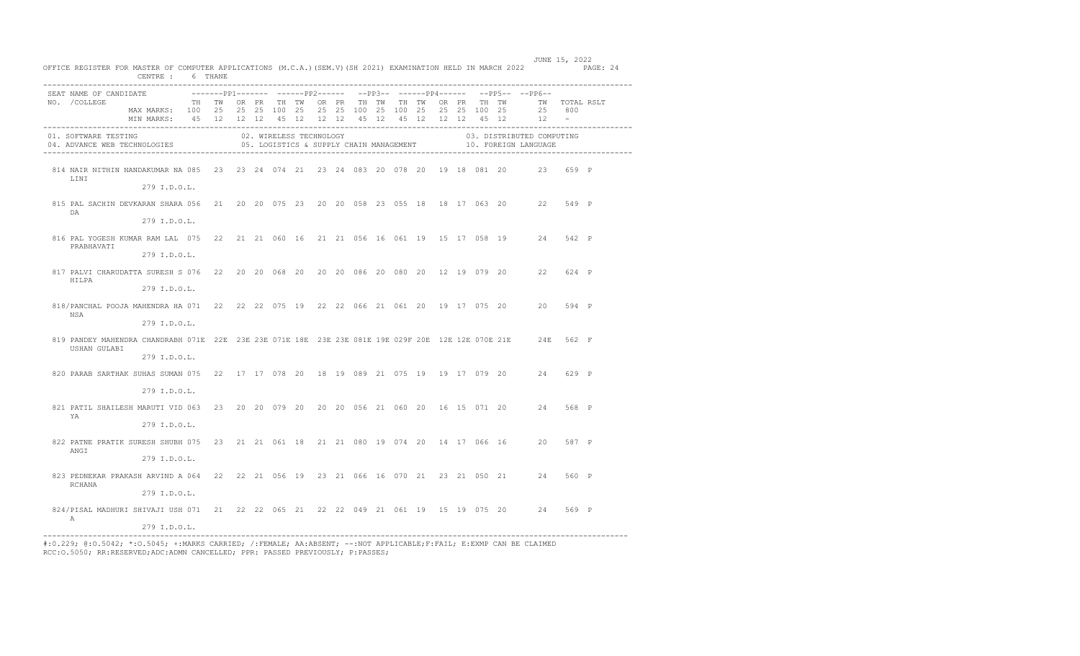|                                                                                                                              | CENTRE : 6 THANE                                                                                                                    |  |  |                         |  |  |  |  |  |                                                                             |       |  |
|------------------------------------------------------------------------------------------------------------------------------|-------------------------------------------------------------------------------------------------------------------------------------|--|--|-------------------------|--|--|--|--|--|-----------------------------------------------------------------------------|-------|--|
| SEAT NAME OF CANDIDATE                                                                                                       |                                                                                                                                     |  |  |                         |  |  |  |  |  | --------pp1------- ------pp2------ --pp3-- ------pp4------ --pp5-- --pp6--  |       |  |
| NO. /COLLEGE                                                                                                                 | MAX MARKS: 100 25 25 25 100 25 25 25 100 25 100 25 25 25 100 25<br>MIN MARKS: 45 12 12 12 45 12 12 12 45 12 45 12 12 12 45 12 12 12 |  |  |                         |  |  |  |  |  | TH TW OR PR TH TW OR PR TH TW TH TW OR PR TH TW     TW TOTAL RSLT<br>25 800 |       |  |
| 01. SOFTWARE TESTING<br>04. ADVANCE WEB TECHNOLOGIES 6 05. LOGISTICS & SUPPLY CHAIN MANAGEMENT 10. FOREIGN LANGUAGE          |                                                                                                                                     |  |  | 02. WIRELESS TECHNOLOGY |  |  |  |  |  | 03. DISTRIBUTED COMPUTING                                                   |       |  |
| 814 NAIR NITHIN NANDAKUMAR NA 085 23 23 24 074 21 23 24 083 20 078 20 19 18 081 20 23 659 P<br>LINI                          | 279 I.D.O.L.                                                                                                                        |  |  |                         |  |  |  |  |  |                                                                             |       |  |
| 815 PAL SACHIN DEVKARAN SHARA 056 21 20 20 075 23 20 20 058 23 055 18 18 17 063 20 22 549 P<br>DA                            | 279 I.D.O.L.                                                                                                                        |  |  |                         |  |  |  |  |  |                                                                             |       |  |
| 816 PAL YOGESH KUMAR RAM LAL 075 22 21 21 060 16 21 21 056 16 061 19 15 17 058 19 24 542 P<br>PRABHAVATI                     | 279 I.D.O.L.                                                                                                                        |  |  |                         |  |  |  |  |  |                                                                             |       |  |
| 817 PALVI CHARUDATTA SURESH S 076 22 20 20 068 20 20 20 086 20 080 20 12 19 079 20 22 624 P<br>HILPA                         |                                                                                                                                     |  |  |                         |  |  |  |  |  |                                                                             |       |  |
|                                                                                                                              | 279 I.D.O.L.                                                                                                                        |  |  |                         |  |  |  |  |  |                                                                             |       |  |
| 818/PANCHAL POOJA MAHENDRA HA 071 22 22 22 075 19 22 22 066 21 061 20 19 17 075 20 20 594 P<br>NSA                           | 279 I.D.O.L.                                                                                                                        |  |  |                         |  |  |  |  |  |                                                                             |       |  |
| 819 PANDEY MAHENDRA CHANDRABH 071E 22E 23E 23E 071E 18E 23E 23E 081E 19E 029F 20E 12E 12E 070E 21E 24E 562 F<br>USHAN GULABI |                                                                                                                                     |  |  |                         |  |  |  |  |  |                                                                             |       |  |
|                                                                                                                              | 279 I.D.O.L.                                                                                                                        |  |  |                         |  |  |  |  |  |                                                                             |       |  |
| 820 PARAB SARTHAK SUHAS SUMAN 075 22 17 17 078 20 18 19 089 21 075 19 19 17 079 20 24 629 P                                  |                                                                                                                                     |  |  |                         |  |  |  |  |  |                                                                             |       |  |
|                                                                                                                              | $279$ T.D.O.L.                                                                                                                      |  |  |                         |  |  |  |  |  |                                                                             |       |  |
| 821 PATIL SHAILESH MARUTI VID 063 23 20 20 079 20 20 20 056 21 060 20 16 15 071 20 24 568 P<br>YA                            |                                                                                                                                     |  |  |                         |  |  |  |  |  |                                                                             |       |  |
|                                                                                                                              | 279 I.D.O.L.                                                                                                                        |  |  |                         |  |  |  |  |  |                                                                             |       |  |
| 822 PATNE PRATIK SURESH SHUBH 075 23 21 21 061 18 21 21 080 19 074 20 14 17 066 16 20 587 P<br>ANGI                          |                                                                                                                                     |  |  |                         |  |  |  |  |  |                                                                             |       |  |
|                                                                                                                              | 279 I.D.O.L.                                                                                                                        |  |  |                         |  |  |  |  |  |                                                                             |       |  |
| 823 PEDNEKAR PRAKASH ARVIND A 064 22 22 21 056 19 23 21 066 16 070 21 23 21 050 21 24 560 P<br>RCHANA                        |                                                                                                                                     |  |  |                         |  |  |  |  |  |                                                                             |       |  |
|                                                                                                                              | 279 I.D.O.L.                                                                                                                        |  |  |                         |  |  |  |  |  |                                                                             |       |  |
| 824/PISAL MADHURI SHIVAJI USH 071 21 22 22 065 21 22 22 049 21 061 19 15 19 075 20 24<br>$\mathbb A$                         |                                                                                                                                     |  |  |                         |  |  |  |  |  |                                                                             | 569 P |  |
|                                                                                                                              | 279 I.D.O.L.                                                                                                                        |  |  |                         |  |  |  |  |  |                                                                             |       |  |

JUNE 15, 2022 OFFICE REGISTER FOR MASTER OF COMPUTER APPLICATIONS (M.C.A.)(SEM.V)(SH 2021) EXAMINATION HELD IN MARCH 2022 PAGE: 24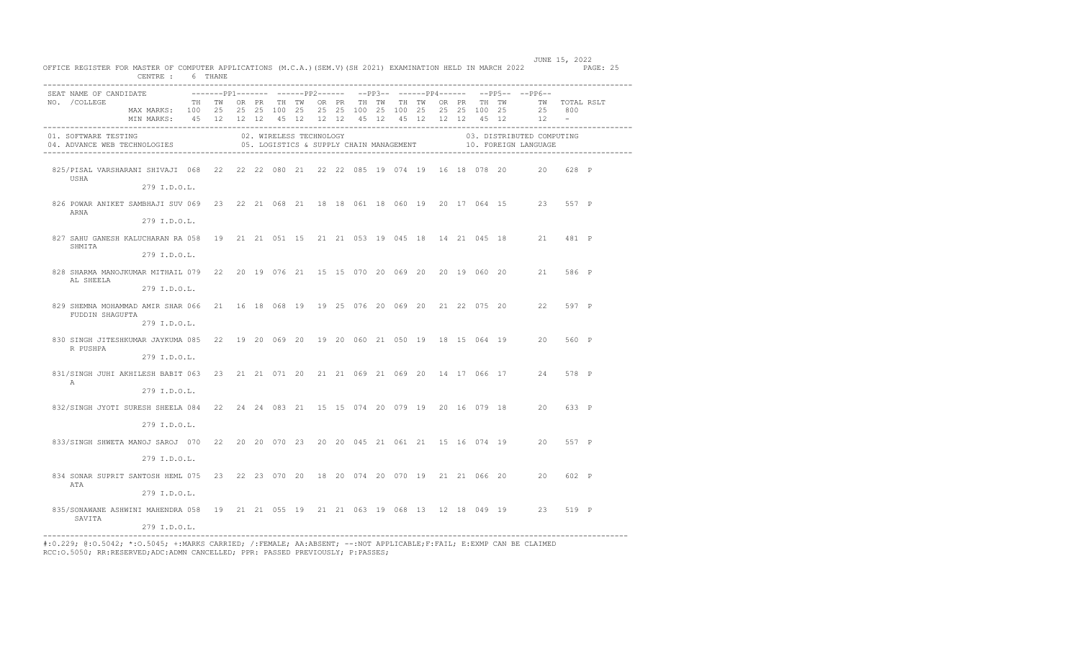| OFFICE REGISTER FOR MASTER OF COMPUTER APPLICATIONS (M.C.A.) (SEM.V) (SH 2021) EXAMINATION HELD IN MARCH 2022 PAGE: 25 | CENTRE : 6 THANE                                                                                                              |  |  |                         |  |  |  |  |                                                                                |  | JUNE 15, 2022                                                                             |  |
|------------------------------------------------------------------------------------------------------------------------|-------------------------------------------------------------------------------------------------------------------------------|--|--|-------------------------|--|--|--|--|--------------------------------------------------------------------------------|--|-------------------------------------------------------------------------------------------|--|
| SEAT NAME OF CANDIDATE                                                                                                 |                                                                                                                               |  |  |                         |  |  |  |  | ---------pp1-------- -------pp2------ --pp3-- -------pp4------ --pp5-- --pp6-- |  |                                                                                           |  |
| NO. / COLLEGE                                                                                                          | TH TWORPR THITWORPR THITWITHITWORPR THITWORPR THITWITOTAL RSLT                                                                |  |  |                         |  |  |  |  |                                                                                |  |                                                                                           |  |
|                                                                                                                        | MAX MARKS: 100 25 25 25 100 25 25 25 100 25 100 25 25 25 100 25<br>MIN MARKS: 45 12 12 12 45 12 12 12 45 12 45 12 12 12 45 12 |  |  |                         |  |  |  |  |                                                                                |  | 25 800<br>$12 -$                                                                          |  |
|                                                                                                                        |                                                                                                                               |  |  |                         |  |  |  |  |                                                                                |  |                                                                                           |  |
| 01. SOFTWARE TESTING<br>04. ADVANCE WEB TECHNOLOGIES                                                                   |                                                                                                                               |  |  | 02. WIRELESS TECHNOLOGY |  |  |  |  |                                                                                |  | 03. DISTRIBUTED COMPUTING<br>05. LOGISTICS & SUPPLY CHAIN MANAGEMENT 40. FOREIGN LANGUAGE |  |
| 825/PISAL VARSHARANI SHIVAJI 068 22 22 22 080 21 22 22 085 19 074 19 16 18 078 20 20 628 P<br>USHA                     |                                                                                                                               |  |  |                         |  |  |  |  |                                                                                |  |                                                                                           |  |
|                                                                                                                        | 279 I.D.O.L.                                                                                                                  |  |  |                         |  |  |  |  |                                                                                |  |                                                                                           |  |
| 826 POWAR ANIKET SAMBHAJI SUV 069 23 22 21 068 21 18 18 061 18 060 19 20 17 064 15 23 557 P<br>ARNA                    |                                                                                                                               |  |  |                         |  |  |  |  |                                                                                |  |                                                                                           |  |
|                                                                                                                        | 279 I.D.O.L.                                                                                                                  |  |  |                         |  |  |  |  |                                                                                |  |                                                                                           |  |
| 827 SAHU GANESH KALUCHARAN RA 058 19 21 21 051 15 21 21 053 19 045 18 14 21 045 18 21 481 P<br>SHMITA                  |                                                                                                                               |  |  |                         |  |  |  |  |                                                                                |  |                                                                                           |  |
|                                                                                                                        | 279 I.D.O.L.                                                                                                                  |  |  |                         |  |  |  |  |                                                                                |  |                                                                                           |  |
| 828 SHARMA MANOJKUMAR MITHAIL 079 22 20 19 076 21 15 15 070 20 069 20 20 19 060 20 21 586 P<br>AL SHEELA               |                                                                                                                               |  |  |                         |  |  |  |  |                                                                                |  |                                                                                           |  |
|                                                                                                                        | 279 I.D.O.L.                                                                                                                  |  |  |                         |  |  |  |  |                                                                                |  |                                                                                           |  |
| 829 SHEMNA MOHAMMAD AMIR SHAR 066 21 16 18 068 19 19 25 076 20 069 20 21 22 075 20 22 597 P<br>FUDDIN SHAGUFTA         |                                                                                                                               |  |  |                         |  |  |  |  |                                                                                |  |                                                                                           |  |
|                                                                                                                        | 279 I.D.O.L.                                                                                                                  |  |  |                         |  |  |  |  |                                                                                |  |                                                                                           |  |
| 830 SINGH JITESHKUMAR JAYKUMA 085 22 19 20 069 20 19 20 060 21 050 19 18 15 064 19 20 560 P<br>R PUSHPA                |                                                                                                                               |  |  |                         |  |  |  |  |                                                                                |  |                                                                                           |  |
|                                                                                                                        | 279 I.D.O.L.                                                                                                                  |  |  |                         |  |  |  |  |                                                                                |  |                                                                                           |  |
| 831/SINGH JUHI AKHILESH BABIT 063 23 21 21 071 20 21 21 069 21 069 20 14 17 066 17 24 578 P<br>$\mathbb{A}$            |                                                                                                                               |  |  |                         |  |  |  |  |                                                                                |  |                                                                                           |  |
|                                                                                                                        | 279 I.D.O.L.                                                                                                                  |  |  |                         |  |  |  |  |                                                                                |  |                                                                                           |  |
| 832/SINGH JYOTI SURESH SHEELA 084 22 24 24 083 21 15 15 074 20 079 19 20 16 079 18 20 633 P                            |                                                                                                                               |  |  |                         |  |  |  |  |                                                                                |  |                                                                                           |  |
|                                                                                                                        | 279 I.D.O.L.                                                                                                                  |  |  |                         |  |  |  |  |                                                                                |  |                                                                                           |  |
| 833/SINGH SHWETA MANOJ SAROJ 070 22 20 20 070 23 20 20 045 21 061 21 15 16 074 19 20 557 P                             |                                                                                                                               |  |  |                         |  |  |  |  |                                                                                |  |                                                                                           |  |
|                                                                                                                        | 279 I.D.O.L.                                                                                                                  |  |  |                         |  |  |  |  |                                                                                |  |                                                                                           |  |
| 834 SONAR SUPRIT SANTOSH HEML 075 23 22 23 070 20 18 20 074 20 070 19 21 21 066 20 20 602 P<br>ATA                     |                                                                                                                               |  |  |                         |  |  |  |  |                                                                                |  |                                                                                           |  |
|                                                                                                                        | 279 I.D.O.L.                                                                                                                  |  |  |                         |  |  |  |  |                                                                                |  |                                                                                           |  |
| 835/SONAWANE ASHWINI MAHENDRA 058 19 21 21 055 19 21 21 063 19 068 13 12 18 049 19 23 519 P<br>SAVITA                  |                                                                                                                               |  |  |                         |  |  |  |  |                                                                                |  |                                                                                           |  |
|                                                                                                                        | 279 I.D.O.L.                                                                                                                  |  |  |                         |  |  |  |  |                                                                                |  |                                                                                           |  |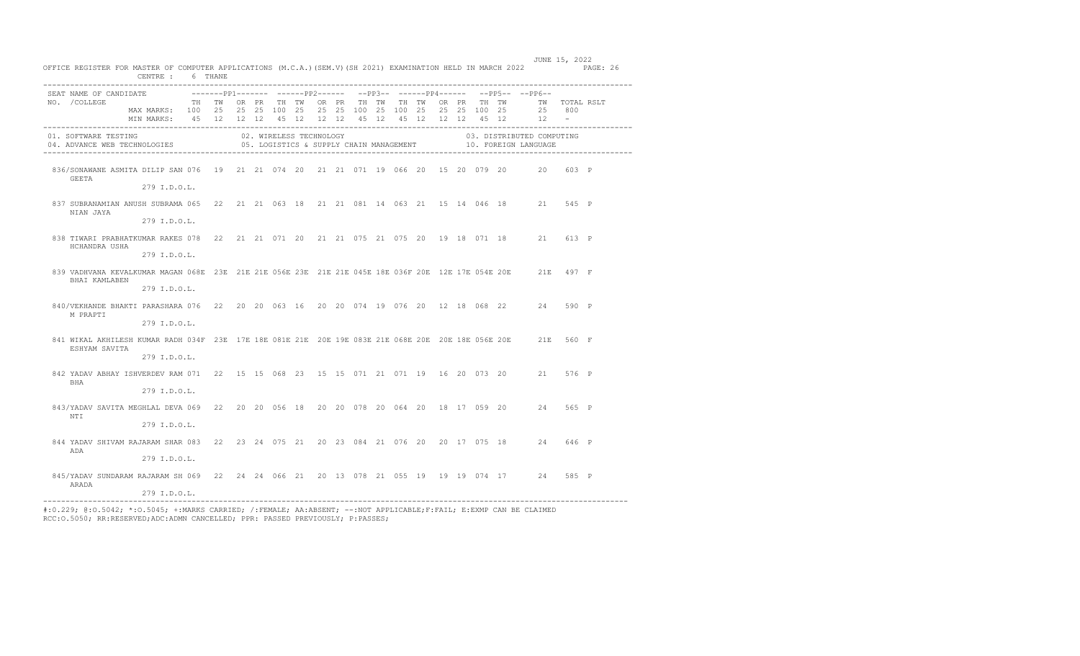| OFFICE REGISTER FOR MASTER OF COMPUTER APPLICATIONS (M.C.A.)(SEM.V)(SH 2021) EXAMINATION HELD IN MARCH 2022 PAGE: 26          | CENTRE: 6 THANE                                                   |  |  |                         |  |                                                                           |  |  |  |  |  |  |  |                                                                                           |  |  |
|-------------------------------------------------------------------------------------------------------------------------------|-------------------------------------------------------------------|--|--|-------------------------|--|---------------------------------------------------------------------------|--|--|--|--|--|--|--|-------------------------------------------------------------------------------------------|--|--|
| SEAT NAME OF CANDIDATE                                                                                                        |                                                                   |  |  |                         |  | -------PP1------- ------PP2------ --PP3-- ------PP4------ --PP5-- --PP6-- |  |  |  |  |  |  |  |                                                                                           |  |  |
| NO. / COLLEGE                                                                                                                 |                                                                   |  |  |                         |  |                                                                           |  |  |  |  |  |  |  | TH TWORPR TH TWORPR TH TWTH TWORPR TH TWO TWTOTAL RSLT                                    |  |  |
|                                                                                                                               | MAX MARKS: 100 25 25 25 100 25 25 25 100 25 100 25 25 25 100 25   |  |  |                         |  |                                                                           |  |  |  |  |  |  |  | 25 800                                                                                    |  |  |
|                                                                                                                               | MINIMARKS: 45 12 12 12 45 12 12 12 45 12 45 12 12 12 45 12 - 23 - |  |  |                         |  |                                                                           |  |  |  |  |  |  |  |                                                                                           |  |  |
| 01. SOFTWARE TESTING<br>UI. SUFTWARE TESTING<br>04. ADVANCE WEB TECHNOLOGIES                                                  |                                                                   |  |  | 02. WIRELESS TECHNOLOGY |  |                                                                           |  |  |  |  |  |  |  | 03. DISTRIBUTED COMPUTING<br>05. LOGISTICS & SUPPLY CHAIN MANAGEMENT 40. FOREIGN LANGUAGE |  |  |
| 836/SONAWANE ASMITA DILIP SAN 076 19 21 21 074 20 21 21 071 19 066 20 15 20 079 20 20 603 P<br>GEETA                          |                                                                   |  |  |                         |  |                                                                           |  |  |  |  |  |  |  |                                                                                           |  |  |
|                                                                                                                               | 279 I.D.O.L.                                                      |  |  |                         |  |                                                                           |  |  |  |  |  |  |  |                                                                                           |  |  |
| 837 SUBRANAMIAN ANUSH SUBRAMA 065 22 21 21 063 18 21 21 081 14 063 21 15 14 046 18 21 545 P<br>NIAN JAYA                      |                                                                   |  |  |                         |  |                                                                           |  |  |  |  |  |  |  |                                                                                           |  |  |
|                                                                                                                               | 279 I.D.O.L.                                                      |  |  |                         |  |                                                                           |  |  |  |  |  |  |  |                                                                                           |  |  |
| 838 TIWARI PRABHATKUMAR RAKES 078 22 21 21 071 20 21 21 075 21 075 20 19 18 071 18 21 613 P<br>HCHANDRA USHA                  |                                                                   |  |  |                         |  |                                                                           |  |  |  |  |  |  |  |                                                                                           |  |  |
|                                                                                                                               | 279 I.D.O.L.                                                      |  |  |                         |  |                                                                           |  |  |  |  |  |  |  |                                                                                           |  |  |
| 839 VADHVANA KEVALKUMAR MAGAN 068E 23E 21E 21E 056E 23E 21E 21E 045E 18E 036F 20E 12E 17E 054E 20E 21E 497 F<br>BHAI KAMLABEN |                                                                   |  |  |                         |  |                                                                           |  |  |  |  |  |  |  |                                                                                           |  |  |
|                                                                                                                               | 279 I.D.O.L.                                                      |  |  |                         |  |                                                                           |  |  |  |  |  |  |  |                                                                                           |  |  |
| 840/VEKHANDE BHAKTI PARASHARA 076 22 20 20 063 16 20 20 074 19 076 20 12 18 068 22 24 590 P<br>M PRAPTI                       |                                                                   |  |  |                         |  |                                                                           |  |  |  |  |  |  |  |                                                                                           |  |  |
|                                                                                                                               | 279 I.D.O.L.                                                      |  |  |                         |  |                                                                           |  |  |  |  |  |  |  |                                                                                           |  |  |
| 841 WIKAL AKHILESH KUMAR RADH 034F 23E 17E 18E 081E 21E 20E 19E 083E 21E 068E 20E 20E 18E 056E 20E 21E 560 F<br>ESHYAM SAVITA |                                                                   |  |  |                         |  |                                                                           |  |  |  |  |  |  |  |                                                                                           |  |  |
|                                                                                                                               | 279 I.D.O.L.                                                      |  |  |                         |  |                                                                           |  |  |  |  |  |  |  |                                                                                           |  |  |
| 842 YADAV ABHAY ISHVERDEV RAM 071 22 15 15 068 23 15 15 071 21 071 19 16 20 073 20 21 576 P<br><b>BHA</b>                     |                                                                   |  |  |                         |  |                                                                           |  |  |  |  |  |  |  |                                                                                           |  |  |
|                                                                                                                               | 279 I.D.O.L.                                                      |  |  |                         |  |                                                                           |  |  |  |  |  |  |  |                                                                                           |  |  |
| 843/YADAV SAVITA MEGHLAL DEVA 069 22 20 20 056 18 20 20 078 20 064 20 18 17 059 20 24 565 P                                   |                                                                   |  |  |                         |  |                                                                           |  |  |  |  |  |  |  |                                                                                           |  |  |
| NTI                                                                                                                           | 279 I.D.O.L.                                                      |  |  |                         |  |                                                                           |  |  |  |  |  |  |  |                                                                                           |  |  |
| 844 YADAV SHIVAM RAJARAM SHAR 083 22 23 24 075 21 20 23 084 21 076 20 20 17 075 18 24 646 P<br>ADA                            |                                                                   |  |  |                         |  |                                                                           |  |  |  |  |  |  |  |                                                                                           |  |  |
|                                                                                                                               | 279 I.D.O.L.                                                      |  |  |                         |  |                                                                           |  |  |  |  |  |  |  |                                                                                           |  |  |
| 845/YADAV SUNDARAM RAJARAM SH 069 22 24 24 066 21 20 13 078 21 055 19 19 19 074 17 24 585 P<br>ARADA                          |                                                                   |  |  |                         |  |                                                                           |  |  |  |  |  |  |  |                                                                                           |  |  |
|                                                                                                                               | 279 I.D.O.L.                                                      |  |  |                         |  |                                                                           |  |  |  |  |  |  |  |                                                                                           |  |  |

JUNE 15, 2022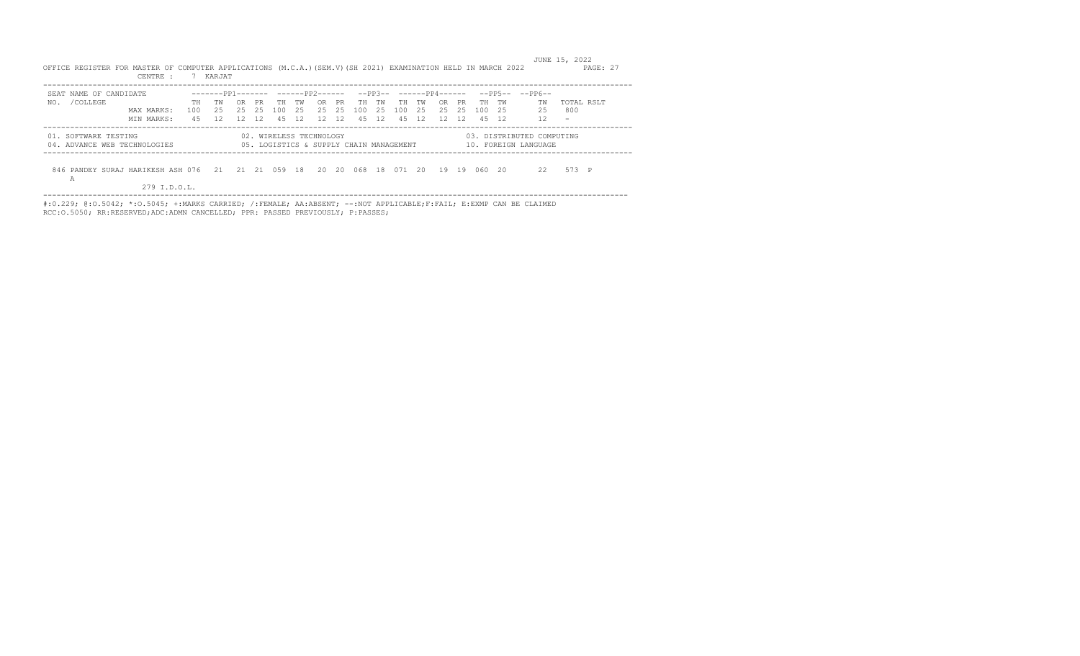CENTRE : 7 KARJAT ----------------------------------------------------------------------------------------------------------------------------------- SEAT NAME OF CANDIDATE -------PP1------- ------PP2------ --PP3-- ------PP4------ --PP5-- --PP6-- TH TW OR PR TH TW OR PR TH TW TH TW OR PR TH TW TW TOTAL RSLT MAX MARKS: 100 25 25 25 100 25 25 25 100 25 100 25 25 25 100 25 25 800 MIN MARKS: 45 12 12 12 45 12 12 12 45 12 45 12 12 12 45 12 12 - ----------------------------------------------------------------------------------------------------------------------------------- 01. SOFTWARE TESTING 02. WIRELESS TECHNOLOGY 03. DISTRIBUTED COMPUTING 04. ADVANCE WEB TECHNOLOGIES 05. LOGISTICS & SUPPLY CHAIN MANAGEMENT 10. FOREIGN LANGUAGE -----------------------------------------------------------------------------------------------------------------------------------

----------------------------------------------------------------------------------------------------------------------------------

OFFICE REGISTER FOR MASTER OF COMPUTER APPLICATIONS (M.C.A.)(SEM.V)(SH 2021) EXAMINATION HELD IN MARCH 2022 PAGE: 27

JUNE 15, 2022

 846 PANDEY SURAJ HARIKESH ASH 076 21 21 21 059 18 20 20 068 18 071 20 19 19 060 20 22 573 P A

279 I.D.O.L.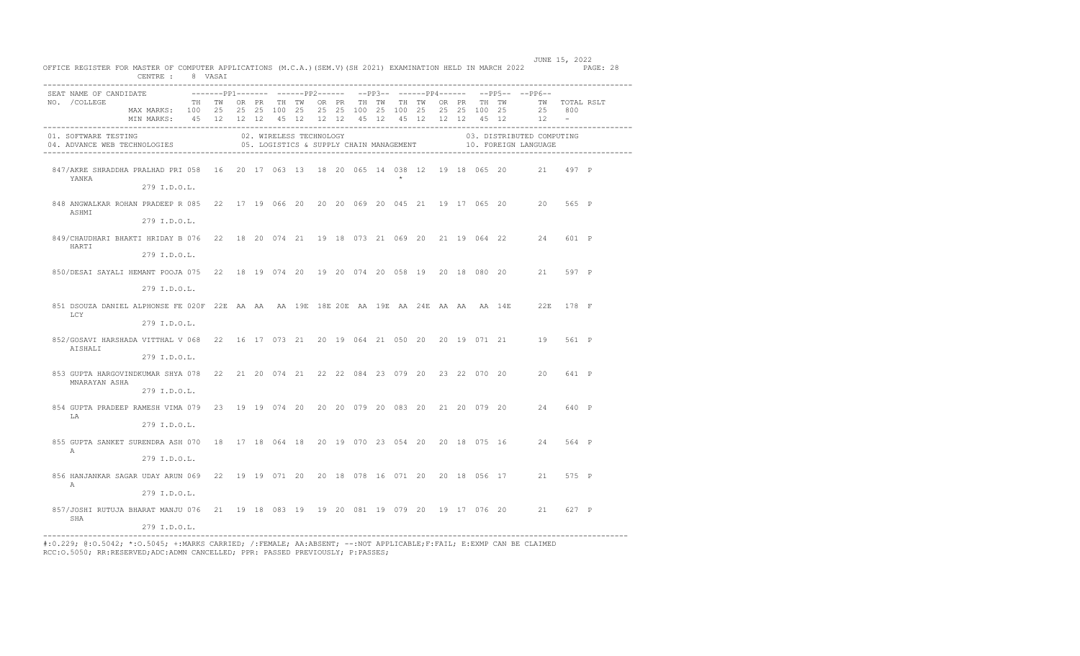| OFFICE REGISTER FOR MASTER OF COMPUTER APPLICATIONS (M.C.A.) (SEM.V) (SH 2021) EXAMINATION HELD IN MARCH 2022 PAGE: 28 | CENTRE : 8 VASAI                                                                                                                                                                                      |  |  |                         |  |  |         |  |  | JUNE 15, 2022                                                                                  |       |  |
|------------------------------------------------------------------------------------------------------------------------|-------------------------------------------------------------------------------------------------------------------------------------------------------------------------------------------------------|--|--|-------------------------|--|--|---------|--|--|------------------------------------------------------------------------------------------------|-------|--|
| SEAT NAME OF CANDIDATE<br>NO. / COLLEGE                                                                                | TH TW OR PR TH TW OR PR TH TW TH TW OR PR TH TW      TW   TOTAL RSLT<br>MAX MARKS: 100 25 25 25 100 25 25 25 100 25 100 25 25 25 100 25<br>MIN MARKS: 45 12 12 12 45 12 12 12 45 12 45 12 12 12 45 12 |  |  |                         |  |  |         |  |  | --------pp1------- ------pp2------ --pp3-- ------pp4------ --pp5-- --pp6--<br>25 800<br>$12 -$ |       |  |
| 01. SOFTWARE TESTING<br>04. ADVANCE WEB TECHNOLOGIES                                                                   |                                                                                                                                                                                                       |  |  | 02. WIRELESS TECHNOLOGY |  |  |         |  |  | 03. DISTRIBUTED COMPUTING<br>05. LOGISTICS & SUPPLY CHAIN MANAGEMENT 40. FOREIGN LANGUAGE      |       |  |
| 847/AKRE SHRADDHA PRALHAD PRI 058 16 20 17 063 13 18 20 065 14 038 12 19 18 065 20 21 497 P<br>YANKA                   | 279 I.D.O.L.                                                                                                                                                                                          |  |  |                         |  |  | $\star$ |  |  |                                                                                                |       |  |
| 848 ANGWALKAR ROHAN PRADEEP R 085 22 17 19 066 20 20 20 069 20 045 21 19 17 065 20 20 565 P<br>ASHMI                   | 279 I.D.O.L.                                                                                                                                                                                          |  |  |                         |  |  |         |  |  |                                                                                                |       |  |
| 849/CHAUDHARI BHAKTI HRIDAY B 076 22 18 20 074 21 19 18 073 21 069 20 21 19 064 22 24 601 P<br>HARTI                   | 279 I.D.O.L.                                                                                                                                                                                          |  |  |                         |  |  |         |  |  |                                                                                                |       |  |
| 850/DESAI SAYALI HEMANT POOJA 075 22 18 19 074 20 19 20 074 20 058 19 20 18 080 20 21 597 P                            | 279 I.D.O.L.                                                                                                                                                                                          |  |  |                         |  |  |         |  |  |                                                                                                |       |  |
| 851 DSOUZA DANIEL ALPHONSE FE 020F 22E AA AA AA 19E 18E 20E AA 19E AA 24E AA AA AA 14E 22E 178 F<br>LCY                |                                                                                                                                                                                                       |  |  |                         |  |  |         |  |  |                                                                                                |       |  |
| 852/GOSAVI HARSHADA VITTHAL V 068 22 16 17 073 21 20 19 064 21 050 20 20 19 071 21 19 561 P<br>AISHALI                 | 279 I.D.O.L.                                                                                                                                                                                          |  |  |                         |  |  |         |  |  |                                                                                                |       |  |
| 853 GUPTA HARGOVINDKUMAR SHYA 078 22 21 20 074 21 22 22 084 23 079 20 23 22 070 20 20 641 P<br>MNARAYAN ASHA           | 279 I.D.O.L.                                                                                                                                                                                          |  |  |                         |  |  |         |  |  |                                                                                                |       |  |
| 854 GUPTA PRADEEP RAMESH VIMA 079 23 19 19 074 20 20 20 079 20 083 20 21 20 079 20 24<br>LA                            | 279 I.D.O.L.                                                                                                                                                                                          |  |  |                         |  |  |         |  |  |                                                                                                | 640 P |  |
| 855 GUPTA SANKET SURENDRA ASH 070 18 17 18 064 18 20 19 070 23 054 20 20 18 075 16 24 564 P<br>A                       | 279 I.D.O.L.                                                                                                                                                                                          |  |  |                         |  |  |         |  |  |                                                                                                |       |  |
| 856 HANJANKAR SAGAR UDAY ARUN 069 22 19 19 071 20 20 18 078 16 071 20 20 18 056 17 21 575 P<br>А                       | 279 I.D.O.L.                                                                                                                                                                                          |  |  |                         |  |  |         |  |  |                                                                                                |       |  |
| 857/JOSHI RUTUJA BHARAT MANJU 076 21 19 18 083 19 19 20 081 19 079 20 19 17 076 20 21 627 P<br>SHA                     | 279 I.D.O.L.                                                                                                                                                                                          |  |  |                         |  |  |         |  |  |                                                                                                |       |  |
|                                                                                                                        | 279 I.D.O.L.                                                                                                                                                                                          |  |  |                         |  |  |         |  |  |                                                                                                |       |  |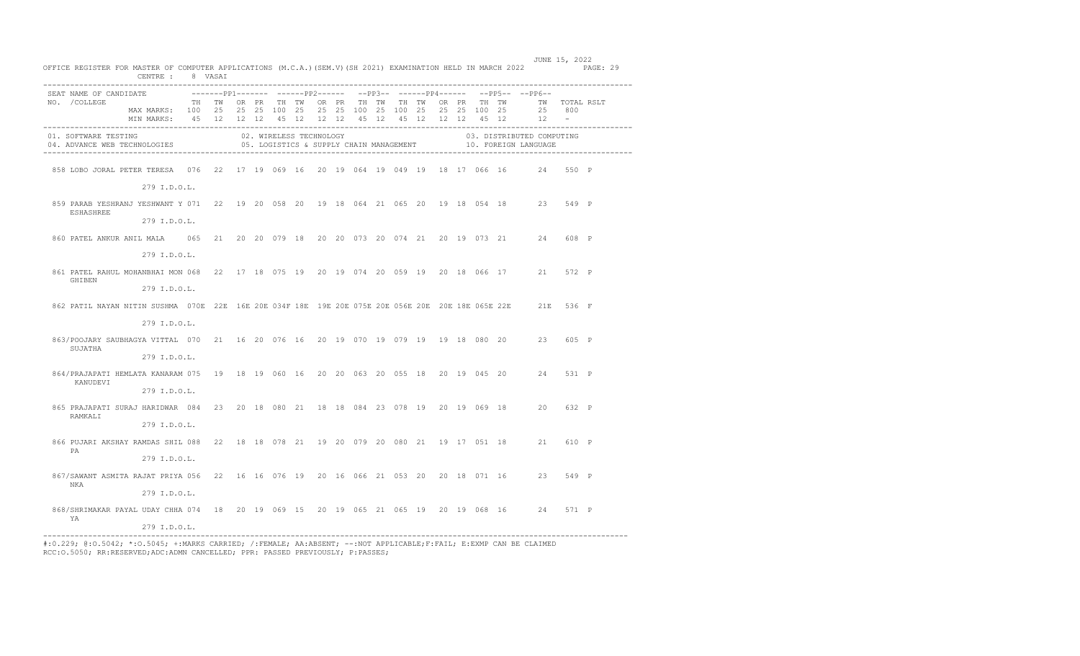|  | OFFICE REGISTER FOR MASTER OF COMPUTER APPLICATIONS (M.C.A.) (SEM.V) (SH 2021) EXAMINATION HELD IN MARCH 2022 PAGE: 29                                        | CENTRE : 8 VASAI                                                       |  |  |  |  |  |  |  |                                                                             | JUNE 15, 2022 |       |  |
|--|---------------------------------------------------------------------------------------------------------------------------------------------------------------|------------------------------------------------------------------------|--|--|--|--|--|--|--|-----------------------------------------------------------------------------|---------------|-------|--|
|  | SEAT NAME OF CANDIDATE                                                                                                                                        |                                                                        |  |  |  |  |  |  |  | --------pp1------- -------pp2------ --pp3-- ------pp4------ --pp5-- --pp6-- |               |       |  |
|  | NO. / COLLEGE                                                                                                                                                 | TH TW OR PR TH TW OR PR TH TW TH TW OR PR TH TW   TW  TOTAL RSLT       |  |  |  |  |  |  |  |                                                                             |               |       |  |
|  |                                                                                                                                                               | MAX MARKS: 100 25 25 25 100 25 25 25 100 25 100 25 25 25 100 25 25 800 |  |  |  |  |  |  |  |                                                                             |               |       |  |
|  |                                                                                                                                                               | MIN MARKS: 45 12 12 12 45 12 12 12 45 12 45 12 12 12 45 12 1           |  |  |  |  |  |  |  |                                                                             |               |       |  |
|  | 01. SOFTWARE TESTING COMPUS CONDUCTES CONSULTED COMPUSS TECHNOLOGY CHAIN MANAGEMENT CONSULTED COMPUSS OF LOGISTICS & SUPPLY CHAIN MANAGEMENT THE TECHNOLOGIES |                                                                        |  |  |  |  |  |  |  | 03. DISTRIBUTED COMPUTING                                                   |               |       |  |
|  | 858 LOBO JORAL PETER TERESA 076 22 17 19 069 16 20 19 064 19 049 19 18 17 066 16 24 550 P                                                                     |                                                                        |  |  |  |  |  |  |  |                                                                             |               |       |  |
|  |                                                                                                                                                               | 279 I.D.O.L.                                                           |  |  |  |  |  |  |  |                                                                             |               |       |  |
|  | 859 PARAB YESHRANJ YESHWANT Y 071 22 19 20 058 20 19 18 064 21 065 20 19 18 054 18 23 549 P<br>ESHASHREE                                                      |                                                                        |  |  |  |  |  |  |  |                                                                             |               |       |  |
|  |                                                                                                                                                               | 279 I.D.O.L.                                                           |  |  |  |  |  |  |  |                                                                             |               |       |  |
|  |                                                                                                                                                               |                                                                        |  |  |  |  |  |  |  |                                                                             |               | 608 P |  |
|  |                                                                                                                                                               | 279 I.D.O.L.                                                           |  |  |  |  |  |  |  |                                                                             |               |       |  |
|  | 861 PATEL RAHUL MOHANBHAI MON 068 22 17 18 075 19 20 19 074 20 059 19 20 18 066 17 21 572 P<br>GHIBEN                                                         |                                                                        |  |  |  |  |  |  |  |                                                                             |               |       |  |
|  |                                                                                                                                                               | 279 I.D.O.L.                                                           |  |  |  |  |  |  |  |                                                                             |               |       |  |
|  | 862 PATIL NAYAN NITIN SUSHMA 070E 22E 16E 20E 034F 18E 19E 20E 075E 20E 056E 20E 20E 18E 065E 22E 21E 536 F                                                   |                                                                        |  |  |  |  |  |  |  |                                                                             |               |       |  |
|  |                                                                                                                                                               | 279 I.D.O.L.                                                           |  |  |  |  |  |  |  |                                                                             |               |       |  |
|  | 863/POOJARY SAUBHAGYA VITTAL 070 21 16 20 076 16 20 19 070 19 079 19 19 18 080 20 23 605 P<br>SUJATHA                                                         |                                                                        |  |  |  |  |  |  |  |                                                                             |               |       |  |
|  |                                                                                                                                                               | 279 I.D.O.L.                                                           |  |  |  |  |  |  |  |                                                                             |               |       |  |
|  | 864/PRAJAPATI HEMLATA KANARAM 075 19 18 19 060 16 20 20 063 20 055 18 20 19 045 20 24<br>KANUDEVT                                                             |                                                                        |  |  |  |  |  |  |  |                                                                             |               | 531 P |  |
|  |                                                                                                                                                               | 279 I.D.O.L.                                                           |  |  |  |  |  |  |  |                                                                             |               |       |  |
|  | 865 PRAJAPATI SURAJ HARIDWAR 084 23 20 18 080 21 18 18 084 23 078 19 20 19 069 18 20<br>RAMKALI                                                               |                                                                        |  |  |  |  |  |  |  |                                                                             |               | 632 P |  |
|  |                                                                                                                                                               | 279 I.D.O.L.                                                           |  |  |  |  |  |  |  |                                                                             |               |       |  |
|  | 866 PUJARI AKSHAY RAMDAS SHIL 088 22 18 18 078 21 19 20 079 20 080 21 19 17 051 18 21 610 P<br>PA                                                             |                                                                        |  |  |  |  |  |  |  |                                                                             |               |       |  |
|  |                                                                                                                                                               | 279 I.D.O.L.                                                           |  |  |  |  |  |  |  |                                                                             |               |       |  |
|  | 867/SAWANT ASMITA RAJAT PRIYA 056 22 16 16 076 19 20 16 066 21 053 20 20 18 071 16 23 549 P<br>NKA                                                            |                                                                        |  |  |  |  |  |  |  |                                                                             |               |       |  |
|  |                                                                                                                                                               | 279 I.D.O.L.                                                           |  |  |  |  |  |  |  |                                                                             |               |       |  |
|  | 868/SHRIMAKAR PAYAL UDAY CHHA 074 18 20 19 069 15 20 19 065 21 065 19 20 19 068 16 24 571 P<br>YA                                                             |                                                                        |  |  |  |  |  |  |  |                                                                             |               |       |  |
|  |                                                                                                                                                               | 279 I.D.O.L.                                                           |  |  |  |  |  |  |  |                                                                             |               |       |  |